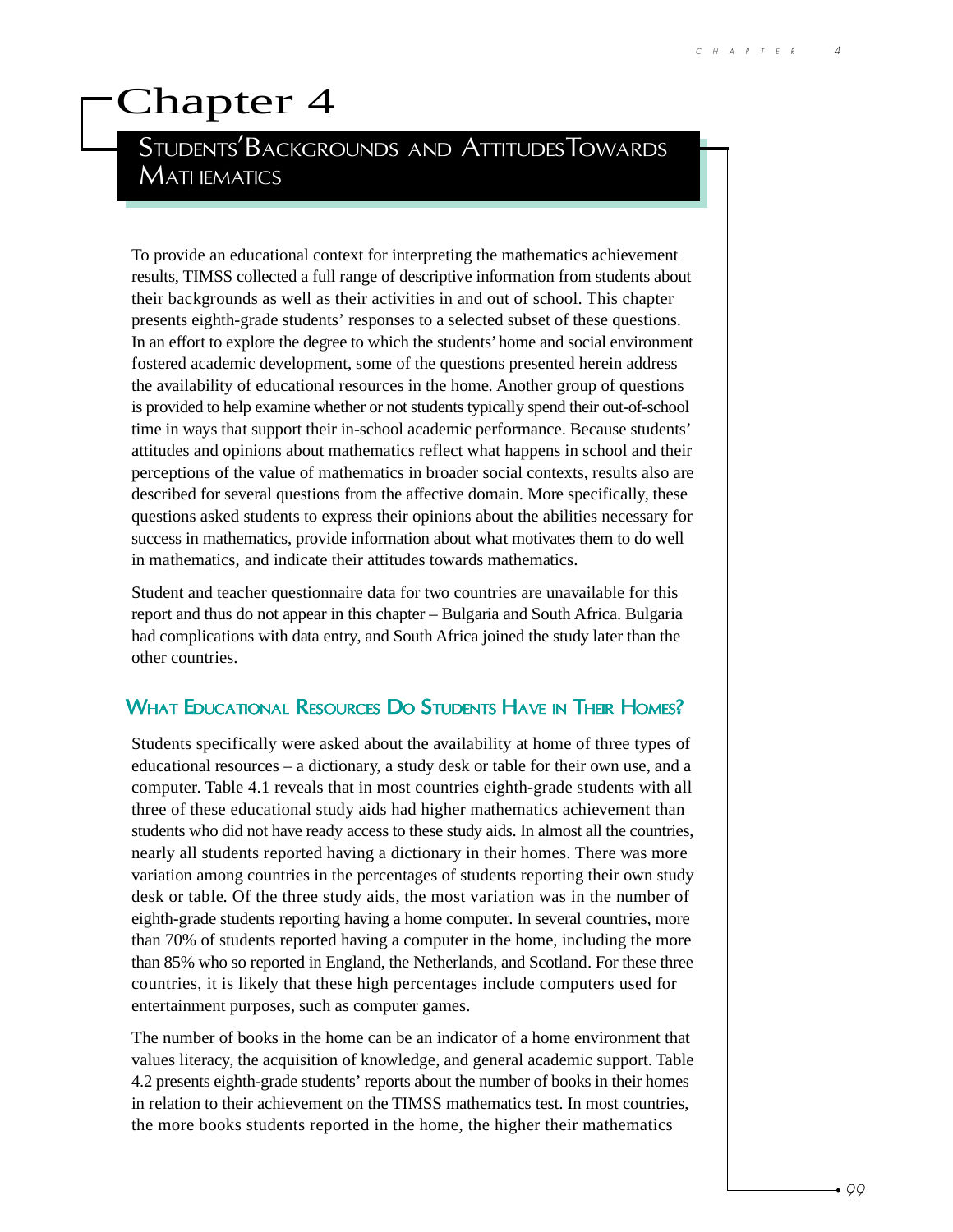# Chapter 4

# STUDENTS' BACKGROUNDS AND ATTITUDES TOWARDS **MATHEMATICS**

To provide an educational context for interpreting the mathematics achievement results, TIMSS collected a full range of descriptive information from students about their backgrounds as well as their activities in and out of school. This chapter presents eighth-grade students' responses to a selected subset of these questions. In an effort to explore the degree to which the students' home and social environment fostered academic development, some of the questions presented herein address the availability of educational resources in the home. Another group of questions is provided to help examine whether or not students typically spend their out-of-school time in ways that support their in-school academic performance. Because students' attitudes and opinions about mathematics reflect what happens in school and their perceptions of the value of mathematics in broader social contexts, results also are described for several questions from the affective domain. More specifically, these questions asked students to express their opinions about the abilities necessary for success in mathematics, provide information about what motivates them to do well in mathematics, and indicate their attitudes towards mathematics.

Student and teacher questionnaire data for two countries are unavailable for this report and thus do not appear in this chapter – Bulgaria and South Africa. Bulgaria had complications with data entry, and South Africa joined the study later than the other countries.

#### WHAT EDUCATIONAL RESOURCES DO STUDENTS HAVE IN THEIR HOMES?

Students specifically were asked about the availability at home of three types of educational resources – a dictionary, a study desk or table for their own use, and a computer. Table 4.1 reveals that in most countries eighth-grade students with all three of these educational study aids had higher mathematics achievement than students who did not have ready access to these study aids. In almost all the countries, nearly all students reported having a dictionary in their homes. There was more variation among countries in the percentages of students reporting their own study desk or table. Of the three study aids, the most variation was in the number of eighth-grade students reporting having a home computer. In several countries, more than 70% of students reported having a computer in the home, including the more than 85% who so reported in England, the Netherlands, and Scotland. For these three countries, it is likely that these high percentages include computers used for entertainment purposes, such as computer games.

The number of books in the home can be an indicator of a home environment that values literacy, the acquisition of knowledge, and general academic support. Table 4.2 presents eighth-grade students' reports about the number of books in their homes in relation to their achievement on the TIMSS mathematics test. In most countries, the more books students reported in the home, the higher their mathematics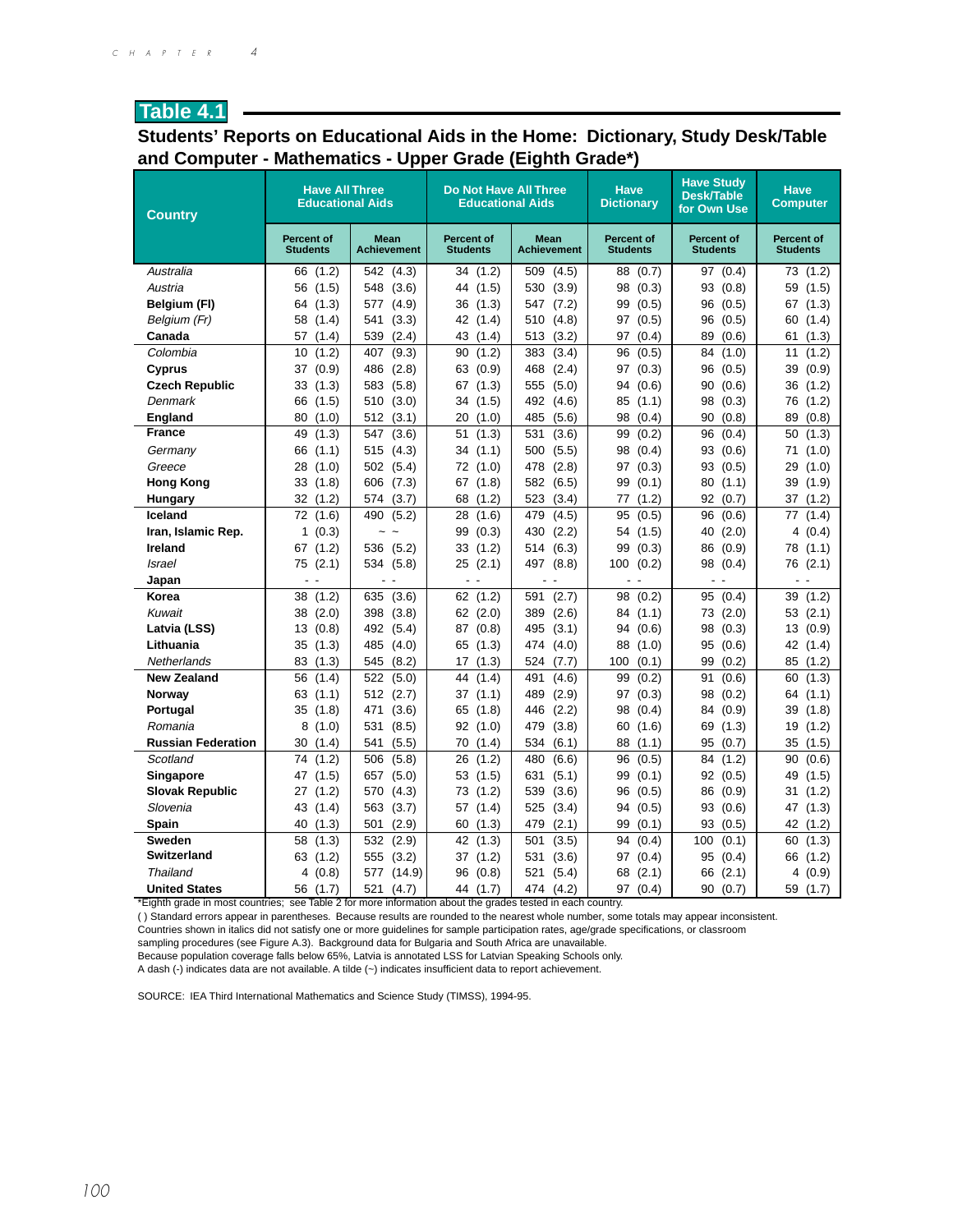#### **Students' Reports on Educational Aids in the Home: Dictionary, Study Desk/Table and Computer - Mathematics - Upper Grade (Eighth Grade\*)**

| <b>Country</b>            | <b>Have All Three</b><br><b>Educational Aids</b> |                                            | <b>Do Not Have All Three</b><br><b>Educational Aids</b>            |                | Have<br><b>Dictionarv</b>            | <b>Have Study</b><br><b>Desk/Table</b><br>for Own Use | <b>Have</b><br><b>Computer</b>       |
|---------------------------|--------------------------------------------------|--------------------------------------------|--------------------------------------------------------------------|----------------|--------------------------------------|-------------------------------------------------------|--------------------------------------|
|                           | <b>Percent of</b><br><b>Students</b>             | <b>Mean</b><br>Achievement                 | <b>Mean</b><br>Percent of<br><b>Students</b><br><b>Achievement</b> |                | <b>Percent of</b><br><b>Students</b> | <b>Percent of</b><br><b>Students</b>                  | <b>Percent of</b><br><b>Students</b> |
| Australia                 | 66                                               | 542                                        | 34                                                                 | 509            | 88                                   | 97                                                    | 73                                   |
|                           | (1.2)                                            | (4.3)                                      | (1.2)                                                              | (4.5)          | (0.7)                                | (0.4)                                                 | (1.2)                                |
| Austria                   | 56                                               | (3.6)                                      | 44                                                                 | (3.9)          | 98                                   | 93                                                    | 59                                   |
|                           | (1.5)                                            | 548                                        | (1.5)                                                              | 530            | (0.3)                                | (0.8)                                                 | (1.5)                                |
| Belgium (FI)              | (1.3)                                            | 577                                        | 36                                                                 | (7.2)          | 99                                   | 96                                                    | 67                                   |
|                           | 64                                               | (4.9)                                      | (1.3)                                                              | 547            | (0.5)                                | (0.5)                                                 | (1.3)                                |
| Belgium (Fr)              | 58<br>(1.4)                                      | 541<br>(3.3)                               | 42 (1.4)                                                           | 510<br>(4.8)   | 97<br>(0.5)                          | 96<br>(0.5)                                           | 60<br>(1.4)                          |
| Canada                    | 57<br>(1.4)                                      | 539<br>(2.4)                               | 43 (1.4)                                                           | 513<br>(3.2)   | (0.4)<br>97                          | 89<br>(0.6)                                           | (1.3)<br>61                          |
| Colombia                  | 10                                               | 407                                        | 90                                                                 | 383            | 96                                   | 84                                                    | (1.2)                                |
|                           | (1.2)                                            | (9.3)                                      | (1.2)                                                              | (3.4)          | (0.5)                                | (1.0)                                                 | 11                                   |
| Cyprus                    | 37                                               | 486                                        | 63                                                                 | 468            | 97                                   | 96                                                    | 39                                   |
|                           | (0.9)                                            | (2.8)                                      | (0.9)                                                              | (2.4)          | (0.3)                                | (0.5)                                                 | (0.9)                                |
| <b>Czech Republic</b>     | 33                                               | (5.8)                                      | 67                                                                 | (5.0)          | 94                                   | 90                                                    | (1.2)                                |
|                           | (1.3)                                            | 583                                        | (1.3)                                                              | 555            | (0.6)                                | (0.6)                                                 | 36                                   |
| Denmark                   | 66                                               | 510                                        | 34                                                                 | 492            | 85                                   | 98                                                    | 76                                   |
|                           | (1.5)                                            | (3.0)                                      | (1.5)                                                              | (4.6)          | (1.1)                                | (0.3)                                                 | (1.2)                                |
| <b>England</b>            | 80                                               | 512                                        | 20                                                                 | 485            | 98                                   | 90                                                    | 89                                   |
|                           | (1.0)                                            | (3.1)                                      | (1.0)                                                              | (5.6)          | (0.4)                                | (0.8)                                                 | (0.8)                                |
| <b>France</b>             | 49                                               | 547                                        | 51                                                                 | (3.6)          | 99                                   | 96                                                    | 50                                   |
|                           | (1.3)                                            | (3.6)                                      | (1.3)                                                              | 531            | (0.2)                                | (0.4)                                                 | (1.3)                                |
| Germany                   | 66                                               | 515                                        | (1.1)                                                              | 500            | 98                                   | 93                                                    | 71                                   |
|                           | (1.1)                                            | (4.3)                                      | 34                                                                 | (5.5)          | (0.4)                                | (0.6)                                                 | (1.0)                                |
| Greece                    | 28                                               | 502                                        | 72                                                                 | 478            | 97                                   | 93                                                    | 29                                   |
|                           | (1.0)                                            | (5.4)                                      | (1.0)                                                              | (2.8)          | (0.3)                                | (0.5)                                                 | (1.0)                                |
| <b>Hong Kong</b>          | 33                                               | 606                                        | 67                                                                 | 582            | 99                                   | 80                                                    | 39                                   |
|                           | (1.8)                                            | (7.3)                                      | (1.8)                                                              | (6.5)          | (0.1)                                | (1.1)                                                 | (1.9)                                |
| Hungary                   | 32                                               | 574                                        | 68                                                                 | 523            | (1.2)                                | 92                                                    | 37                                   |
|                           | (1.2)                                            | (3.7)                                      | (1.2)                                                              | (3.4)          | 77                                   | (0.7)                                                 | (1.2)                                |
| Iceland                   | 72                                               | 490                                        | 28                                                                 | 479            | 95                                   | 96                                                    | 77                                   |
|                           | (1.6)                                            | (5.2)                                      | (1.6)                                                              | (4.5)          | (0.5)                                | (0.6)                                                 | (1.4)                                |
| Iran, Islamic Rep.        | 1<br>(0.3)                                       |                                            | 99 (0.3)                                                           | (2.2)<br>430   | 54<br>(1.5)                          | 40<br>(2.0)                                           | 4<br>(0.4)                           |
| Ireland                   | (1.2)<br>67                                      | 536<br>(5.2)                               | 33 (1.2)                                                           | (6.3)<br>514   | 99<br>(0.3)                          | (0.9)<br>86                                           | 78<br>(1.1)                          |
| <b>Israel</b>             | 75<br>(2.1)                                      | 534<br>(5.8)                               | 25 (2.1)                                                           | 497<br>(8.8)   | 100<br>(0.2)                         | 98<br>(0.4)                                           | (2.1)<br>76                          |
| Japan                     | $\blacksquare$                                   | $\overline{a}$<br>$\overline{\phantom{a}}$ | $ -$                                                               | $\blacksquare$ | $\blacksquare$                       | $\blacksquare$<br>$\overline{\phantom{a}}$            | $\overline{\phantom{a}}$             |
| Korea                     | 38                                               | 635                                        | 62                                                                 | (2.7)          | 98                                   | 95                                                    | 39                                   |
|                           | (1.2)                                            | (3.6)                                      | (1.2)                                                              | 591            | (0.2)                                | (0.4)                                                 | (1.2)                                |
| Kuwait                    | 38<br>(2.0)                                      | 398<br>(3.8)                               | 62 (2.0)                                                           | 389<br>(2.6)   | 84<br>(1.1)                          | 73 (2.0)                                              | 53<br>(2.1)                          |
| Latvia (LSS)              | 13                                               | 492                                        | (0.8)                                                              | (3.1)          | (0.6)                                | 98                                                    | 13                                   |
|                           | (0.8)                                            | (5.4)                                      | 87                                                                 | 495            | 94                                   | (0.3)                                                 | (0.9)                                |
| Lithuania                 | 35                                               | 485                                        | 65                                                                 | (4.0)          | 88                                   | 95                                                    | 42                                   |
|                           | (1.3)                                            | (4.0)                                      | (1.3)                                                              | 474            | (1.0)                                | (0.6)                                                 | (1.4)                                |
| Netherlands               | 83                                               | 545                                        | 17                                                                 | 524            | 100                                  | 99                                                    | 85                                   |
|                           | (1.3)                                            | (8.2)                                      | (1.3)                                                              | (7.7)          | (0.1)                                | (0.2)                                                 | (1.2)                                |
| <b>New Zealand</b>        | 56                                               | 522                                        | (1.4)                                                              | 491            | 99                                   | 91                                                    | 60                                   |
|                           | (1.4)                                            | (5.0)                                      | 44                                                                 | (4.6)          | (0.2)                                | (0.6)                                                 | (1.3)                                |
| Norway                    | 63                                               | 512                                        | (1.1)                                                              | 489            | 97                                   | 98                                                    | 64                                   |
|                           | (1.1)                                            | (2.7)                                      | 37                                                                 | (2.9)          | (0.3)                                | (0.2)                                                 | (1.1)                                |
| Portugal                  | 35                                               | 471                                        | 65                                                                 | (2.2)          | 98                                   | 84                                                    | 39                                   |
|                           | (1.8)                                            | (3.6)                                      | (1.8)                                                              | 446            | (0.4)                                | (0.9)                                                 | (1.8)                                |
| Romania                   | 8<br>(1.0)                                       | (8.5)<br>531                               | 92(1.0)                                                            | 479<br>(3.8)   | 60<br>(1.6)                          | 69<br>(1.3)                                           | (1.2)<br>19                          |
| <b>Russian Federation</b> | 30                                               | 541                                        | 70                                                                 | 534            | 88                                   | 95                                                    | 35                                   |
|                           | (1.4)                                            | (5.5)                                      | (1.4)                                                              | (6.1)          | (1.1)                                | (0.7)                                                 | (1.5)                                |
| Scotland                  | 74                                               | 506                                        | 26                                                                 | 480            | 96                                   | 84                                                    | 90                                   |
|                           | (1.2)                                            | (5.8)                                      | (1.2)                                                              | (6.6)          | (0.5)                                | (1.2)                                                 | (0.6)                                |
| Singapore                 | 47                                               | (5.0)                                      | 53                                                                 | (5.1)          | 99                                   | 92                                                    | 49                                   |
|                           | (1.5)                                            | 657                                        | (1.5)                                                              | 631            | (0.1)                                | (0.5)                                                 | (1.5)                                |
| <b>Slovak Republic</b>    | 27                                               | 570                                        | 73                                                                 | 539            | 96                                   | 86                                                    | 31                                   |
|                           | (1.2)                                            | (4.3)                                      | (1.2)                                                              | (3.6)          | (0.5)                                | (0.9)                                                 | (1.2)                                |
| Slovenia                  | 43<br>(1.4)                                      | 563<br>(3.7)                               | 57 (1.4)                                                           | 525<br>(3.4)   | 94<br>(0.5)                          | 93<br>(0.6)                                           | 47<br>(1.3)                          |
| <b>Spain</b>              | (1.3)<br>40                                      | (2.9)<br>501                               | 60(1.3)                                                            | (2.1)<br>479   | (0.1)<br>99                          | 93<br>(0.5)                                           | 42<br>(1.2)                          |
| Sweden                    | 58                                               | 532                                        | 42                                                                 | (3.5)          | 94                                   | 100                                                   | (1.3)                                |
|                           | (1.3)                                            | (2.9)                                      | (1.3)                                                              | 501            | (0.4)                                | (0.1)                                                 | 60                                   |
| Switzerland               | 63<br>(1.2)                                      | 555<br>(3.2)                               | 37 (1.2)                                                           | 531<br>(3.6)   | 97<br>(0.4)                          | 95<br>(0.4)                                           | 66<br>(1.2)                          |
| Thailand                  | 4                                                | 577                                        | 96                                                                 | (5.4)          | 68                                   | (2.1)                                                 | (0.9)                                |
|                           | (0.8)                                            | (14.9)                                     | (0.8)                                                              | 521            | (2.1)                                | 66                                                    | 4                                    |
| <b>United States</b>      | 56                                               | 521                                        | 44                                                                 | (4.2)          | 97                                   | (0.7)                                                 | 59                                   |
|                           | (1.7)                                            | (4.7)                                      | (1.7)                                                              | 474            | (0.4)                                | 90                                                    | (1.7)                                |

\*Eighth grade in most countries; see Table 2 for more information about the grades tested in each country.

( ) Standard errors appear in parentheses. Because results are rounded to the nearest whole number, some totals may appear inconsistent.

Countries shown in italics did not satisfy one or more guidelines for sample participation rates, age/grade specifications, or classroom

sampling procedures (see Figure A.3). Background data for Bulgaria and South Africa are unavailable.

Because population coverage falls below 65%, Latvia is annotated LSS for Latvian Speaking Schools only.

A dash (-) indicates data are not available. A tilde (~) indicates insufficient data to report achievement.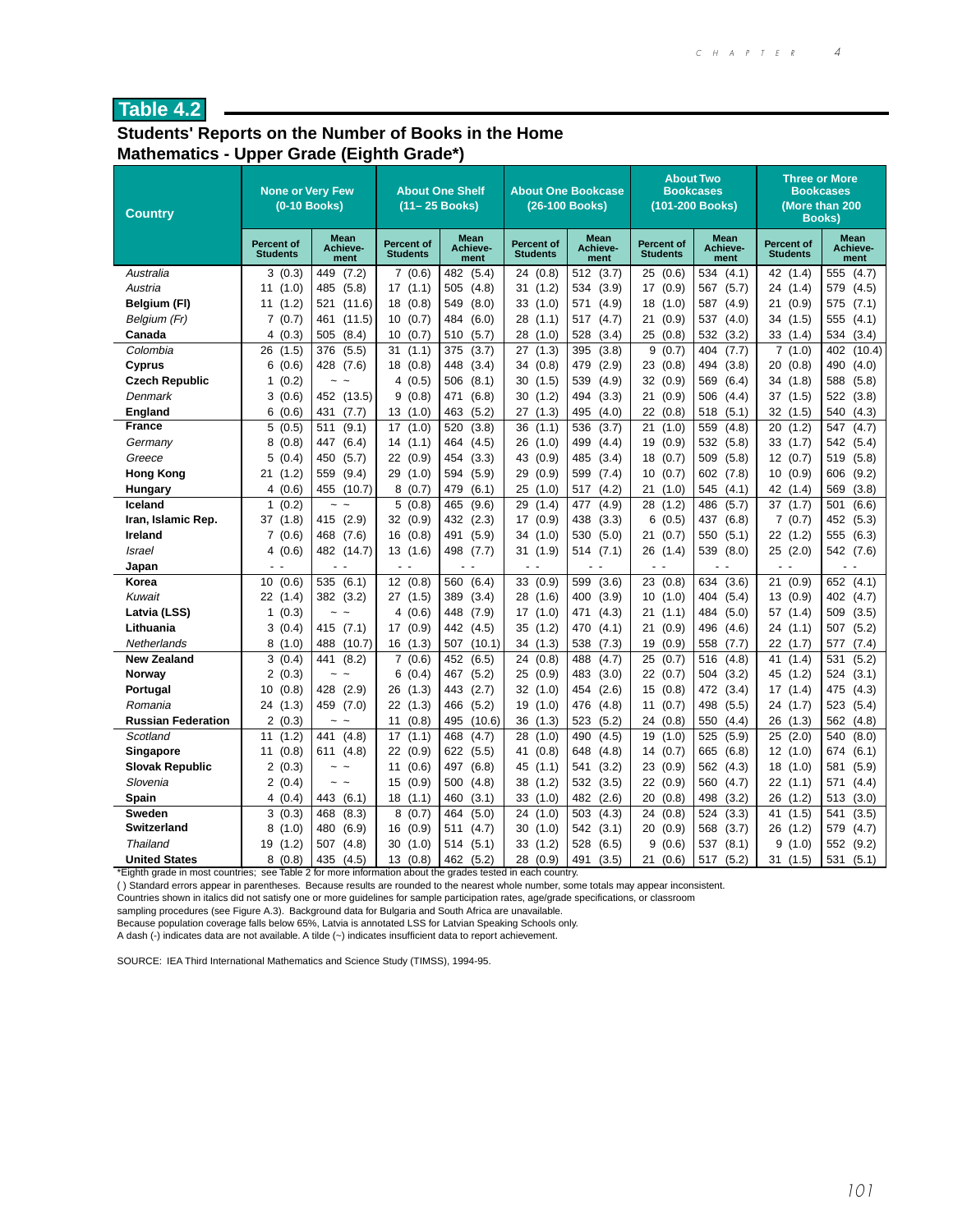#### **Students' Reports on the Number of Books in the Home Mathematics - Upper Grade (Eighth Grade\*)**

| <b>Country</b>            | <b>None or Very Few</b><br>(0-10 Books)                  |                                    |                                      | <b>About One Shelf</b><br>(11-25 Books) |                                     | <b>About One Bookcase</b><br>(26-100 Books) |                               | <b>About Two</b><br><b>Bookcases</b><br>(101-200 Books) |                                      | <b>Three or More</b><br><b>Bookcases</b><br>(More than 200<br><b>Books)</b> |  |
|---------------------------|----------------------------------------------------------|------------------------------------|--------------------------------------|-----------------------------------------|-------------------------------------|---------------------------------------------|-------------------------------|---------------------------------------------------------|--------------------------------------|-----------------------------------------------------------------------------|--|
|                           | <b>Percent of</b><br><b>Students</b>                     | Mean<br><b>Achieve-</b><br>ment    | <b>Percent of</b><br><b>Students</b> | Mean<br><b>Achieve-</b><br>ment         | Percent of<br><b>Students</b>       | Mean<br>Achieve-<br>ment                    | Percent of<br><b>Students</b> | Mean<br>Achieve-<br>ment                                | <b>Percent of</b><br><b>Students</b> | Mean<br>Achieve-<br>ment                                                    |  |
| Australia                 | 3<br>(0.3)                                               | 449<br>(7.2)                       | 7(0.6)                               | 482<br>(5.4)                            | 24<br>(0.8)                         | 512 (3.7)                                   | 25<br>(0.6)                   | 534<br>(4.1)                                            | 42<br>(1.4)                          | 555<br>(4.7)                                                                |  |
| Austria                   | 11<br>(1.0)                                              | 485<br>(5.8)                       | 17<br>(1.1)                          | 505<br>(4.8)                            | 31<br>(1.2)                         | 534<br>(3.9)                                | (0.9)<br>17                   | 567<br>(5.7)                                            | 24<br>(1.4)                          | 579<br>(4.5)                                                                |  |
| Belgium (FI)              | 11<br>(1.2)                                              | 521<br>(11.6)                      | 18<br>(0.8)                          | 549<br>(8.0)                            | 33<br>(1.0)                         | 571<br>(4.9)                                | 18<br>(1.0)                   | 587<br>(4.9)                                            | 21<br>(0.9)                          | 575<br>(7.1)                                                                |  |
| Belgium (Fr)              | 7<br>(0.7)                                               | 461<br>(11.5)                      | 10<br>(0.7)                          | (6.0)<br>484                            | 28<br>(1.1)                         | (4.7)<br>517                                | (0.9)<br>21                   | 537<br>(4.0)                                            | 34<br>(1.5)                          | 555<br>(4.1)                                                                |  |
| Canada                    | 4<br>(0.3)                                               | 505<br>(8.4)                       | 10<br>(0.7)                          | 510<br>(5.7)                            | 28<br>(1.0)                         | 528<br>(3.4)                                | 25<br>(0.8)                   | 532<br>(3.2)                                            | 33<br>(1.4)                          | 534<br>(3.4)                                                                |  |
| Colombia                  | 26<br>(1.5)                                              | 376<br>(5.5)                       | 31<br>(1.1)                          | 375<br>(3.7)                            | (1.3)<br>27                         | 395<br>(3.8)                                | 9<br>(0.7)                    | 404<br>(7.7)                                            | $\overline{7}$<br>(1.0)              | (10.4)<br>402                                                               |  |
| Cyprus                    | 6<br>(0.6)                                               | 428 (7.6)                          | (0.8)<br>18                          | 448<br>(3.4)                            | 34<br>(0.8)                         | (2.9)<br>479                                | 23<br>(0.8)                   | 494<br>(3.8)                                            | 20<br>(0.8)                          | 490<br>(4.0)                                                                |  |
| <b>Czech Republic</b>     | (0.2)<br>1                                               | $\sim$                             | (0.5)<br>4                           | 506<br>(8.1)                            | 30<br>(1.5)                         | 539<br>(4.9)                                | 32<br>(0.9)                   | 569<br>(6.4)                                            | 34 (1.8)                             | 588<br>(5.8)                                                                |  |
| Denmark                   | 3<br>(0.6)                                               | 452 (13.5)                         | (0.8)<br>9                           | (6.8)<br>471                            | (1.2)<br>30                         | 494<br>(3.3)                                | 21<br>(0.9)                   | 506<br>(4.4)                                            | (1.5)<br>37                          | 522<br>(3.8)                                                                |  |
| England                   | 6<br>(0.6)                                               | 431<br>(7.7)                       | 13<br>(1.0)                          | (5.2)<br>463                            | 27<br>(1.3)                         | 495<br>(4.0)                                | 22<br>(0.8)                   | 518<br>(5.1)                                            | 32<br>(1.5)                          | 540<br>(4.3)                                                                |  |
| <b>France</b>             | 5<br>(0.5)                                               | 511<br>(9.1)                       | 17<br>(1.0)                          | 520<br>(3.8)                            | 36<br>(1.1)                         | (3.7)<br>536                                | 21<br>(1.0)                   | 559<br>(4.8)                                            | (1.2)<br>20                          | 547<br>(4.7)                                                                |  |
| Germany                   | 8<br>(0.8)                                               | 447<br>(6.4)                       | (1.1)<br>14                          | 464<br>(4.5)                            | 26<br>(1.0)                         | 499<br>(4.4)                                | 19<br>(0.9)                   | 532<br>(5.8)                                            | 33<br>(1.7)                          | 542<br>(5.4)                                                                |  |
| Greece                    | (0.4)<br>5                                               | 450<br>(5.7)                       | 22<br>(0.9)                          | 454<br>(3.3)                            | 43<br>(0.9)                         | 485<br>(3.4)                                | 18<br>(0.7)                   | 509<br>(5.8)                                            | 12(0.7)                              | 519<br>(5.8)                                                                |  |
| <b>Hong Kong</b>          | 21<br>(1.2)                                              | 559<br>(9.4)                       | 29<br>(1.0)                          | 594<br>(5.9)                            | 29<br>(0.9)                         | 599<br>(7.4)                                | 10<br>(0.7)                   | 602<br>(7.8)                                            | 10<br>(0.9)                          | (9.2)<br>606                                                                |  |
| Hungary                   | 4<br>(0.6)                                               | 455<br>(10.7)                      | 8<br>(0.7)                           | (6.1)<br>479                            | 25<br>(1.0)                         | 517<br>(4.2)                                | 21<br>(1.0)                   | 545<br>(4.1)                                            | 42<br>(1.4)                          | (3.8)<br>569                                                                |  |
| <b>Iceland</b>            | 1<br>(0.2)                                               |                                    | 5<br>(0.8)                           | 465<br>(9.6)                            | 29<br>(1.4)                         | 477<br>(4.9)                                | (1.2)<br>28                   | 486<br>(5.7)                                            | 37<br>(1.7)                          | 501<br>(6.6)                                                                |  |
| Iran, Islamic Rep.        | 37<br>(1.8)                                              | 415<br>(2.9)                       | 32<br>(0.9)                          | 432<br>(2.3)                            | 17<br>(0.9)                         | 438<br>(3.3)                                | 6<br>(0.5)                    | 437<br>(6.8)                                            | 7(0.7)                               | 452<br>(5.3)                                                                |  |
| <b>Ireland</b>            | 7<br>(0.6)                                               | 468<br>(7.6)                       | 16<br>(0.8)                          | 491<br>(5.9)                            | 34<br>(1.0)                         | 530<br>(5.0)                                | 21<br>(0.7)                   | 550<br>(5.1)<br>539                                     | 22 (1.2)                             | 555<br>(6.3)<br>542                                                         |  |
| <b>Israel</b>             | (0.6)<br>4<br>$\overline{a}$<br>$\overline{\phantom{a}}$ | 482 (14.7)                         | 13(1.6)                              | 498<br>(7.7)                            | 31<br>(1.9)<br>$\overline{a}$<br>٠. | 514 (7.1)                                   | 26<br>(1.4)<br>$\overline{a}$ | (8.0)                                                   | 25(2.0)<br>$\overline{a}$            | (7.6)<br>$\overline{a}$                                                     |  |
| Japan<br>Korea            | 10                                                       | 535<br>(6.1)                       | 12<br>(0.8)                          | 560                                     | 33                                  | 599<br>(3.6)                                | 23                            | 634<br>(3.6)                                            | 21<br>(0.9)                          | 652<br>(4.1)                                                                |  |
| Kuwait                    | (0.6)<br>22<br>(1.4)                                     | 382 (3.2)                          | 27<br>(1.5)                          | (6.4)<br>389<br>(3.4)                   | (0.9)<br>28                         | 400<br>(3.9)                                | (0.8)<br>10<br>(1.0)          | 404<br>(5.4)                                            | 13(0.9)                              | 402<br>(4.7)                                                                |  |
| Latvia (LSS)              | 1<br>(0.3)                                               | $\overline{\phantom{0}}$           | (0.6)<br>4                           | 448<br>(7.9)                            | (1.6)<br>(1.0)<br>17                | 471<br>(4.3)                                | 21<br>(1.1)                   | 484<br>(5.0)                                            | 57<br>(1.4)                          | 509<br>(3.5)                                                                |  |
| Lithuania                 | 3<br>(0.4)                                               | 415 (7.1)                          | (0.9)<br>17                          | 442<br>(4.5)                            | 35<br>(1.2)                         | 470<br>(4.1)                                | 21<br>(0.9)                   | 496<br>(4.6)                                            | 24 (1.1)                             | 507<br>(5.2)                                                                |  |
| Netherlands               | (1.0)<br>8                                               | 488<br>(10.7)                      | 16<br>(1.3)                          | 507<br>(10.1)                           | 34<br>(1.3)                         | 538<br>(7.3)                                | 19<br>(0.9)                   | 558<br>(7.7)                                            | 22 (1.7)                             | 577<br>(7.4)                                                                |  |
| <b>New Zealand</b>        | 3<br>(0.4)                                               | (8.2)<br>441                       | $\overline{7}$<br>(0.6)              | 452<br>(6.5)                            | 24<br>(0.8)                         | 488<br>(4.7)                                | 25<br>(0.7)                   | 516<br>(4.8)                                            | 41<br>(1.4)                          | 531<br>(5.2)                                                                |  |
| Norway                    | 2<br>(0.3)                                               | $\sim$                             | 6<br>(0.4)                           | 467<br>(5.2)                            | 25<br>(0.9)                         | 483<br>(3.0)                                | 22<br>(0.7)                   | 504<br>(3.2)                                            | 45 (1.2)                             | 524<br>(3.1)                                                                |  |
| Portugal                  | (0.8)<br>10                                              | 428<br>(2.9)                       | 26<br>(1.3)                          | 443<br>(2.7)                            | 32<br>(1.0)                         | 454<br>(2.6)                                | (0.8)<br>15                   | 472<br>(3.4)                                            | 17<br>(1.4)                          | 475<br>(4.3)                                                                |  |
| Romania                   | 24<br>(1.3)                                              | 459<br>(7.0)                       | 22<br>(1.3)                          | 466<br>(5.2)                            | 19<br>(1.0)                         | 476<br>(4.8)                                | (0.7)<br>11                   | 498<br>(5.5)                                            | 24<br>(1.7)                          | 523<br>(5.4)                                                                |  |
| <b>Russian Federation</b> | 2<br>(0.3)                                               |                                    | 11<br>(0.8)                          | (10.6)<br>495                           | 36<br>(1.3)                         | 523<br>(5.2)                                | 24<br>(0.8)                   | 550<br>(4.4)                                            | 26<br>(1.3)                          | 562<br>(4.8)                                                                |  |
| Scotland                  | 11<br>(1.2)                                              | 441<br>(4.8)                       | 17<br>(1.1)                          | 468<br>(4.7)                            | 28<br>(1.0)                         | 490<br>(4.5)                                | 19<br>(1.0)                   | 525<br>(5.9)                                            | (2.0)<br>25                          | 540<br>(8.0)                                                                |  |
| Singapore                 | 11<br>(0.8)                                              | 611 (4.8)                          | 22<br>(0.9)                          | 622<br>(5.5)                            | 41<br>(0.8)                         | 648<br>(4.8)                                | (0.7)<br>14                   | 665<br>(6.8)                                            | 12(1.0)                              | (6.1)<br>674                                                                |  |
| <b>Slovak Republic</b>    | (0.3)<br>2                                               |                                    | 11<br>(0.6)                          | 497<br>(6.8)                            | 45<br>(1.1)                         | (3.2)<br>541                                | 23<br>(0.9)                   | 562<br>(4.3)                                            | 18(1.0)                              | 581<br>(5.9)                                                                |  |
| Slovenia                  | 2<br>(0.4)                                               | $\sim$<br>$\overline{\phantom{0}}$ | 15<br>(0.9)                          | 500<br>(4.8)                            | 38<br>(1.2)                         | (3.5)<br>532                                | 22<br>(0.9)                   | 560<br>(4.7)                                            | 22 (1.1)                             | 571<br>(4.4)                                                                |  |
| Spain                     | 4<br>(0.4)                                               | 443<br>(6.1)                       | 18<br>(1.1)                          | (3.1)<br>460                            | 33<br>(1.0)                         | 482<br>(2.6)                                | 20<br>(0.8)                   | 498<br>(3.2)                                            | 26<br>(1.2)                          | (3.0)<br>513                                                                |  |
| Sweden                    | 3<br>(0.3)                                               | 468<br>(8.3)                       | (0.7)<br>8                           | (5.0)<br>464                            | 24<br>(1.0)                         | 503<br>(4.3)                                | 24<br>(0.8)                   | 524<br>(3.3)                                            | 41<br>(1.5)                          | 541<br>(3.5)                                                                |  |
| <b>Switzerland</b>        | 8<br>(1.0)                                               | 480<br>(6.9)                       | 16<br>(0.9)                          | 511<br>(4.7)                            | 30<br>(1.0)                         | 542<br>(3.1)                                | 20<br>(0.9)                   | 568<br>(3.7)                                            | (1.2)<br>26                          | 579<br>(4.7)                                                                |  |
| Thailand                  | 19<br>(1.2)                                              | 507<br>(4.8)                       | (1.0)<br>30                          | 514<br>(5.1)                            | 33<br>(1.2)                         | 528<br>(6.5)                                | 9<br>(0.6)                    | 537<br>(8.1)                                            | 9<br>(1.0)                           | 552<br>(9.2)                                                                |  |
| <b>United States</b>      | 8<br>(0.8)                                               | 435<br>(4.5)                       | (0.8)<br>13                          | (5.2)<br>462                            | (0.9)<br>28                         | 491<br>(3.5)                                | (0.6)<br>21                   | 517<br>(5.2)                                            | 31<br>(1.5)                          | 531<br>(5.1)                                                                |  |

\*Eighth grade in most countries; see Table 2 for more information about the grades tested in each country.

( ) Standard errors appear in parentheses. Because results are rounded to the nearest whole number, some totals may appear inconsistent.

Countries shown in italics did not satisfy one or more guidelines for sample participation rates, age/grade specifications, or classroom

sampling procedures (see Figure A.3). Background data for Bulgaria and South Africa are unavailable.

Because population coverage falls below 65%, Latvia is annotated LSS for Latvian Speaking Schools only.

A dash (-) indicates data are not available. A tilde (~) indicates insufficient data to report achievement.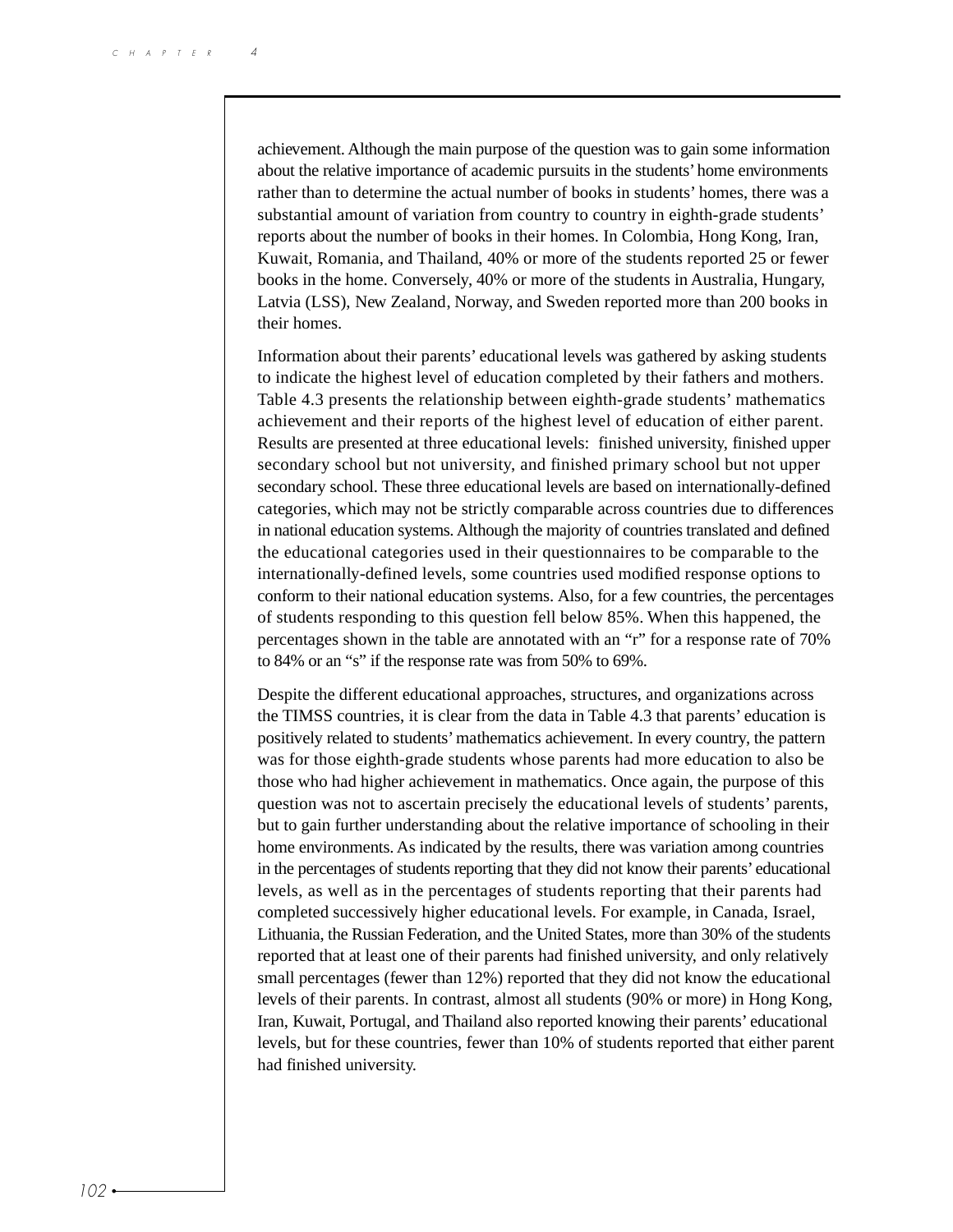achievement. Although the main purpose of the question was to gain some information about the relative importance of academic pursuits in the students' home environments rather than to determine the actual number of books in students' homes, there was a substantial amount of variation from country to country in eighth-grade students' reports about the number of books in their homes. In Colombia, Hong Kong, Iran, Kuwait, Romania, and Thailand, 40% or more of the students reported 25 or fewer books in the home. Conversely, 40% or more of the students in Australia, Hungary, Latvia (LSS), New Zealand, Norway, and Sweden reported more than 200 books in their homes.

Information about their parents' educational levels was gathered by asking students to indicate the highest level of education completed by their fathers and mothers. Table 4.3 presents the relationship between eighth-grade students' mathematics achievement and their reports of the highest level of education of either parent. Results are presented at three educational levels: finished university, finished upper secondary school but not university, and finished primary school but not upper secondary school. These three educational levels are based on internationally-defined categories, which may not be strictly comparable across countries due to differences in national education systems. Although the majority of countries translated and defined the educational categories used in their questionnaires to be comparable to the internationally-defined levels, some countries used modified response options to conform to their national education systems. Also, for a few countries, the percentages of students responding to this question fell below 85%. When this happened, the percentages shown in the table are annotated with an "r" for a response rate of 70% to 84% or an "s" if the response rate was from 50% to 69%.

Despite the different educational approaches, structures, and organizations across the TIMSS countries, it is clear from the data in Table 4.3 that parents' education is positively related to students' mathematics achievement. In every country, the pattern was for those eighth-grade students whose parents had more education to also be those who had higher achievement in mathematics. Once again, the purpose of this question was not to ascertain precisely the educational levels of students' parents, but to gain further understanding about the relative importance of schooling in their home environments. As indicated by the results, there was variation among countries in the percentages of students reporting that they did not know their parents' educational levels, as well as in the percentages of students reporting that their parents had completed successively higher educational levels. For example, in Canada, Israel, Lithuania, the Russian Federation, and the United States, more than 30% of the students reported that at least one of their parents had finished university, and only relatively small percentages (fewer than 12%) reported that they did not know the educational levels of their parents. In contrast, almost all students (90% or more) in Hong Kong, Iran, Kuwait, Portugal, and Thailand also reported knowing their parents' educational levels, but for these countries, fewer than 10% of students reported that either parent had finished university.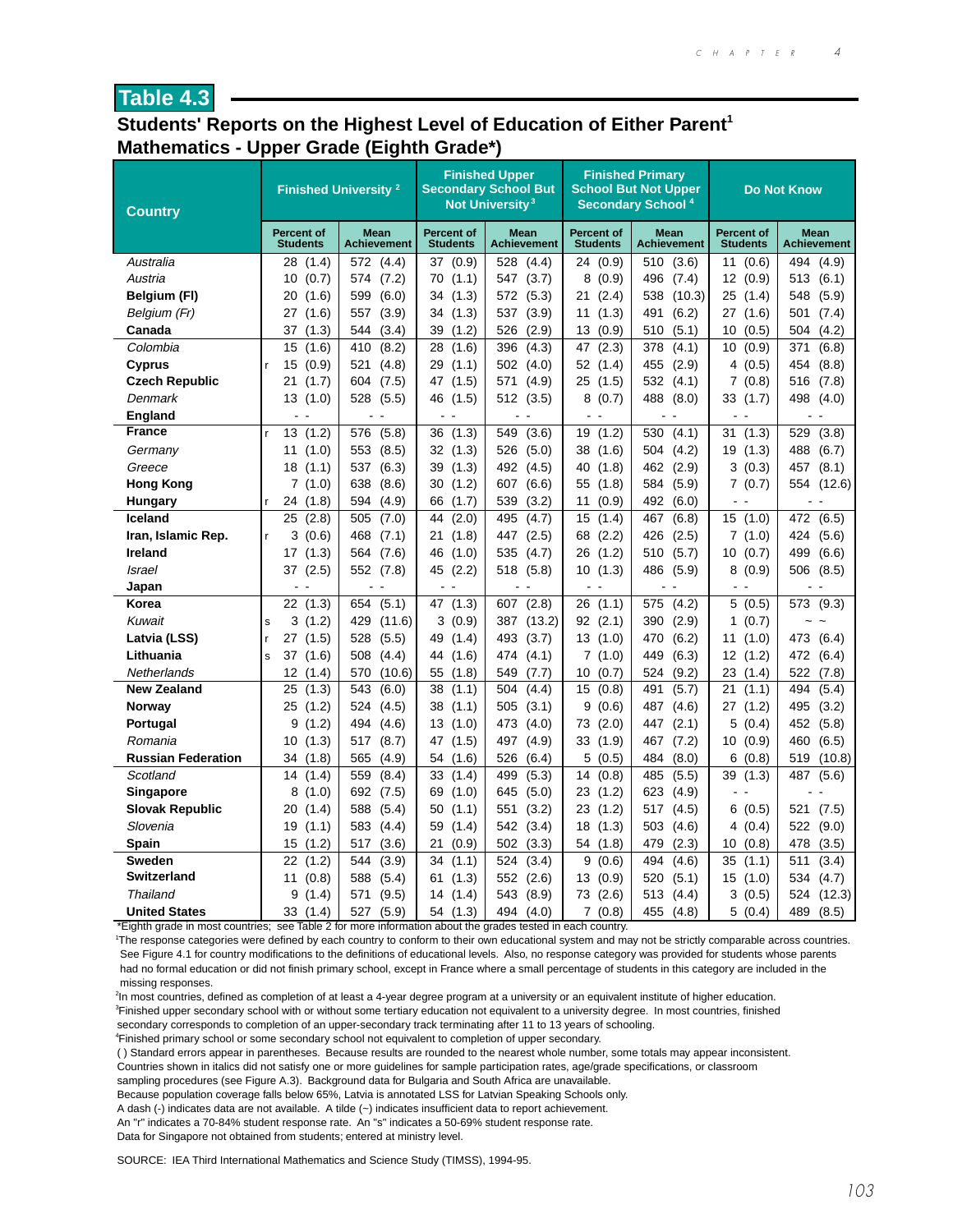#### **Students' Reports on the Highest Level of Education of Either Parent<sup>1</sup> Mathematics - Upper Grade (Eighth Grade\*)**

| <b>Country</b>            |                                      | <b>Finished University 2</b> | <b>Finished Upper</b><br><b>Secondary School But</b><br>Not University <sup>3</sup> |                            | <b>Finished Primarv</b><br><b>School But Not Upper</b><br><b>Secondary School 4</b> |                            | <b>Do Not Know</b>            |                            |
|---------------------------|--------------------------------------|------------------------------|-------------------------------------------------------------------------------------|----------------------------|-------------------------------------------------------------------------------------|----------------------------|-------------------------------|----------------------------|
|                           | <b>Percent of</b><br><b>Students</b> | Mean<br><b>Achievement</b>   | <b>Percent of</b><br><b>Students</b>                                                | Mean<br><b>Achievement</b> | Percent of<br><b>Students</b>                                                       | Mean<br><b>Achievement</b> | Percent of<br><b>Students</b> | Mean<br><b>Achievement</b> |
| Australia                 | 28<br>(1.4)                          | 572<br>(4.4)                 | 37<br>(0.9)                                                                         | 528<br>(4.4)               | 24<br>(0.9)                                                                         | 510<br>(3.6)               | (0.6)<br>11                   | 494<br>(4.9)               |
| Austria                   | 10<br>(0.7)                          | (7.2)<br>574                 | 70<br>(1.1)                                                                         | 547<br>(3.7)               | 8<br>(0.9)                                                                          | 496<br>(7.4)               | 12<br>(0.9)                   | 513<br>(6.1)               |
| Belgium (FI)              | 20<br>(1.6)                          | 599<br>(6.0)                 | 34<br>(1.3)                                                                         | 572 (5.3)                  | (2.4)<br>21                                                                         | 538<br>(10.3)              | 25<br>(1.4)                   | (5.9)<br>548               |
| Belgium (Fr)              | 27<br>(1.6)                          | 557<br>(3.9)                 | (1.3)<br>34                                                                         | 537<br>(3.9)               | (1.3)<br>11                                                                         | 491<br>(6.2)               | 27<br>(1.6)                   | 501<br>(7.4)               |
| Canada                    | 37<br>(1.3)                          | (3.4)<br>544                 | 39<br>(1.2)                                                                         | (2.9)<br>526               | 13<br>(0.9)                                                                         | (5.1)<br>510               | 10<br>(0.5)                   | (4.2)<br>504               |
| Colombia                  | 15<br>(1.6)                          | 410<br>(8.2)                 | 28<br>(1.6)                                                                         | 396<br>(4.3)               | 47<br>(2.3)                                                                         | 378<br>(4.1)               | 10<br>(0.9)                   | 371<br>(6.8)               |
| Cyprus                    | 15<br>(0.9)<br>r                     | 521<br>(4.8)                 | 29<br>(1.1)                                                                         | 502 (4.0)                  | 52 (1.4)                                                                            | 455<br>(2.9)               | 4<br>(0.5)                    | 454<br>(8.8)               |
| <b>Czech Republic</b>     | 21<br>(1.7)                          | 604<br>(7.5)                 | 47<br>(1.5)                                                                         | 571<br>(4.9)               | 25 (1.5)                                                                            | (4.1)<br>532               | 7(0.8)                        | 516<br>(7.8)               |
| Denmark                   | 13(1.0)                              | 528<br>(5.5)                 | 46 (1.5)                                                                            | 512 (3.5)                  | 8 (0.7)                                                                             | 488 (8.0)                  | 33 (1.7)                      | 498 (4.0)                  |
| <b>England</b>            | $\overline{\phantom{a}}$<br>$\sim$   | ÷<br>÷.                      | $\sim$ $\sim$                                                                       | $\sim$ $\sim$              | $\blacksquare$<br><b>.</b>                                                          | $\blacksquare$<br>÷        | ÷<br>÷.                       | ÷<br>÷.                    |
| <b>France</b>             | 13<br>r<br>(1.2)                     | 576<br>(5.8)                 | 36<br>(1.3)                                                                         | 549<br>(3.6)               | 19<br>(1.2)                                                                         | 530<br>(4.1)               | 31<br>(1.3)                   | 529<br>(3.8)               |
| Germany                   | 11<br>(1.0)                          | (8.5)<br>553                 | 32<br>(1.3)                                                                         | (5.0)<br>526               | (1.6)<br>38                                                                         | 504<br>(4.2)               | 19<br>(1.3)                   | (6.7)<br>488               |
| Greece                    | 18<br>(1.1)                          | 537<br>(6.3)                 | 39<br>(1.3)                                                                         | 492 (4.5)                  | 40<br>(1.8)                                                                         | 462 (2.9)                  | 3(0.3)                        | 457<br>(8.1)               |
| <b>Hong Kong</b>          | 7(1.0)                               | 638<br>(8.6)                 | 30<br>(1.2)                                                                         | 607<br>(6.6)               | (1.8)<br>55                                                                         | 584<br>(5.9)               | 7(0.7)                        | (12.6)<br>554              |
| <b>Hungary</b>            | (1.8)<br>ŕ<br>24                     | 594<br>(4.9)                 | 66<br>(1.7)                                                                         | 539<br>(3.2)               | (0.9)<br>11                                                                         | 492 (6.0)                  | $\overline{a}$                |                            |
| <b>Iceland</b>            | 25<br>(2.8)                          | (7.0)<br>505                 | 44<br>(2.0)                                                                         | 495<br>(4.7)               | 15<br>(1.4)                                                                         | 467<br>(6.8)               | 15<br>(1.0)                   | (6.5)<br>472               |
| Iran, Islamic Rep.        | 3<br>(0.6)<br>r                      | 468<br>(7.1)                 | 21<br>(1.8)                                                                         | (2.5)<br>447               | (2.2)<br>68                                                                         | (2.5)<br>426               | 7(1.0)                        | 424<br>(5.6)               |
| <b>Ireland</b>            | 17<br>(1.3)                          | (7.6)<br>564                 | (1.0)<br>46                                                                         | 535<br>(4.7)               | 26<br>(1.2)                                                                         | (5.7)<br>510               | 10<br>(0.7)                   | 499<br>(6.6)               |
| <b>Israel</b>             | 37<br>(2.5)                          | 552<br>(7.8)                 | 45 (2.2)                                                                            | 518 (5.8)                  | 10(1.3)                                                                             | 486 (5.9)                  | 8(0.9)                        | 506 (8.5)                  |
| Japan                     |                                      |                              |                                                                                     |                            |                                                                                     |                            |                               |                            |
| Korea                     | 22<br>(1.3)                          | (5.1)<br>654                 | 47<br>(1.3)                                                                         | (2.8)<br>607               | 26<br>(1.1)                                                                         | 575<br>(4.2)               | 5<br>(0.5)                    | 573<br>(9.3)               |
| Kuwait                    | 3(1.2)<br>s                          | 429<br>(11.6)                | 3(0.9)                                                                              | 387 (13.2)                 | 92(2.1)                                                                             | 390<br>(2.9)               | 1<br>(0.7)                    |                            |
| Latvia (LSS)              | 27<br>r<br>(1.5)                     | 528<br>(5.5)                 | 49<br>(1.4)                                                                         | 493<br>(3.7)               | 13 (1.0)                                                                            | (6.2)<br>470               | 11<br>(1.0)                   | 473<br>(6.4)               |
| Lithuania                 | 37<br>(1.6)<br>s                     | 508<br>(4.4)                 | (1.6)<br>44                                                                         | 474<br>(4.1)               | (1.0)<br>7                                                                          | 449<br>(6.3)               | 12<br>(1.2)                   | 472<br>(6.4)               |
| Netherlands               | 12<br>(1.4)                          | 570<br>(10.6)                | 55<br>(1.8)                                                                         | 549<br>(7.7)               | 10<br>(0.7)                                                                         | (9.2)<br>524               | 23<br>(1.4)                   | 522<br>(7.8)               |
| <b>New Zealand</b>        | 25<br>(1.3)                          | 543<br>(6.0)                 | 38<br>(1.1)                                                                         | (4.4)<br>504               | (0.8)<br>15                                                                         | (5.7)<br>491               | 21<br>(1.1)                   | 494<br>(5.4)               |
| Norway                    | 25<br>(1.2)                          | 524<br>(4.5)                 | 38<br>(1.1)                                                                         | 505<br>(3.1)               | 9<br>(0.6)                                                                          | 487<br>(4.6)               | 27<br>(1.2)                   | 495<br>(3.2)               |
| Portugal                  | 9<br>(1.2)                           | 494<br>(4.6)                 | 13(1.0)                                                                             | 473<br>(4.0)               | 73<br>(2.0)                                                                         | 447<br>(2.1)               | 5<br>(0.4)                    | 452<br>(5.8)               |
| Romania                   | (1.3)<br>10                          | 517<br>(8.7)                 | 47<br>(1.5)                                                                         | 497<br>(4.9)               | 33<br>(1.9)                                                                         | (7.2)<br>467               | 10<br>(0.9)                   | 460<br>(6.5)               |
| <b>Russian Federation</b> | 34<br>(1.8)                          | 565<br>(4.9)                 | (1.6)<br>54                                                                         | 526<br>(6.4)               | 5<br>(0.5)                                                                          | 484<br>(8.0)               | 6<br>(0.8)                    | 519<br>(10.8)              |
| Scotland                  | 14<br>(1.4)                          | 559<br>(8.4)                 | 33<br>(1.4)                                                                         | 499<br>(5.3)               | 14<br>(0.8)                                                                         | 485<br>(5.5)               | 39<br>(1.3)                   | 487<br>(5.6)               |
| Singapore                 | 8<br>(1.0)                           | 692<br>(7.5)                 | 69<br>(1.0)                                                                         | (5.0)<br>645               | 23<br>(1.2)                                                                         | 623<br>(4.9)               |                               |                            |
| <b>Slovak Republic</b>    | 20<br>(1.4)                          | 588<br>(5.4)                 | (1.1)<br>50                                                                         | 551<br>(3.2)               | 23<br>(1.2)                                                                         | (4.5)<br>517               | 6<br>(0.5)                    | 521<br>(7.5)               |
| Slovenia                  | 19<br>(1.1)                          | 583<br>(4.4)                 | 59<br>(1.4)                                                                         | 542 (3.4)                  | (1.3)<br>18                                                                         | 503<br>(4.6)               | 4 (0.4)                       | 522<br>(9.0)               |
| Spain                     | 15<br>(1.2)                          | 517<br>(3.6)                 | 21<br>(0.9)                                                                         | 502 (3.3)                  | (1.8)<br>54                                                                         | 479<br>(2.3)               | 10<br>(0.8)                   | 478<br>(3.5)               |
| <b>Sweden</b>             | 22<br>(1.2)                          | 544<br>(3.9)                 | (1.1)<br>34                                                                         | (3.4)<br>524               | 9<br>(0.6)                                                                          | (4.6)<br>494               | 35<br>(1.1)                   | 511<br>(3.4)               |
| <b>Switzerland</b>        | 11<br>(0.8)                          | (5.4)<br>588                 | 61<br>(1.3)                                                                         | 552 (2.6)                  | 13<br>(0.9)                                                                         | 520<br>(5.1)               | 15<br>(1.0)                   | 534<br>(4.7)               |
| Thailand                  | 9<br>(1.4)                           | (9.5)<br>571                 | 14<br>(1.4)                                                                         | 543<br>(8.9)               | (2.6)<br>73                                                                         | 513<br>(4.4)               | 3<br>(0.5)                    | (12.3)<br>524              |
| <b>United States</b>      | 33<br>(1.4)                          | 527<br>(5.9)                 | 54<br>(1.3)                                                                         | 494<br>(4.0)               | 7(0.8)                                                                              | 455<br>(4.8)               | 5(0.4)                        | 489<br>(8.5)               |

\*Eighth grade in most countries; see Table 2 for more information about the grades tested in each country.

1 The response categories were defined by each country to conform to their own educational system and may not be strictly comparable across countries. See Figure 4.1 for country modifications to the definitions of educational levels. Also, no response category was provided for students whose parents had no formal education or did not finish primary school, except in France where a small percentage of students in this category are included in the missing responses.

2 In most countries, defined as completion of at least a 4-year degree program at a university or an equivalent institute of higher education. 3 Finished upper secondary school with or without some tertiary education not equivalent to a university degree. In most countries, finished

secondary corresponds to completion of an upper-secondary track terminating after 11 to 13 years of schooling.

4 Finished primary school or some secondary school not equivalent to completion of upper secondary.

( ) Standard errors appear in parentheses. Because results are rounded to the nearest whole number, some totals may appear inconsistent.

Countries shown in italics did not satisfy one or more guidelines for sample participation rates, age/grade specifications, or classroom

sampling procedures (see Figure A.3). Background data for Bulgaria and South Africa are unavailable.

Because population coverage falls below 65%, Latvia is annotated LSS for Latvian Speaking Schools only.

A dash (-) indicates data are not available. A tilde (~) indicates insufficient data to report achievement.

An "r" indicates a 70-84% student response rate. An "s" indicates a 50-69% student response rate.

Data for Singapore not obtained from students; entered at ministry level.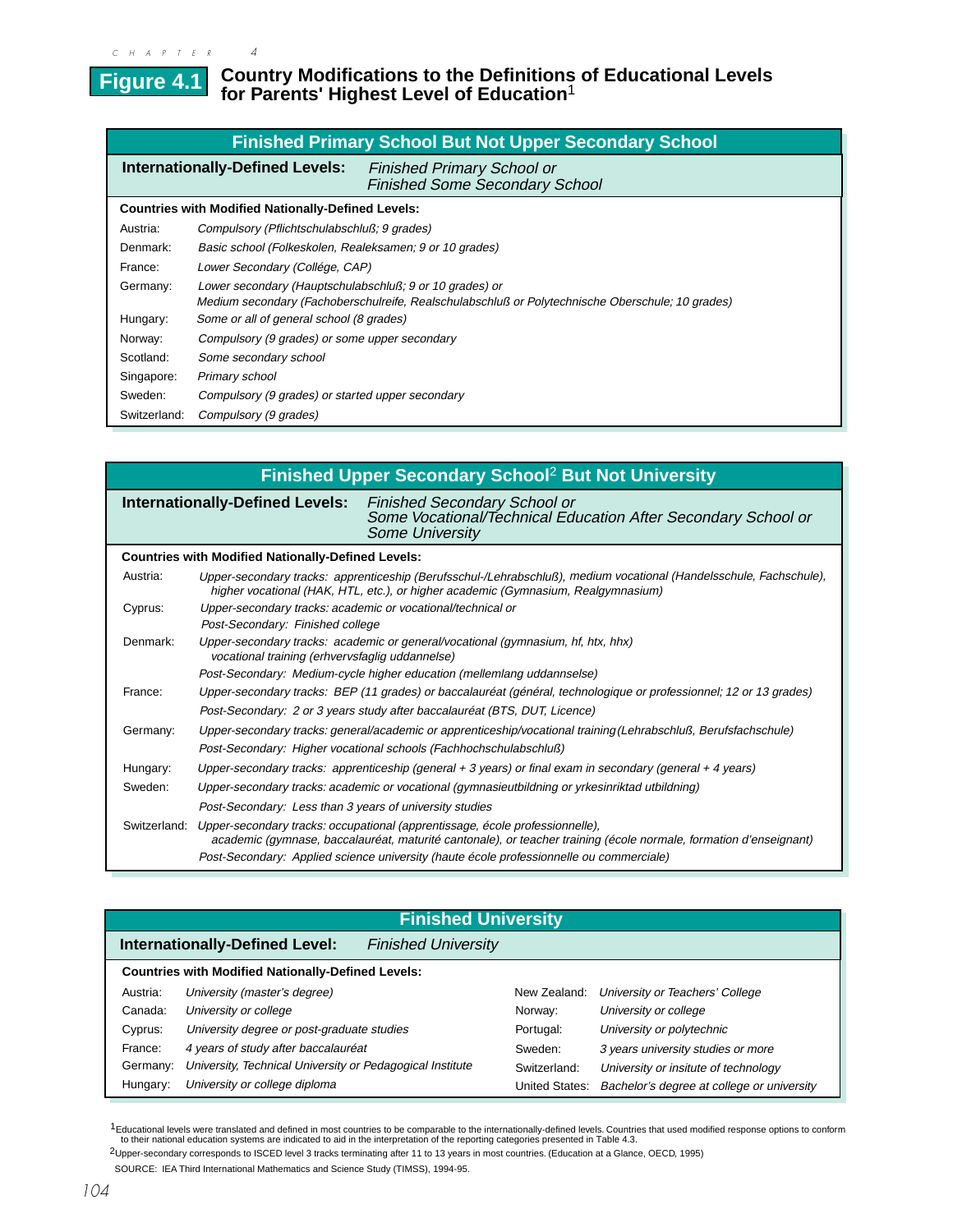# **Figure 4.1**

#### **Country Modifications to the Definitions of Educational Levels for Parents' Highest Level of Education**<sup>1</sup>

|              | <b>Finished Primary School But Not Upper Secondary School</b>                                                                                               |  |  |  |  |  |  |
|--------------|-------------------------------------------------------------------------------------------------------------------------------------------------------------|--|--|--|--|--|--|
|              | <b>Internationally-Defined Levels:</b><br><b>Finished Primary School or</b><br><b>Finished Some Secondary School</b>                                        |  |  |  |  |  |  |
|              | <b>Countries with Modified Nationally-Defined Levels:</b>                                                                                                   |  |  |  |  |  |  |
| Austria:     | Compulsory (Pflichtschulabschluß; 9 grades)                                                                                                                 |  |  |  |  |  |  |
| Denmark:     | Basic school (Folkeskolen, Realeksamen; 9 or 10 grades)                                                                                                     |  |  |  |  |  |  |
| France:      | Lower Secondary (Collége, CAP)                                                                                                                              |  |  |  |  |  |  |
| Germany:     | Lower secondary (Hauptschulabschluß; 9 or 10 grades) or<br>Medium secondary (Fachoberschulreife, Realschulabschluß or Polytechnische Oberschule; 10 grades) |  |  |  |  |  |  |
| Hungary:     | Some or all of general school (8 grades)                                                                                                                    |  |  |  |  |  |  |
| Norway:      | Compulsory (9 grades) or some upper secondary                                                                                                               |  |  |  |  |  |  |
| Scotland:    | Some secondary school                                                                                                                                       |  |  |  |  |  |  |
| Singapore:   | Primary school                                                                                                                                              |  |  |  |  |  |  |
| Sweden:      | Compulsory (9 grades) or started upper secondary                                                                                                            |  |  |  |  |  |  |
| Switzerland: | Compulsory (9 grades)                                                                                                                                       |  |  |  |  |  |  |

|              | Finished Upper Secondary School <sup>2</sup> But Not University                                                                                                                                         |  |  |  |  |
|--------------|---------------------------------------------------------------------------------------------------------------------------------------------------------------------------------------------------------|--|--|--|--|
|              | <b>Internationally-Defined Levels:</b><br>Finished Secondary School or<br>Some Vocational/Technical Education After Secondary School or<br>Some University                                              |  |  |  |  |
|              | <b>Countries with Modified Nationally-Defined Levels:</b>                                                                                                                                               |  |  |  |  |
| Austria:     | Upper-secondary tracks: apprenticeship (Berufsschul-/Lehrabschluß), medium vocational (Handelsschule, Fachschule),<br>higher vocational (HAK, HTL, etc.), or higher academic (Gymnasium, Realgymnasium) |  |  |  |  |
| Cyprus:      | Upper-secondary tracks: academic or vocational/technical or                                                                                                                                             |  |  |  |  |
|              | Post-Secondary: Finished college                                                                                                                                                                        |  |  |  |  |
| Denmark:     | Upper-secondary tracks: academic or general/vocational (gymnasium, hf, htx, hhx)<br>vocational training (erhvervsfaglig uddannelse)                                                                     |  |  |  |  |
|              | Post-Secondary: Medium-cycle higher education (mellemlang uddannselse)                                                                                                                                  |  |  |  |  |
| France:      | Upper-secondary tracks: BEP (11 grades) or baccalauréat (général, technologique or professionnel; 12 or 13 grades)                                                                                      |  |  |  |  |
|              | Post-Secondary: 2 or 3 years study after baccalauréat (BTS, DUT, Licence)                                                                                                                               |  |  |  |  |
| Germany:     | Upper-secondary tracks: general/academic or apprenticeship/vocational training (Lehrabschluß, Berufsfachschule)                                                                                         |  |  |  |  |
|              | Post-Secondary: Higher vocational schools (Fachhochschulabschluß)                                                                                                                                       |  |  |  |  |
| Hungary:     | Upper-secondary tracks: apprenticeship (general + 3 years) or final exam in secondary (general + 4 years)                                                                                               |  |  |  |  |
| Sweden:      | Upper-secondary tracks: academic or vocational (gymnasieutbildning or yrkesinriktad utbildning)                                                                                                         |  |  |  |  |
|              | Post-Secondary: Less than 3 years of university studies                                                                                                                                                 |  |  |  |  |
| Switzerland: | Upper-secondary tracks: occupational (apprentissage, école professionnelle),<br>academic (gymnase, baccalauréat, maturité cantonale), or teacher training (école normale, formation d'enseignant)       |  |  |  |  |
|              | Post-Secondary: Applied science university (haute école professionnelle ou commerciale)                                                                                                                 |  |  |  |  |

#### **Finished University**

|          | <b>Internationally-Defined Level:</b>                     | <b>Finished University</b> |                |                                            |  |  |  |  |  |
|----------|-----------------------------------------------------------|----------------------------|----------------|--------------------------------------------|--|--|--|--|--|
|          | <b>Countries with Modified Nationally-Defined Levels:</b> |                            |                |                                            |  |  |  |  |  |
| Austria: | University (master's degree)                              |                            | New Zealand:   | University or Teachers' College            |  |  |  |  |  |
| Canada:  | University or college                                     |                            | Norway:        | University or college                      |  |  |  |  |  |
| Cyprus:  | University degree or post-graduate studies                |                            | Portugal:      | University or polytechnic                  |  |  |  |  |  |
| France:  | 4 years of study after baccalauréat                       |                            | Sweden:        | 3 years university studies or more         |  |  |  |  |  |
| Germany: | University, Technical University or Pedagogical Institute |                            | Switzerland:   | University or insitute of technology       |  |  |  |  |  |
| Hungary: | University or college diploma                             |                            | United States: | Bachelor's degree at college or university |  |  |  |  |  |

<sup>1</sup>Educational levels were translated and defined in most countries to be comparable to the internationally-defined levels. Countries that used modified response options to conform<br>to their national education systems are i

2Upper-secondary corresponds to ISCED level 3 tracks terminating after 11 to 13 years in most countries. (Education at a Glance, OECD, 1995)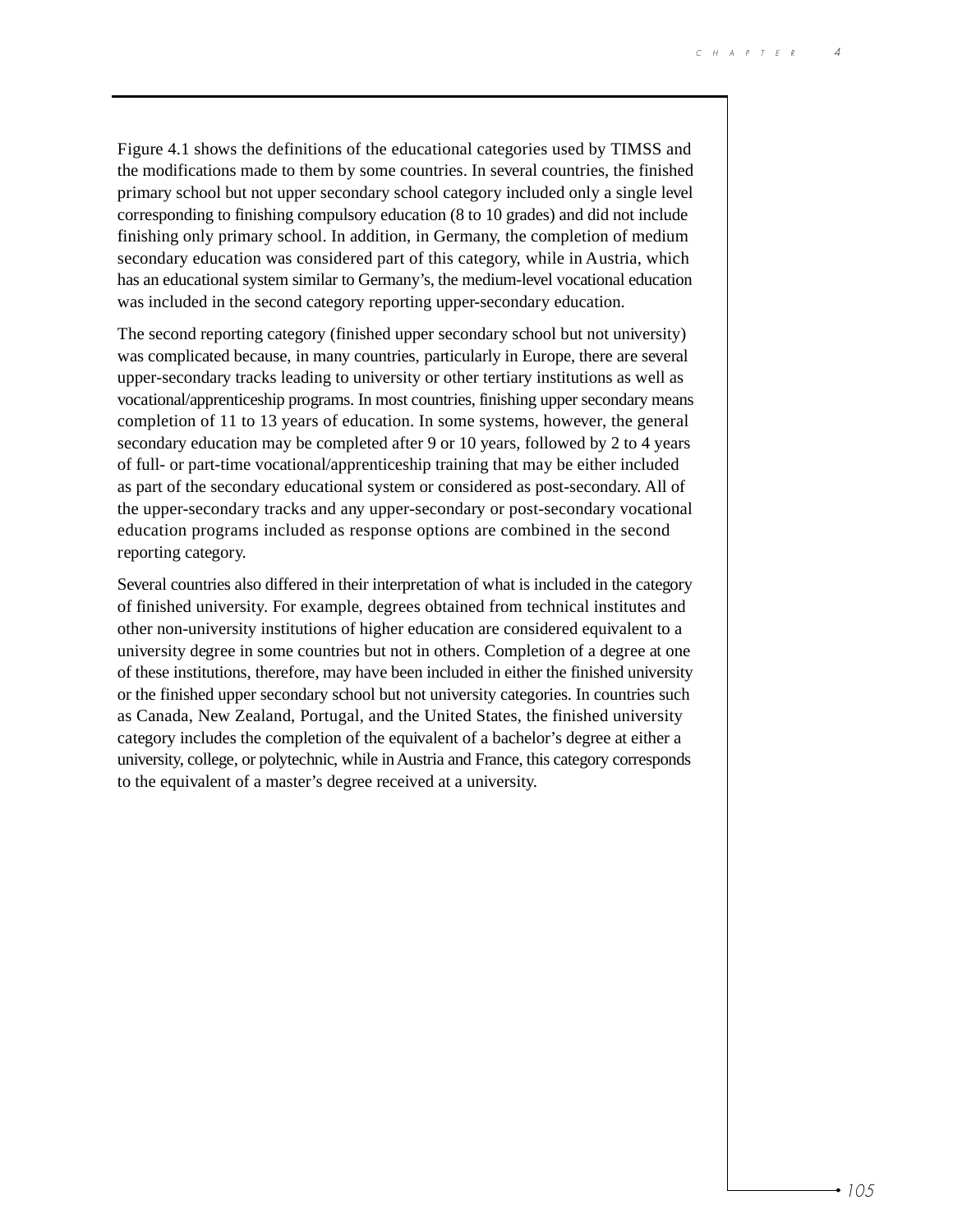Figure 4.1 shows the definitions of the educational categories used by TIMSS and the modifications made to them by some countries. In several countries, the finished primary school but not upper secondary school category included only a single level corresponding to finishing compulsory education (8 to 10 grades) and did not include finishing only primary school. In addition, in Germany, the completion of medium secondary education was considered part of this category, while in Austria, which has an educational system similar to Germany's, the medium-level vocational education was included in the second category reporting upper-secondary education.

The second reporting category (finished upper secondary school but not university) was complicated because, in many countries, particularly in Europe, there are several upper-secondary tracks leading to university or other tertiary institutions as well as vocational/apprenticeship programs. In most countries, finishing upper secondary means completion of 11 to 13 years of education. In some systems, however, the general secondary education may be completed after 9 or 10 years, followed by 2 to 4 years of full- or part-time vocational/apprenticeship training that may be either included as part of the secondary educational system or considered as post-secondary. All of the upper-secondary tracks and any upper-secondary or post-secondary vocational education programs included as response options are combined in the second reporting category.

Several countries also differed in their interpretation of what is included in the category of finished university. For example, degrees obtained from technical institutes and other non-university institutions of higher education are considered equivalent to a university degree in some countries but not in others. Completion of a degree at one of these institutions, therefore, may have been included in either the finished university or the finished upper secondary school but not university categories. In countries such as Canada, New Zealand, Portugal, and the United States, the finished university category includes the completion of the equivalent of a bachelor's degree at either a university, college, or polytechnic, while in Austria and France, this category corresponds to the equivalent of a master's degree received at a university.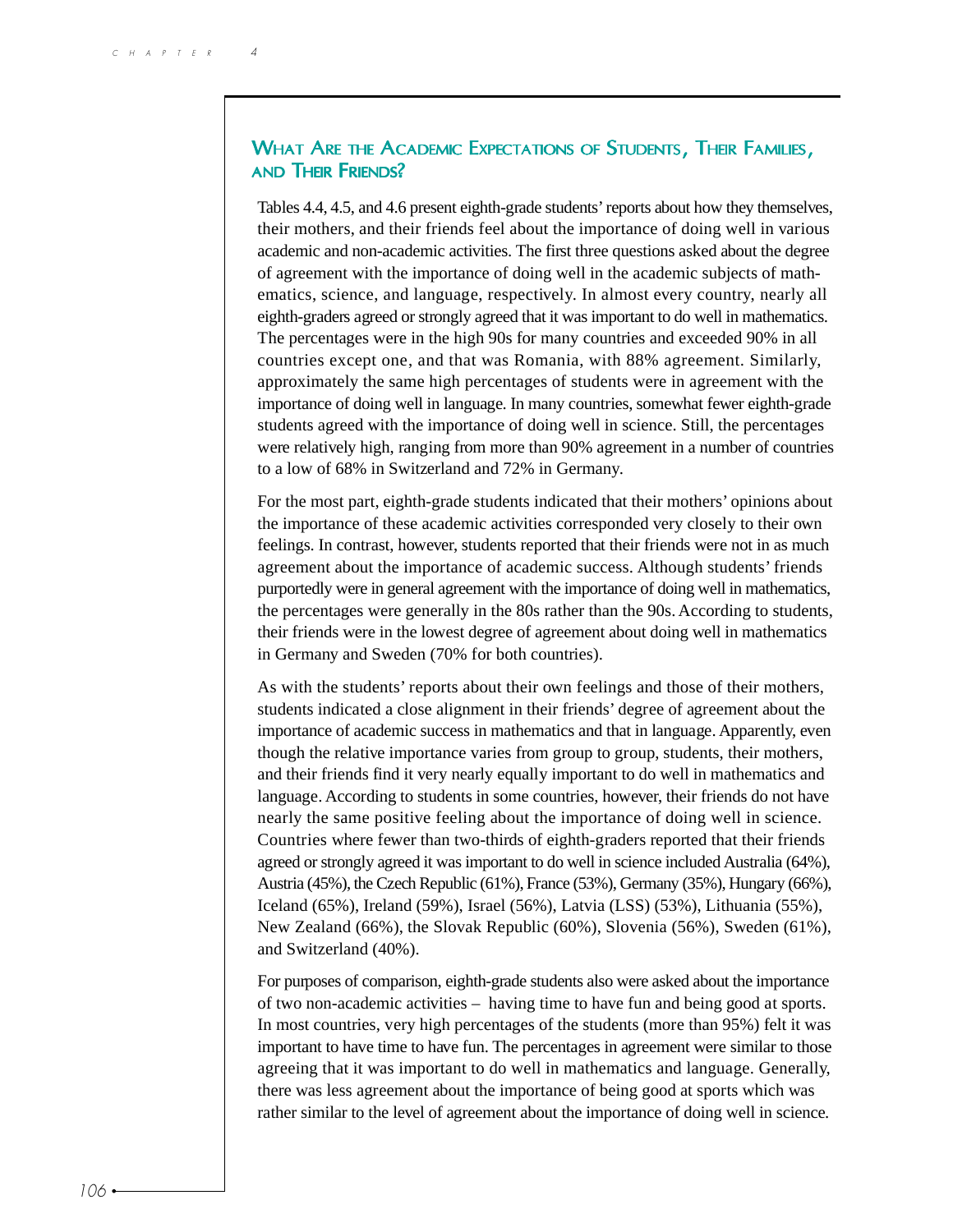# WHAT ARE THE ACADEMIC EXPECTATIONS OF STUDENTS, THEIR FAMILIES, AND THEIR FRIENDS?

Tables 4.4, 4.5, and 4.6 present eighth-grade students' reports about how they themselves, their mothers, and their friends feel about the importance of doing well in various academic and non-academic activities. The first three questions asked about the degree of agreement with the importance of doing well in the academic subjects of mathematics, science, and language, respectively. In almost every country, nearly all eighth-graders agreed or strongly agreed that it was important to do well in mathematics. The percentages were in the high 90s for many countries and exceeded 90% in all countries except one, and that was Romania, with 88% agreement. Similarly, approximately the same high percentages of students were in agreement with the importance of doing well in language. In many countries, somewhat fewer eighth-grade students agreed with the importance of doing well in science. Still, the percentages were relatively high, ranging from more than 90% agreement in a number of countries to a low of 68% in Switzerland and 72% in Germany.

For the most part, eighth-grade students indicated that their mothers' opinions about the importance of these academic activities corresponded very closely to their own feelings. In contrast, however, students reported that their friends were not in as much agreement about the importance of academic success. Although students' friends purportedly were in general agreement with the importance of doing well in mathematics, the percentages were generally in the 80s rather than the 90s. According to students, their friends were in the lowest degree of agreement about doing well in mathematics in Germany and Sweden (70% for both countries).

As with the students' reports about their own feelings and those of their mothers, students indicated a close alignment in their friends' degree of agreement about the importance of academic success in mathematics and that in language. Apparently, even though the relative importance varies from group to group, students, their mothers, and their friends find it very nearly equally important to do well in mathematics and language. According to students in some countries, however, their friends do not have nearly the same positive feeling about the importance of doing well in science. Countries where fewer than two-thirds of eighth-graders reported that their friends agreed or strongly agreed it was important to do well in science included Australia (64%), Austria (45%), the Czech Republic (61%), France (53%), Germany (35%), Hungary (66%), Iceland (65%), Ireland (59%), Israel (56%), Latvia (LSS) (53%), Lithuania (55%), New Zealand (66%), the Slovak Republic (60%), Slovenia (56%), Sweden (61%), and Switzerland (40%).

For purposes of comparison, eighth-grade students also were asked about the importance of two non-academic activities – having time to have fun and being good at sports. In most countries, very high percentages of the students (more than 95%) felt it was important to have time to have fun. The percentages in agreement were similar to those agreeing that it was important to do well in mathematics and language. Generally, there was less agreement about the importance of being good at sports which was rather similar to the level of agreement about the importance of doing well in science.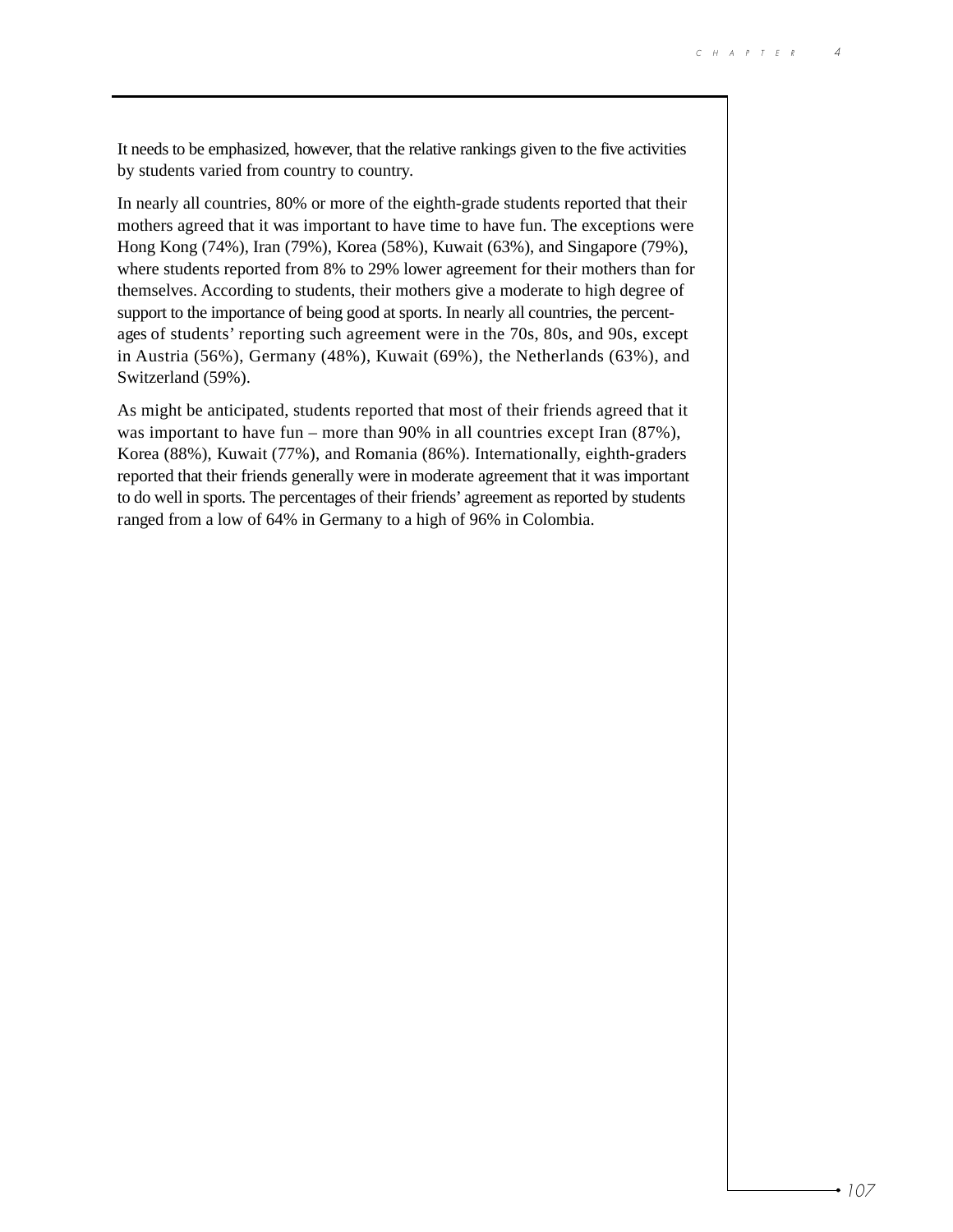It needs to be emphasized, however, that the relative rankings given to the five activities by students varied from country to country.

In nearly all countries, 80% or more of the eighth-grade students reported that their mothers agreed that it was important to have time to have fun. The exceptions were Hong Kong (74%), Iran (79%), Korea (58%), Kuwait (63%), and Singapore (79%), where students reported from 8% to 29% lower agreement for their mothers than for themselves. According to students, their mothers give a moderate to high degree of support to the importance of being good at sports. In nearly all countries, the percentages of students' reporting such agreement were in the 70s, 80s, and 90s, except in Austria (56%), Germany (48%), Kuwait (69%), the Netherlands (63%), and Switzerland (59%).

As might be anticipated, students reported that most of their friends agreed that it was important to have fun – more than 90% in all countries except Iran (87%), Korea (88%), Kuwait (77%), and Romania (86%). Internationally, eighth-graders reported that their friends generally were in moderate agreement that it was important to do well in sports. The percentages of their friends' agreement as reported by students ranged from a low of 64% in Germany to a high of 96% in Colombia.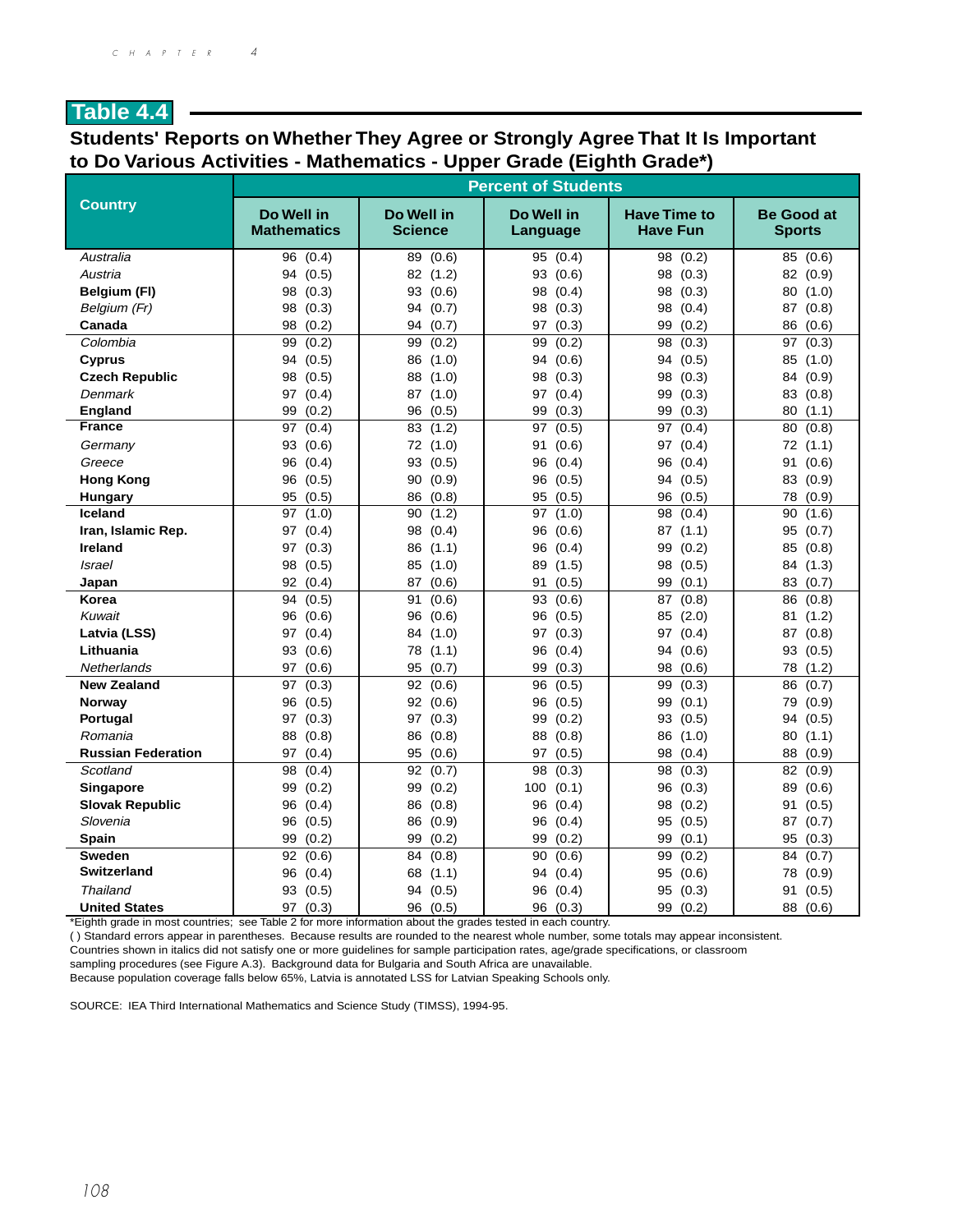#### **Students' Reports on Whether They Agree or Strongly Agree That It Is Important to Do Various Activities - Mathematics - Upper Grade (Eighth Grade\*)**

|                                                                        |                     |                               | <b>Percent of Students</b>                     |                     |                   |
|------------------------------------------------------------------------|---------------------|-------------------------------|------------------------------------------------|---------------------|-------------------|
| <b>Country</b>                                                         | Do Well in          | Do Well in                    | Do Well in                                     | <b>Have Time to</b> | <b>Be Good at</b> |
|                                                                        | <b>Mathematics</b>  | <b>Science</b>                | Language                                       | <b>Have Fun</b>     | <b>Sports</b>     |
| Australia                                                              | 96 (0.4)            | 89<br>(0.6)                   | (0.4)<br>95                                    | 98<br>(0.2)         | 85<br>(0.6)       |
| Austria                                                                | (0.5)<br>94         | 82<br>(1.2)                   | 93 (0.6)                                       | (0.3)<br>98         | 82<br>(0.9)       |
| Belgium (FI)                                                           | 98                  | 93                            | 98                                             | 98                  | 80                |
|                                                                        | (0.3)               | (0.6)                         | (0.4)                                          | (0.3)               | (1.0)             |
| Belgium (Fr)                                                           | 98                  | 94                            | 98                                             | 98                  | 87                |
|                                                                        | (0.3)               | (0.7)                         | (0.3)                                          | (0.4)               | (0.8)             |
| Canada                                                                 | 98                  | (0.7)                         | 97                                             | 99                  | (0.6)             |
|                                                                        | (0.2)               | 94                            | (0.3)                                          | (0.2)               | 86                |
| Colombia                                                               | 99                  | (0.2)                         | (0.2)                                          | (0.3)               | (0.3)             |
|                                                                        | (0.2)               | 99                            | 99                                             | 98                  | 97                |
| <b>Cyprus</b>                                                          | (0.5)               | 86                            | (0.6)                                          | 94                  | 85                |
|                                                                        | 94                  | (1.0)                         | 94                                             | (0.5)               | (1.0)             |
| <b>Czech Republic</b>                                                  | 98                  | 88                            | 98                                             | 98                  | 84                |
|                                                                        | (0.5)               | (1.0)                         | (0.3)                                          | (0.3)               | (0.9)             |
| <b>Denmark</b>                                                         | (0.4)               | (1.0)                         | 97                                             | 99                  | 83                |
|                                                                        | 97                  | 87                            | (0.4)                                          | (0.3)               | (0.8)             |
| England                                                                | 99                  | 96                            | 99                                             | 99                  | 80                |
|                                                                        | (0.2)               | (0.5)                         | (0.3)                                          | (0.3)               | (1.1)             |
| <b>France</b>                                                          | 97                  | 83                            | 97                                             | 97                  | 80                |
|                                                                        | (0.4)               | (1.2)                         | (0.5)                                          | (0.4)               | (0.8)             |
| Germany                                                                | 93 (0.6)            | 72 (1.0)                      | 91<br>(0.6)                                    | 97<br>(0.4)         | 72 (1.1)          |
| Greece                                                                 | 96                  | 93                            | (0.4)                                          | 96                  | (0.6)             |
|                                                                        | (0.4)               | (0.5)                         | 96                                             | (0.4)               | 91                |
| <b>Hong Kong</b>                                                       | 96                  | 90                            | 96                                             | 94                  | 83                |
|                                                                        | (0.5)               | (0.9)                         | (0.5)                                          | (0.5)               | (0.9)             |
| <b>Hungary</b>                                                         | 95                  | (0.8)                         | 95                                             | (0.5)               | 78                |
|                                                                        | (0.5)               | 86                            | (0.5)                                          | 96                  | (0.9)             |
| <b>Iceland</b>                                                         | 97                  | 90                            | 97                                             | 98                  | 90                |
|                                                                        | (1.0)               | (1.2)                         | (1.0)                                          | (0.4)               | (1.6)             |
| Iran, Islamic Rep.                                                     | 97                  | (0.4)                         | 96                                             | 87                  | 95                |
|                                                                        | (0.4)               | 98                            | (0.6)                                          | (1.1)               | (0.7)             |
| <b>Ireland</b>                                                         | 97                  | 86                            | 96                                             | 99                  | 85                |
|                                                                        | (0.3)               | (1.1)                         | (0.4)                                          | (0.2)               | (0.8)             |
| Israel                                                                 | 98 (0.5)            | 85 (1.0)                      | (1.5)<br>89                                    | (0.5)<br>98         | (1.3)<br>84       |
| Japan                                                                  | 92                  | 87                            | 91                                             | 99                  | 83                |
|                                                                        | (0.4)               | (0.6)                         | (0.5)                                          | (0.1)               | (0.7)             |
| Korea                                                                  | 94                  | 91                            | 93                                             | 87                  | 86                |
|                                                                        | (0.5)               | (0.6)                         | (0.6)                                          | (0.8)               | (0.8)             |
| Kuwait                                                                 | 96                  | 96                            | 96                                             | 85                  | 81                |
|                                                                        | (0.6)               | (0.6)                         | (0.5)                                          | (2.0)               | (1.2)             |
| Latvia (LSS)                                                           | 97                  | 84                            | 97                                             | (0.4)               | (0.8)             |
|                                                                        | (0.4)               | (1.0)                         | (0.3)                                          | 97                  | 87                |
| Lithuania                                                              | 93                  | 78                            | 96                                             | (0.6)               | 93                |
|                                                                        | (0.6)               | (1.1)                         | (0.4)                                          | 94                  | (0.5)             |
| Netherlands                                                            | 97                  | 95                            | 99                                             | 98                  | 78                |
|                                                                        | (0.6)               | (0.7)                         | (0.3)                                          | (0.6)               | (1.2)             |
| <b>New Zealand</b>                                                     | 97                  | (0.6)                         | (0.5)                                          | (0.3)               | 86                |
|                                                                        | (0.3)               | 92                            | 96                                             | 99                  | (0.7)             |
| Norway                                                                 | 96                  | 92                            | 96                                             | 99                  | (0.9)             |
|                                                                        | (0.5)               | (0.6)                         | (0.5)                                          | (0.1)               | 79                |
| Portugal                                                               | 97                  | 97                            | 99                                             | (0.5)               | 94                |
|                                                                        | (0.3)               | (0.3)                         | (0.2)                                          | 93                  | (0.5)             |
| Romania                                                                | 88                  | 86                            | 88                                             | 86                  | 80                |
|                                                                        | (0.8)               | (0.8)                         | (0.8)                                          | (1.0)               | (1.1)             |
| <b>Russian Federation</b>                                              | 97                  | 95                            | 97                                             | (0.4)               | (0.9)             |
|                                                                        | (0.4)               | (0.6)                         | (0.5)                                          | 98                  | 88                |
| Scotland                                                               | 98                  | 92                            | 98                                             | 98                  | 82                |
|                                                                        | (0.4)               | (0.7)                         | (0.3)                                          | (0.3)               | (0.9)             |
| <b>Singapore</b>                                                       | 99                  | 99                            | 100                                            | 96                  | 89                |
|                                                                        | (0.2)               | (0.2)                         | (0.1)                                          | (0.3)               | (0.6)             |
| <b>Slovak Republic</b>                                                 | 96 (0.4)            | 86<br>(0.8)                   | 96<br>(0.4)                                    | (0.2)<br>98         | (0.5)<br>91       |
| Slovenia                                                               | 96                  | 86                            | 96                                             | (0.5)               | 87                |
|                                                                        | (0.5)               | (0.9)                         | (0.4)                                          | 95                  | (0.7)             |
| <b>Spain</b>                                                           | 99                  | 99                            | 99                                             | 99                  | 95                |
| <b>Sweden</b>                                                          | (0.2)               | (0.2)                         | (0.2)                                          | (0.1)               | (0.3)             |
| <b>Switzerland</b>                                                     | 92                  | 84                            | 90                                             | 99                  | 84                |
|                                                                        | (0.6)               | (0.8)                         | (0.6)                                          | (0.2)               | (0.7)             |
|                                                                        | 96                  | 68                            | 94                                             | 95                  | 78                |
|                                                                        | (0.4)               | (1.1)                         | (0.4)                                          | (0.6)               | (0.9)             |
| Thailand                                                               | 93 (0.5)            | 94<br>(0.5)                   | 96<br>(0.4)                                    | (0.3)<br>95         | 91<br>(0.5)       |
| <b>United States</b><br>$*$ Eighth grodo in<br>moot oountrioo: ooo Tob | 97 (0.3)<br>nara ir | 96 (0.5)<br>formation<br>$+4$ | 96 (0.3)<br>$aradaa$ tootoo<br>$n \cdot m + m$ | 99<br>(0.2)         | 88 (0.6)          |

\*Eighth grade in most countries; see Table 2 for more information about the grades tested in each country.

( ) Standard errors appear in parentheses. Because results are rounded to the nearest whole number, some totals may appear inconsistent.

Countries shown in italics did not satisfy one or more guidelines for sample participation rates, age/grade specifications, or classroom

sampling procedures (see Figure A.3). Background data for Bulgaria and South Africa are unavailable.

Because population coverage falls below 65%, Latvia is annotated LSS for Latvian Speaking Schools only.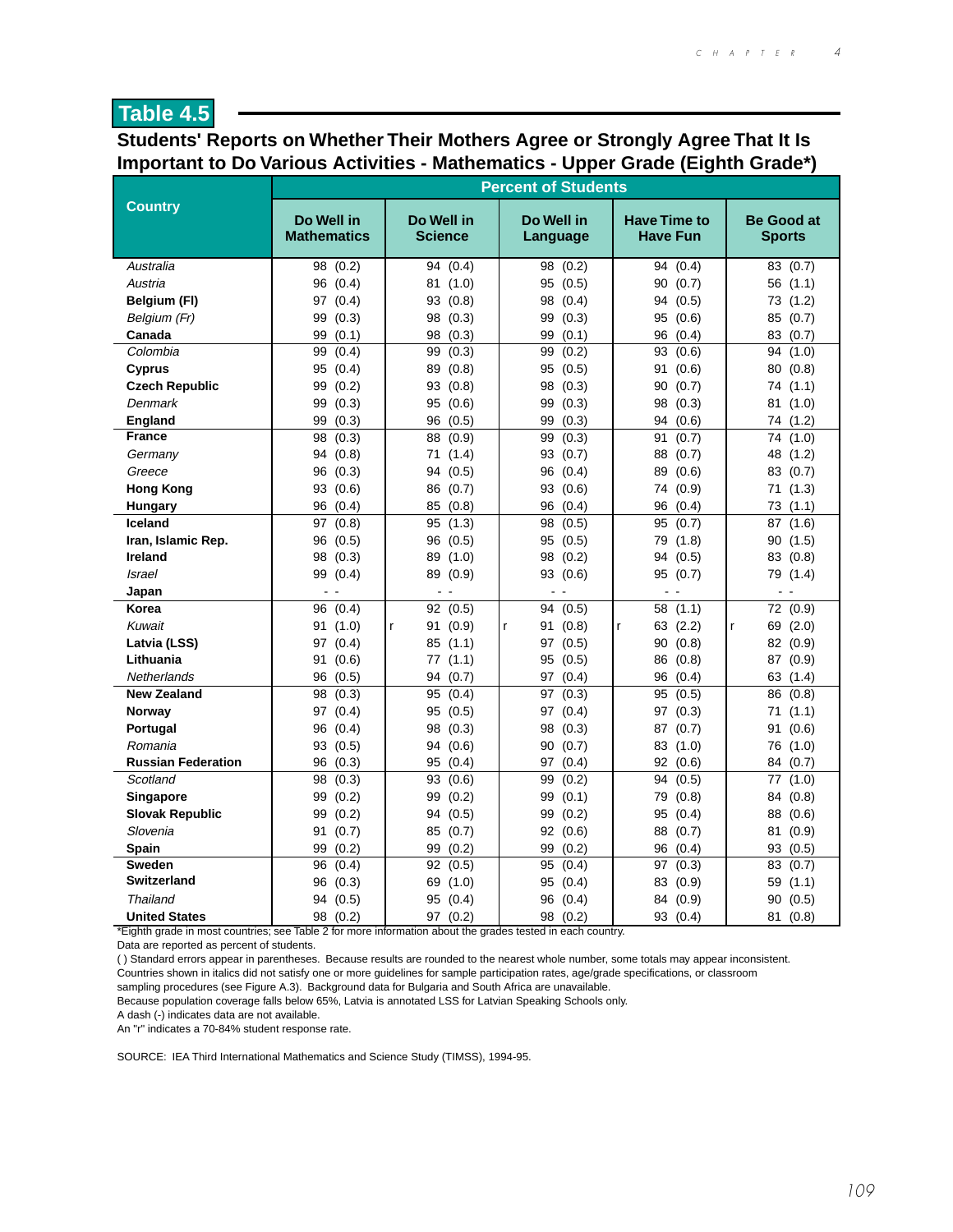#### **Students' Reports on Whether Their Mothers Agree or Strongly Agree That It Is Important to Do Various Activities - Mathematics - Upper Grade (Eighth Grade\*)**

|                           | <b>Percent of Students</b> |                  |                  |                     |                   |  |  |  |
|---------------------------|----------------------------|------------------|------------------|---------------------|-------------------|--|--|--|
| <b>Country</b>            | Do Well in                 | Do Well in       | Do Well in       | <b>Have Time to</b> | <b>Be Good at</b> |  |  |  |
|                           | <b>Mathematics</b>         | <b>Science</b>   | Language         | <b>Have Fun</b>     | <b>Sports</b>     |  |  |  |
| Australia                 | (0.2)                      | (0.4)            | 98               | (0.4)               | (0.7)             |  |  |  |
|                           | 98                         | 94               | (0.2)            | 94                  | 83                |  |  |  |
| Austria                   | 96                         | (1.0)            | 95               | 90                  | 56                |  |  |  |
|                           | (0.4)                      | 81               | (0.5)            | (0.7)               | (1.1)             |  |  |  |
| Belgium (FI)              | 97<br>(0.4)                | 93<br>(0.8)      | 98<br>(0.4)      | 94<br>(0.5)         | 73 (1.2)          |  |  |  |
| Belgium (Fr)              | 99                         | 98               | 99               | 95                  | (0.7)             |  |  |  |
|                           | (0.3)                      | (0.3)            | (0.3)            | (0.6)               | 85                |  |  |  |
| Canada                    | 99                         | 98               | 99               | (0.4)               | 83                |  |  |  |
|                           | (0.1)                      | (0.3)            | (0.1)            | 96                  | (0.7)             |  |  |  |
| Colombia                  | 99                         | 99               | (0.2)            | 93                  | 94                |  |  |  |
|                           | (0.4)                      | (0.3)            | 99               | (0.6)               | (1.0)             |  |  |  |
| <b>Cyprus</b>             | 95                         | 89               | 95               | 91                  | 80                |  |  |  |
|                           | (0.4)                      | (0.8)            | (0.5)            | (0.6)               | (0.8)             |  |  |  |
| <b>Czech Republic</b>     | 99<br>(0.2)                | 93<br>(0.8)      | 98<br>(0.3)      | 90<br>(0.7)         | 74 (1.1)          |  |  |  |
| Denmark                   | 99                         | (0.6)            | 99               | 98                  | 81                |  |  |  |
|                           | (0.3)                      | 95               | (0.3)            | (0.3)               | (1.0)             |  |  |  |
| <b>England</b>            | (0.3)<br>99                | 96<br>(0.5)      | 99<br>(0.3)      | 94<br>(0.6)         | 74 (1.2)          |  |  |  |
| <b>France</b>             | 98                         | 88               | (0.3)            | 91                  | 74                |  |  |  |
|                           | (0.3)                      | (0.9)            | 99               | (0.7)               | (1.0)             |  |  |  |
| Germany                   | 94                         | 71               | 93               | 88                  | 48                |  |  |  |
|                           | (0.8)                      | (1.4)            | (0.7)            | (0.7)               | (1.2)             |  |  |  |
| Greece                    | (0.3)                      | 94               | 96               | 89                  | 83                |  |  |  |
|                           | 96                         | (0.5)            | (0.4)            | (0.6)               | (0.7)             |  |  |  |
| <b>Hong Kong</b>          | 93<br>(0.6)                | 86<br>(0.7)      | (0.6)<br>93      | 74 (0.9)            | 71<br>(1.3)       |  |  |  |
| Hungary                   | 96                         | 85               | 96               | 96                  | 73                |  |  |  |
|                           | (0.4)                      | (0.8)            | (0.4)            | (0.4)               | (1.1)             |  |  |  |
| <b>Iceland</b>            | 97                         | (1.3)            | 98               | 95                  | 87                |  |  |  |
|                           | (0.8)                      | 95               | (0.5)            | (0.7)               | (1.6)             |  |  |  |
| Iran, Islamic Rep.        | 96<br>(0.5)                | 96 (0.5)         | 95 (0.5)         | 79<br>(1.8)         | 90 (1.5)          |  |  |  |
| <b>Ireland</b>            | 98<br>(0.3)                | 89 (1.0)         | 98 (0.2)         | 94<br>(0.5)         | 83 (0.8)          |  |  |  |
| <b>Israel</b>             | 99<br>(0.4)                | (0.9)<br>89      | 93 (0.6)         | 95 (0.7)            | 79 (1.4)          |  |  |  |
| Japan                     | ÷.                         | $\sim$ $\sim$    | $\sim$ $\sim$    | $\sim$ $\sim$       | $\sim$ $\sim$     |  |  |  |
| Korea                     | 96<br>(0.4)                | 92 (0.5)         | 94<br>(0.5)      | (1.1)<br>58         | 72 (0.9)          |  |  |  |
| Kuwait                    | 91<br>(1.0)                | 91<br>(0.9)<br>r | 91<br>(0.8)<br>r | 63<br>(2.2)<br>r    | 69<br>(2.0)<br>r  |  |  |  |
| Latvia (LSS)              | 97<br>(0.4)                | 85<br>(1.1)      | 97<br>(0.5)      | (0.8)<br>90         | 82 (0.9)          |  |  |  |
| Lithuania                 | 91<br>(0.6)                | 77<br>(1.1)      | 95<br>(0.5)      | 86<br>(0.8)         | 87 (0.9)          |  |  |  |
| Netherlands               | 96                         | 94               | 97               | 96                  | (1.4)             |  |  |  |
|                           | (0.5)                      | (0.7)            | (0.4)            | (0.4)               | 63                |  |  |  |
| <b>New Zealand</b>        | 98                         | 95               | 97               | 95                  | 86                |  |  |  |
|                           | (0.3)                      | (0.4)            | (0.3)            | (0.5)               | (0.8)             |  |  |  |
| Norway                    | 97<br>(0.4)                | (0.5)<br>95      | 97 (0.4)         | 97 (0.3)            | 71 (1.1)          |  |  |  |
| Portugal                  | 96                         | (0.3)            | 98               | (0.7)               | 91                |  |  |  |
|                           | (0.4)                      | 98               | (0.3)            | 87                  | (0.6)             |  |  |  |
| Romania                   | 93                         | (0.6)            | 90               | 83                  | 76                |  |  |  |
|                           | (0.5)                      | 94               | (0.7)            | (1.0)               | (1.0)             |  |  |  |
| <b>Russian Federation</b> | 96<br>(0.3)                | 95<br>(0.4)      | 97<br>(0.4)      | 92<br>(0.6)         | 84 (0.7)          |  |  |  |
| Scotland                  | 98                         | 93               | 99               | 94                  | 77                |  |  |  |
|                           | (0.3)                      | (0.6)            | (0.2)            | (0.5)               | (1.0)             |  |  |  |
| <b>Singapore</b>          | 99                         | 99               | 99               | 79                  | 84                |  |  |  |
|                           | (0.2)                      | (0.2)            | (0.1)            | (0.8)               | (0.8)             |  |  |  |
| <b>Slovak Republic</b>    | (0.2)                      | (0.5)            | 99               | 95                  | 88                |  |  |  |
|                           | 99                         | 94               | (0.2)            | (0.4)               | (0.6)             |  |  |  |
| Slovenia                  | 91<br>(0.7)                | 85<br>(0.7)      | 92(0.6)          | 88<br>(0.7)         | 81<br>(0.9)       |  |  |  |
| Spain                     | (0.2)                      | (0.2)            | 99               | (0.4)               | (0.5)             |  |  |  |
|                           | 99                         | 99               | (0.2)            | 96                  | 93                |  |  |  |
| <b>Sweden</b>             | 96                         | 92               | 95               | (0.3)               | 83                |  |  |  |
|                           | (0.4)                      | (0.5)            | (0.4)            | 97                  | (0.7)             |  |  |  |
| <b>Switzerland</b>        | (0.3)                      | (1.0)            | 95               | 83                  | 59                |  |  |  |
|                           | 96                         | 69               | (0.4)            | (0.9)               | (1.1)             |  |  |  |
| Thailand                  | 94                         | 95               | 96               | 84                  | 90                |  |  |  |
|                           | (0.5)                      | (0.4)            | (0.4)            | (0.9)               | (0.5)             |  |  |  |
| <b>United States</b>      | 98<br>(0.2)                | 97 (0.2)         | 98 (0.2)         | 93 (0.4)            | 81<br>(0.8)       |  |  |  |

\*Eighth grade in most countries; see Table 2 for more information about the grades tested in each country.

Data are reported as percent of students.

( ) Standard errors appear in parentheses. Because results are rounded to the nearest whole number, some totals may appear inconsistent. Countries shown in italics did not satisfy one or more guidelines for sample participation rates, age/grade specifications, or classroom sampling procedures (see Figure A.3). Background data for Bulgaria and South Africa are unavailable.

Because population coverage falls below 65%, Latvia is annotated LSS for Latvian Speaking Schools only.

A dash (-) indicates data are not available.

An "r" indicates a 70-84% student response rate.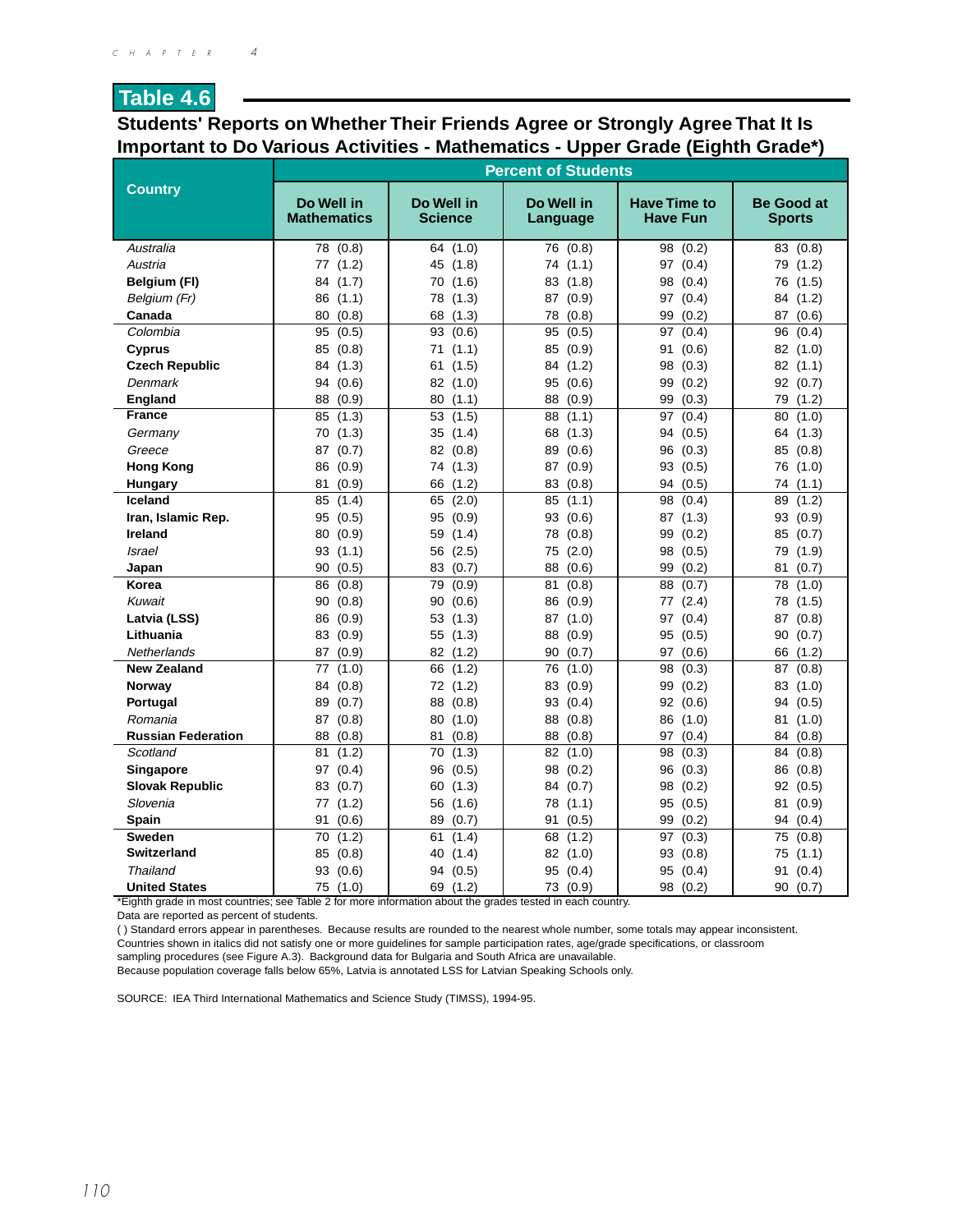**Students' Reports on Whether Their Friends Agree or Strongly Agree That It Is Important to Do Various Activities - Mathematics - Upper Grade (Eighth Grade\*)**

|                           | <b>Percent of Students</b>       |                              |                        |                                        |                                    |  |  |  |
|---------------------------|----------------------------------|------------------------------|------------------------|----------------------------------------|------------------------------------|--|--|--|
| <b>Country</b>            | Do Well in<br><b>Mathematics</b> | Do Well in<br><b>Science</b> | Do Well in<br>Language | <b>Have Time to</b><br><b>Have Fun</b> | <b>Be Good at</b><br><b>Sports</b> |  |  |  |
| Australia                 | 78<br>(0.8)                      | 64 (1.0)                     | 76<br>(0.8)            | 98<br>(0.2)                            | 83 (0.8)                           |  |  |  |
| Austria                   | (1.2)<br>77                      | 45 (1.8)                     | 74 (1.1)               | 97<br>(0.4)                            | 79 (1.2)                           |  |  |  |
| Belgium (FI)              | 84<br>(1.7)                      | 70 (1.6)                     | 83<br>(1.8)            | 98<br>(0.4)                            | 76 (1.5)                           |  |  |  |
| Belgium (Fr)              | 86<br>(1.1)                      | 78 (1.3)                     | 87 (0.9)               | 97 (0.4)                               | 84 (1.2)                           |  |  |  |
| Canada                    | 80<br>(0.8)                      | 68<br>(1.3)                  | (0.8)<br>78            | 99<br>(0.2)                            | 87 (0.6)                           |  |  |  |
| Colombia                  | 95<br>(0.5)                      | 93<br>(0.6)                  | 95<br>(0.5)            | 97<br>(0.4)                            | 96<br>(0.4)                        |  |  |  |
| Cyprus                    | 85<br>(0.8)                      | 71 (1.1)                     | 85 (0.9)               | 91<br>(0.6)                            | 82 (1.0)                           |  |  |  |
| <b>Czech Republic</b>     | (1.3)<br>84                      | 61<br>(1.5)                  | 84<br>(1.2)            | 98<br>(0.3)                            | 82 (1.1)                           |  |  |  |
| Denmark                   | 94<br>(0.6)                      | 82 (1.0)                     | 95<br>(0.6)            | 99<br>(0.2)                            | 92 (0.7)                           |  |  |  |
| England                   | 88<br>(0.9)                      | 80(1.1)                      | 88<br>(0.9)            | 99<br>(0.3)                            | 79 (1.2)                           |  |  |  |
| <b>France</b>             | 85<br>(1.3)                      | 53<br>(1.5)                  | 88<br>(1.1)            | 97<br>(0.4)                            | (1.0)<br>80                        |  |  |  |
| Germany                   | 70<br>(1.3)                      | 35 (1.4)                     | 68<br>(1.3)            | 94<br>(0.5)                            | 64 (1.3)                           |  |  |  |
| Greece                    | 87<br>(0.7)                      | 82 (0.8)                     | 89<br>(0.6)            | 96<br>(0.3)                            | 85 (0.8)                           |  |  |  |
| <b>Hong Kong</b>          | (0.9)<br>86                      | 74 (1.3)                     | 87 (0.9)               | 93 (0.5)                               | 76 (1.0)                           |  |  |  |
| <b>Hungary</b>            | 81<br>(0.9)                      | 66<br>(1.2)                  | 83<br>(0.8)            | 94<br>(0.5)                            | 74 (1.1)                           |  |  |  |
| <b>Iceland</b>            | 85<br>(1.4)                      | 65<br>(2.0)                  | 85<br>(1.1)            | 98<br>(0.4)                            | 89<br>(1.2)                        |  |  |  |
| Iran, Islamic Rep.        | 95<br>(0.5)                      | 95 (0.9)                     | 93<br>(0.6)            | 87 (1.3)                               | 93 (0.9)                           |  |  |  |
| <b>Ireland</b>            | 80<br>(0.9)                      | 59<br>(1.4)                  | (0.8)<br>78            | (0.2)<br>99                            | 85 (0.7)                           |  |  |  |
| Israel                    | 93<br>(1.1)                      | 56 (2.5)                     | 75<br>(2.0)            | 98<br>(0.5)                            | (1.9)<br>79                        |  |  |  |
| Japan                     | 90<br>(0.5)                      | (0.7)<br>83                  | 88<br>(0.6)            | 99<br>(0.2)                            | 81<br>(0.7)                        |  |  |  |
| Korea                     | 86<br>(0.8)                      | 79<br>(0.9)                  | 81<br>(0.8)            | (0.7)<br>88                            | 78<br>(1.0)                        |  |  |  |
| Kuwait                    | 90<br>(0.8)                      | 90<br>(0.6)                  | 86<br>(0.9)            | (2.4)<br>77                            | 78<br>(1.5)                        |  |  |  |
| Latvia (LSS)              | 86<br>(0.9)                      | 53 (1.3)                     | (1.0)<br>87            | 97<br>(0.4)                            | 87 (0.8)                           |  |  |  |
| Lithuania                 | 83<br>(0.9)                      | 55 (1.3)                     | 88<br>(0.9)            | 95 (0.5)                               | 90 (0.7)                           |  |  |  |
| Netherlands               | 87<br>(0.9)                      | 82 (1.2)                     | 90<br>(0.7)            | (0.6)<br>97                            | 66<br>(1.2)                        |  |  |  |
| <b>New Zealand</b>        | 77<br>(1.0)                      | (1.2)<br>66                  | 76<br>(1.0)            | 98<br>(0.3)                            | 87<br>(0.8)                        |  |  |  |
| Norway                    | 84<br>(0.8)                      | 72 (1.2)                     | 83<br>(0.9)            | (0.2)<br>99                            | 83 (1.0)                           |  |  |  |
| Portugal                  | 89<br>(0.7)                      | 88<br>(0.8)                  | 93<br>(0.4)            | 92 (0.6)                               | 94 (0.5)                           |  |  |  |
| Romania                   | 87<br>(0.8)                      | 80<br>(1.0)                  | 88<br>(0.8)            | 86<br>(1.0)                            | 81<br>(1.0)                        |  |  |  |
| <b>Russian Federation</b> | 88<br>(0.8)                      | 81<br>(0.8)                  | 88<br>(0.8)            | (0.4)<br>97                            | 84 (0.8)                           |  |  |  |
| Scotland                  | 81<br>(1.2)                      | (1.3)<br>70                  | (1.0)<br>82            | (0.3)<br>98                            | (0.8)<br>84                        |  |  |  |
| Singapore                 | 97<br>(0.4)                      | (0.5)<br>96                  | 98<br>(0.2)            | 96 (0.3)                               | 86 (0.8)                           |  |  |  |
| <b>Slovak Republic</b>    | 83<br>(0.7)                      | 60<br>(1.3)                  | 84<br>(0.7)            | (0.2)<br>98                            | 92 (0.5)                           |  |  |  |
| Slovenia                  | (1.2)<br>77                      | 56 (1.6)                     | 78 (1.1)               | 95 (0.5)                               | 81 (0.9)                           |  |  |  |
| Spain                     | 91<br>(0.6)                      | 89<br>(0.7)                  | (0.5)<br>91            | (0.2)<br>99                            | 94 (0.4)                           |  |  |  |
| <b>Sweden</b>             | 70<br>(1.2)                      | 61<br>(1.4)                  | 68<br>(1.2)            | 97<br>(0.3)                            | 75<br>(0.8)                        |  |  |  |
| <b>Switzerland</b>        | 85<br>(0.8)                      | 40 (1.4)                     | 82 (1.0)               | (0.8)<br>93                            | 75 (1.1)                           |  |  |  |
| Thailand                  | 93<br>(0.6)                      | (0.5)<br>94                  | 95<br>(0.4)            | 95<br>(0.4)                            | 91<br>(0.4)                        |  |  |  |
| <b>United States</b>      | 75<br>(1.0)                      | 69 (1.2)                     | 73 (0.9)               | 98 (0.2)                               | 90(0.7)                            |  |  |  |

\*Eighth grade in most countries; see Table 2 for more information about the grades tested in each country.

Data are reported as percent of students.

( ) Standard errors appear in parentheses. Because results are rounded to the nearest whole number, some totals may appear inconsistent.

Countries shown in italics did not satisfy one or more guidelines for sample participation rates, age/grade specifications, or classroom

sampling procedures (see Figure A.3). Background data for Bulgaria and South Africa are unavailable. Because population coverage falls below 65%, Latvia is annotated LSS for Latvian Speaking Schools only.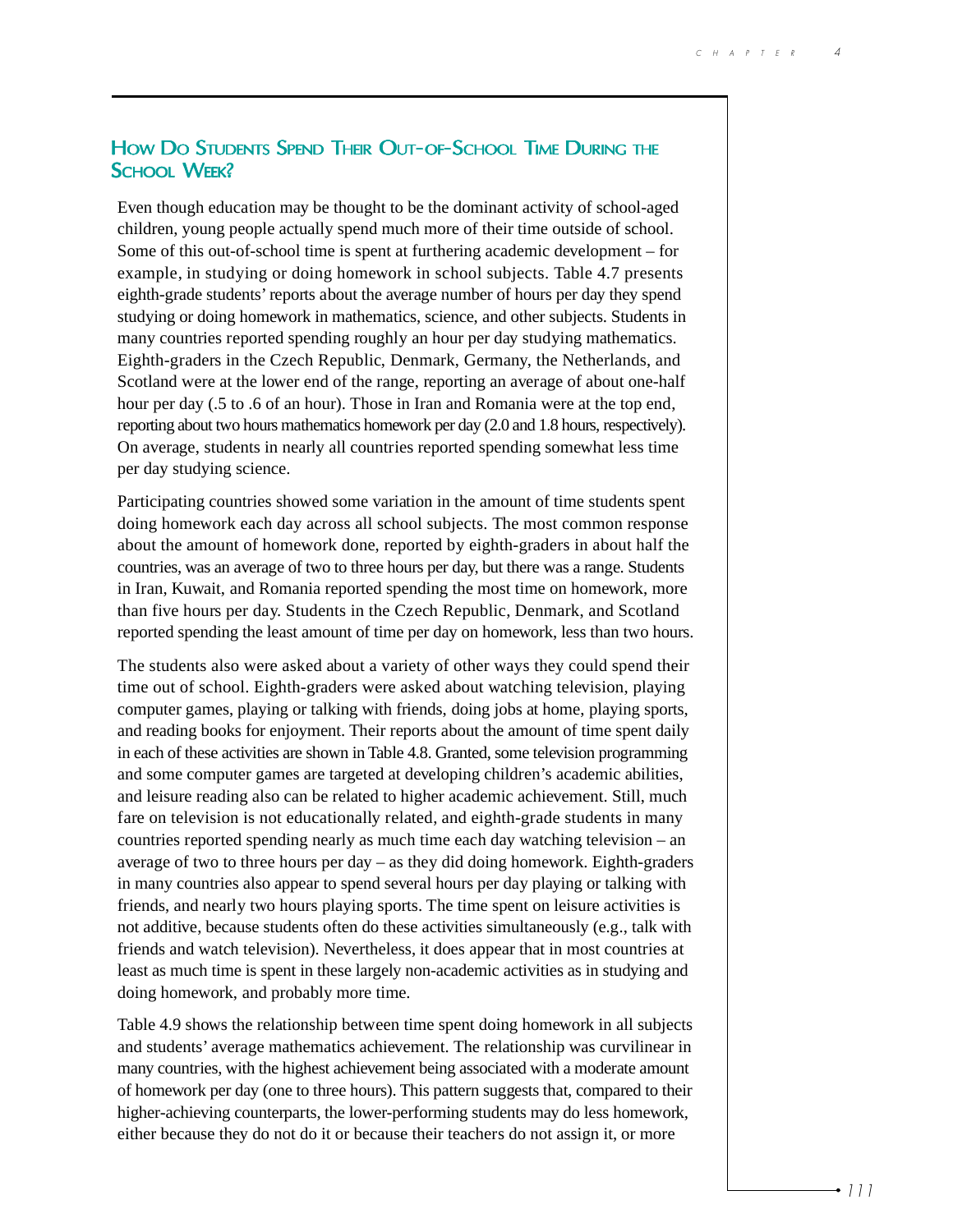#### HOW DO STUDENTS SPEND THEIR OUT-OF-SCHOOL TIME DURING THE SCHOOL WEEK?

Even though education may be thought to be the dominant activity of school-aged children, young people actually spend much more of their time outside of school. Some of this out-of-school time is spent at furthering academic development – for example, in studying or doing homework in school subjects. Table 4.7 presents eighth-grade students' reports about the average number of hours per day they spend studying or doing homework in mathematics, science, and other subjects. Students in many countries reported spending roughly an hour per day studying mathematics. Eighth-graders in the Czech Republic, Denmark, Germany, the Netherlands, and Scotland were at the lower end of the range, reporting an average of about one-half hour per day (.5 to .6 of an hour). Those in Iran and Romania were at the top end, reporting about two hours mathematics homework per day (2.0 and 1.8 hours, respectively). On average, students in nearly all countries reported spending somewhat less time per day studying science.

Participating countries showed some variation in the amount of time students spent doing homework each day across all school subjects. The most common response about the amount of homework done, reported by eighth-graders in about half the countries, was an average of two to three hours per day, but there was a range. Students in Iran, Kuwait, and Romania reported spending the most time on homework, more than five hours per day. Students in the Czech Republic, Denmark, and Scotland reported spending the least amount of time per day on homework, less than two hours.

The students also were asked about a variety of other ways they could spend their time out of school. Eighth-graders were asked about watching television, playing computer games, playing or talking with friends, doing jobs at home, playing sports, and reading books for enjoyment. Their reports about the amount of time spent daily in each of these activities are shown in Table 4.8. Granted, some television programming and some computer games are targeted at developing children's academic abilities, and leisure reading also can be related to higher academic achievement. Still, much fare on television is not educationally related, and eighth-grade students in many countries reported spending nearly as much time each day watching television – an average of two to three hours per day – as they did doing homework. Eighth-graders in many countries also appear to spend several hours per day playing or talking with friends, and nearly two hours playing sports. The time spent on leisure activities is not additive, because students often do these activities simultaneously (e.g., talk with friends and watch television). Nevertheless, it does appear that in most countries at least as much time is spent in these largely non-academic activities as in studying and doing homework, and probably more time.

Table 4.9 shows the relationship between time spent doing homework in all subjects and students' average mathematics achievement. The relationship was curvilinear in many countries, with the highest achievement being associated with a moderate amount of homework per day (one to three hours). This pattern suggests that, compared to their higher-achieving counterparts, the lower-performing students may do less homework, either because they do not do it or because their teachers do not assign it, or more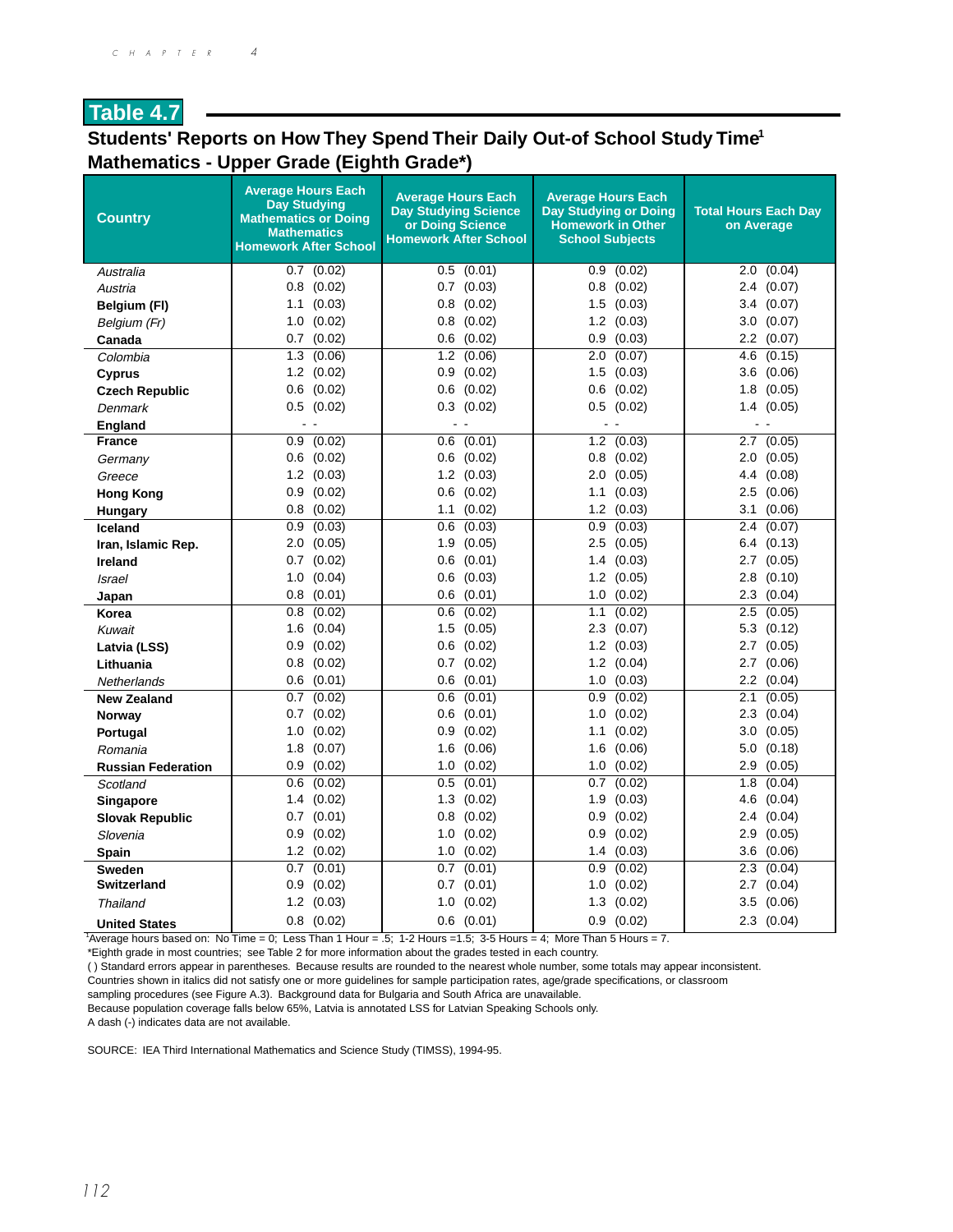## **Students' Reports on How They Spend Their Daily Out-of School Study Time1 Mathematics - Upper Grade (Eighth Grade\*)**

| <b>Country</b>            | <b>Average Hours Each</b><br><b>Day Studying</b><br><b>Mathematics or Doing</b><br><b>Mathematics</b><br><b>Homework After School</b> | <b>Average Hours Each</b><br><b>Day Studying Science</b><br>or Doing Science<br><b>Homework After School</b> | <b>Average Hours Each</b><br><b>Day Studying or Doing</b><br><b>Homework in Other</b><br><b>School Subjects</b> | <b>Total Hours Each Day</b><br>on Average |
|---------------------------|---------------------------------------------------------------------------------------------------------------------------------------|--------------------------------------------------------------------------------------------------------------|-----------------------------------------------------------------------------------------------------------------|-------------------------------------------|
| Australia                 | $0.7$ $(0.02)$                                                                                                                        | $0.5$ $(0.01)$                                                                                               | $0.9$ $(0.02)$                                                                                                  | (0.04)<br>2.0                             |
| Austria                   | $0.8$ $(0.02)$                                                                                                                        | $0.7$ $(0.03)$                                                                                               | (0.02)<br>0.8                                                                                                   | (0.07)<br>2.4                             |
| Belgium (FI)              | $1.1$ (0.03)                                                                                                                          | (0.02)<br>0.8                                                                                                | 1.5<br>(0.03)                                                                                                   | 3.4(0.07)                                 |
| Belgium (Fr)              | $1.0$ $(0.02)$                                                                                                                        | $0.8$ $(0.02)$                                                                                               | $1.2$ $(0.03)$                                                                                                  | 3.0 (0.07)                                |
| Canada                    | $0.7$ $(0.02)$                                                                                                                        | $0.6$ $(0.02)$                                                                                               | 0.9<br>(0.03)                                                                                                   | $2.2$ (0.07)                              |
| Colombia                  | 1.3<br>(0.06)                                                                                                                         | 1.2<br>(0.06)                                                                                                | 2.0<br>(0.07)                                                                                                   | 4.6<br>(0.15)                             |
| Cyprus                    | $1.2$ $(0.02)$                                                                                                                        | $0.9$ $(0.02)$                                                                                               | $1.5$ $(0.03)$                                                                                                  | 3.6(0.06)                                 |
| <b>Czech Republic</b>     | $0.6$ $(0.02)$                                                                                                                        | $0.6$ $(0.02)$                                                                                               | $0.6$ $(0.02)$                                                                                                  | $1.8$ $(0.05)$                            |
| <b>Denmark</b>            | $0.5$ $(0.02)$                                                                                                                        | $0.3$ $(0.02)$                                                                                               | $0.5$ $(0.02)$                                                                                                  | $1.4$ $(0.05)$                            |
| <b>England</b>            | $ -$                                                                                                                                  | $\sim$                                                                                                       | $\sim$ $\sim$                                                                                                   | $\overline{\phantom{a}}$ .                |
| <b>France</b>             | 0.9<br>(0.02)                                                                                                                         | $0.6$ $(0.01)$                                                                                               | (0.03)<br>1.2                                                                                                   | 2.7<br>(0.05)                             |
| Germany                   | $0.6$ $(0.02)$                                                                                                                        | $0.6$ $(0.02)$                                                                                               | 0.8<br>(0.02)                                                                                                   | 2.0<br>(0.05)                             |
| Greece                    | $1.2$ $(0.03)$                                                                                                                        | $1.2$ $(0.03)$                                                                                               | (0.05)<br>2.0                                                                                                   | (0.08)<br>4.4                             |
| <b>Hong Kong</b>          | (0.02)<br>0.9                                                                                                                         | $0.6$ $(0.02)$                                                                                               | $1.1$ $(0.03)$                                                                                                  | 2.5(0.06)                                 |
| <b>Hungary</b>            | $0.8$ $(0.02)$                                                                                                                        | $1.1$ $(0.02)$                                                                                               | $1.2$ $(0.03)$                                                                                                  | 3.1<br>(0.06)                             |
| Iceland                   | 0.9<br>(0.03)                                                                                                                         | 0.6<br>(0.03)                                                                                                | 0.9<br>(0.03)                                                                                                   | 2.4<br>(0.07)                             |
| Iran, Islamic Rep.        | (0.05)<br>2.0                                                                                                                         | (0.05)<br>1.9                                                                                                | (0.05)<br>2.5                                                                                                   | 6.4<br>(0.13)                             |
| <b>Ireland</b>            | 0.7<br>(0.02)                                                                                                                         | 0.6<br>(0.01)                                                                                                | 1.4<br>(0.03)                                                                                                   | 2.7<br>(0.05)                             |
| <b>Israel</b>             | (0.04)<br>1.0                                                                                                                         | (0.03)<br>0.6                                                                                                | 1.2<br>(0.05)                                                                                                   | 2.8<br>(0.10)                             |
| Japan                     | (0.01)<br>0.8                                                                                                                         | $0.6$ $(0.01)$                                                                                               | (0.02)<br>1.0                                                                                                   | (0.04)<br>2.3                             |
| Korea                     | (0.02)<br>0.8                                                                                                                         | (0.02)<br>0.6                                                                                                | 1.1<br>(0.02)                                                                                                   | 2.5<br>(0.05)                             |
| Kuwait                    | 1.6<br>(0.04)                                                                                                                         | (0.05)<br>1.5                                                                                                | (0.07)<br>2.3                                                                                                   | 5.3<br>(0.12)                             |
| Latvia (LSS)              | (0.02)<br>0.9                                                                                                                         | $0.6$ $(0.02)$                                                                                               | $1.2$ $(0.03)$                                                                                                  | 2.7<br>(0.05)                             |
| Lithuania                 | 0.8<br>(0.02)                                                                                                                         | $0.7$ $(0.02)$                                                                                               | $1.2$ $(0.04)$                                                                                                  | 2.7<br>(0.06)                             |
| Netherlands               | (0.01)<br>0.6                                                                                                                         | (0.01)<br>0.6                                                                                                | (0.03)<br>1.0                                                                                                   | (0.04)<br>2.2                             |
| <b>New Zealand</b>        | 0.7<br>(0.02)                                                                                                                         | 0.6<br>(0.01)                                                                                                | 0.9<br>(0.02)                                                                                                   | 2.1<br>(0.05)                             |
| Norway                    | $0.7$ $(0.02)$                                                                                                                        | $0.6$ $(0.01)$                                                                                               | (0.02)<br>1.0                                                                                                   | 2.3<br>(0.04)                             |
| Portugal                  | (0.02)<br>1.0                                                                                                                         | (0.02)<br>0.9                                                                                                | (0.02)<br>1.1                                                                                                   | 3.0<br>(0.05)                             |
| Romania                   | 1.8<br>(0.07)                                                                                                                         | (0.06)<br>1.6                                                                                                | (0.06)<br>1.6                                                                                                   | 5.0<br>(0.18)                             |
| <b>Russian Federation</b> | 0.9<br>(0.02)                                                                                                                         | (0.02)<br>1.0                                                                                                | 1.0<br>(0.02)                                                                                                   | (0.05)<br>2.9                             |
| Scotland                  | 0.6<br>(0.02)                                                                                                                         | 0.5<br>(0.01)                                                                                                | 0.7<br>(0.02)                                                                                                   | 1.8<br>(0.04)                             |
| <b>Singapore</b>          | (0.02)<br>1.4                                                                                                                         | 1.3<br>(0.02)                                                                                                | 1.9<br>(0.03)                                                                                                   | 4.6<br>(0.04)                             |
| <b>Slovak Republic</b>    | $0.7$ $(0.01)$                                                                                                                        | 0.8<br>(0.02)                                                                                                | (0.02)<br>0.9                                                                                                   | 2.4<br>(0.04)                             |
| Slovenia                  | 0.9<br>(0.02)                                                                                                                         | (0.02)<br>1.0                                                                                                | (0.02)<br>0.9                                                                                                   | 2.9<br>(0.05)                             |
| <b>Spain</b>              | $1.2$ $(0.02)$                                                                                                                        | (0.02)<br>1.0                                                                                                | 1.4<br>(0.03)                                                                                                   | (0.06)<br>3.6                             |
| <b>Sweden</b>             | 0.7<br>(0.01)                                                                                                                         | (0.01)<br>0.7                                                                                                | (0.02)<br>0.9                                                                                                   | 2.3<br>(0.04)                             |
| <b>Switzerland</b>        | 0.9<br>(0.02)                                                                                                                         | 0.7<br>(0.01)                                                                                                | 1.0<br>(0.02)                                                                                                   | 2.7<br>(0.04)                             |
| Thailand                  | 1.2<br>(0.03)                                                                                                                         | (0.02)<br>1.0                                                                                                | 1.3<br>(0.02)                                                                                                   | 3.5<br>(0.06)                             |
| <b>United States</b>      | $0.8$ $(0.02)$                                                                                                                        | $0.6$ $(0.01)$                                                                                               | $0.9$ $(0.02)$                                                                                                  | $2.3$ $(0.04)$                            |

1 Average hours based on: No Time = 0; Less Than 1 Hour = .5; 1-2 Hours =1.5; 3-5 Hours = 4; More Than 5 Hours = 7.

\*Eighth grade in most countries; see Table 2 for more information about the grades tested in each country.

( ) Standard errors appear in parentheses. Because results are rounded to the nearest whole number, some totals may appear inconsistent.

Countries shown in italics did not satisfy one or more guidelines for sample participation rates, age/grade specifications, or classroom

sampling procedures (see Figure A.3). Background data for Bulgaria and South Africa are unavailable.

Because population coverage falls below 65%, Latvia is annotated LSS for Latvian Speaking Schools only.

A dash (-) indicates data are not available.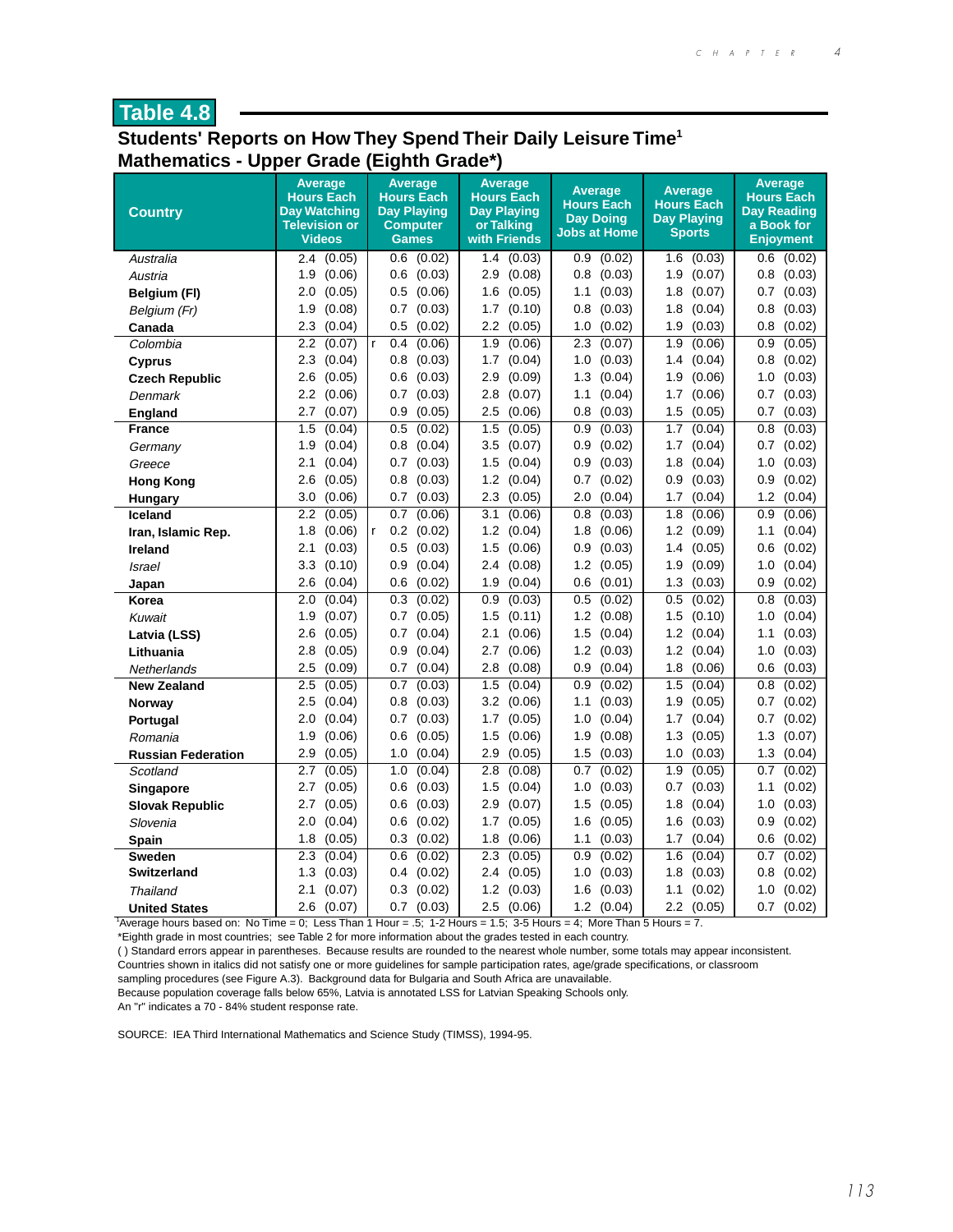#### **Students' Reports on How They Spend Their Daily Leisure Time1 Mathematics - Upper Grade (Eighth Grade\*)**

| <b>Country</b>                                                                                                                                          | Average<br><b>Hours Each</b><br><b>Day Watching</b><br><b>Television or</b><br><b>Videos</b> | Average<br><b>Hours Each</b><br><b>Day Playing</b><br><b>Computer</b><br><b>Games</b> | <b>Average</b><br><b>Hours Each</b><br><b>Day Playing</b><br>or Talking<br>with Friends | <b>Average</b><br><b>Hours Each</b><br><b>Day Doing</b><br><b>Jobs at Home</b> | Average<br><b>Hours Each</b><br><b>Day Playing</b><br><b>Sports</b> | <b>Average</b><br><b>Hours Each</b><br><b>Day Reading</b><br>a Book for<br><b>Enjoyment</b> |
|---------------------------------------------------------------------------------------------------------------------------------------------------------|----------------------------------------------------------------------------------------------|---------------------------------------------------------------------------------------|-----------------------------------------------------------------------------------------|--------------------------------------------------------------------------------|---------------------------------------------------------------------|---------------------------------------------------------------------------------------------|
| Australia                                                                                                                                               | (0.05)                                                                                       | 0.6                                                                                   | 1.4                                                                                     | 0.9                                                                            | 1.6                                                                 | 0.6                                                                                         |
|                                                                                                                                                         | 2.4                                                                                          | (0.02)                                                                                | (0.03)                                                                                  | (0.02)                                                                         | (0.03)                                                              | (0.02)                                                                                      |
| Austria                                                                                                                                                 | 1.9                                                                                          | (0.03)                                                                                | 2.9                                                                                     | (0.03)                                                                         | 1.9                                                                 | 0.8                                                                                         |
|                                                                                                                                                         | (0.06)                                                                                       | 0.6                                                                                   | (0.08)                                                                                  | 0.8                                                                            | (0.07)                                                              | (0.03)                                                                                      |
| Belgium (FI)                                                                                                                                            | 2.0                                                                                          | 0.5                                                                                   | 1.6                                                                                     | (0.03)                                                                         | 1.8                                                                 | 0.7                                                                                         |
|                                                                                                                                                         | (0.05)                                                                                       | (0.06)                                                                                | (0.05)                                                                                  | 1.1                                                                            | (0.07)                                                              | (0.03)                                                                                      |
| Belgium (Fr)                                                                                                                                            | (0.08)                                                                                       | (0.03)                                                                                | 1.7                                                                                     | (0.03)                                                                         | (0.04)                                                              | 0.8                                                                                         |
|                                                                                                                                                         | 1.9                                                                                          | 0.7                                                                                   | (0.10)                                                                                  | 0.8                                                                            | 1.8                                                                 | (0.03)                                                                                      |
| Canada                                                                                                                                                  | (0.04)                                                                                       | $0.5\,$                                                                               | 2.2                                                                                     | (0.02)                                                                         | 1.9                                                                 | 0.8                                                                                         |
|                                                                                                                                                         | 2.3                                                                                          | (0.02)                                                                                | (0.05)                                                                                  | 1.0                                                                            | (0.03)                                                              | (0.02)                                                                                      |
| Colombia                                                                                                                                                | 2.2<br>(0.07)                                                                                | 0.4<br>(0.06)<br>$\mathsf{r}$                                                         | 1.9<br>(0.06)                                                                           | 2.3<br>(0.07)                                                                  | 1.9<br>(0.06)                                                       | 0.9<br>(0.05)                                                                               |
| <b>Cyprus</b>                                                                                                                                           | 2.3                                                                                          | 0.8                                                                                   | 1.7                                                                                     | (0.03)                                                                         | (0.04)                                                              | 0.8                                                                                         |
|                                                                                                                                                         | (0.04)                                                                                       | (0.03)                                                                                | (0.04)                                                                                  | 1.0                                                                            | 1.4                                                                 | (0.02)                                                                                      |
| <b>Czech Republic</b>                                                                                                                                   | (0.05)<br>2.6                                                                                | $0.6$ $(0.03)$                                                                        | 2.9<br>(0.09)                                                                           | 1.3<br>(0.04)                                                                  | (0.06)<br>1.9                                                       | 1.0<br>(0.03)                                                                               |
| Denmark                                                                                                                                                 | 2.2                                                                                          | 0.7                                                                                   | 2.8                                                                                     | 1.1                                                                            | (0.06)                                                              | 0.7                                                                                         |
|                                                                                                                                                         | (0.06)                                                                                       | (0.03)                                                                                | (0.07)                                                                                  | (0.04)                                                                         | 1.7                                                                 | (0.03)                                                                                      |
| England                                                                                                                                                 | 2.7                                                                                          | (0.05)                                                                                | 2.5                                                                                     | (0.03)                                                                         | (0.05)                                                              | 0.7                                                                                         |
|                                                                                                                                                         | (0.07)                                                                                       | 0.9                                                                                   | (0.06)                                                                                  | 0.8                                                                            | 1.5                                                                 | (0.03)                                                                                      |
| <b>France</b>                                                                                                                                           | 1.5                                                                                          | 0.5                                                                                   | 1.5                                                                                     | 0.9                                                                            | (0.04)                                                              | 0.8                                                                                         |
|                                                                                                                                                         | (0.04)                                                                                       | (0.02)                                                                                | (0.05)                                                                                  | (0.03)                                                                         | 1.7                                                                 | (0.03)                                                                                      |
| Germany                                                                                                                                                 | (0.04)                                                                                       | $0.8\,$                                                                               | 3.5                                                                                     | (0.02)                                                                         | 1.7                                                                 | (0.02)                                                                                      |
|                                                                                                                                                         | 1.9                                                                                          | (0.04)                                                                                | (0.07)                                                                                  | 0.9                                                                            | (0.04)                                                              | 0.7                                                                                         |
| Greece                                                                                                                                                  | 2.1                                                                                          | (0.03)                                                                                | 1.5                                                                                     | 0.9                                                                            | 1.8                                                                 | 1.0                                                                                         |
|                                                                                                                                                         | (0.04)                                                                                       | 0.7                                                                                   | (0.04)                                                                                  | (0.03)                                                                         | (0.04)                                                              | (0.03)                                                                                      |
| <b>Hong Kong</b>                                                                                                                                        | 2.6                                                                                          | 0.8                                                                                   | 1.2                                                                                     | (0.02)                                                                         | (0.03)                                                              | 0.9                                                                                         |
|                                                                                                                                                         | (0.05)                                                                                       | (0.03)                                                                                | (0.04)                                                                                  | 0.7                                                                            | 0.9                                                                 | (0.02)                                                                                      |
| Hungary                                                                                                                                                 | 3.0                                                                                          | (0.03)                                                                                | 2.3                                                                                     | (0.04)                                                                         | (0.04)                                                              | 1.2                                                                                         |
|                                                                                                                                                         | (0.06)                                                                                       | 0.7                                                                                   | (0.05)                                                                                  | 2.0                                                                            | 1.7                                                                 | (0.04)                                                                                      |
| Iceland                                                                                                                                                 | 2.2                                                                                          | 0.7                                                                                   | 3.1                                                                                     | 0.8                                                                            | 1.8                                                                 | 0.9                                                                                         |
|                                                                                                                                                         | (0.05)                                                                                       | (0.06)                                                                                | (0.06)                                                                                  | (0.03)                                                                         | (0.06)                                                              | (0.06)                                                                                      |
| Iran, Islamic Rep.                                                                                                                                      | 1.8<br>(0.06)                                                                                | 0.2<br>(0.02)<br>r                                                                    | 1.2<br>(0.04)                                                                           | (0.06)<br>1.8                                                                  | $1.2$ $(0.09)$                                                      | 1.1<br>(0.04)                                                                               |
| <b>Ireland</b>                                                                                                                                          | (0.03)<br>2.1                                                                                | $0.5$ $(0.03)$                                                                        | 1.5<br>(0.06)                                                                           | (0.03)<br>0.9                                                                  | (0.05)<br>1.4                                                       | (0.02)<br>0.6                                                                               |
| <b>Israel</b>                                                                                                                                           | 3.3                                                                                          | 0.9                                                                                   | 2.4                                                                                     | 1.2                                                                            | 1.9                                                                 | 1.0                                                                                         |
|                                                                                                                                                         | (0.10)                                                                                       | (0.04)                                                                                | (0.08)                                                                                  | (0.05)                                                                         | (0.09)                                                              | (0.04)                                                                                      |
| Japan                                                                                                                                                   | (0.04)                                                                                       | 0.6                                                                                   | 1.9                                                                                     | (0.01)                                                                         | 1.3                                                                 | (0.02)                                                                                      |
|                                                                                                                                                         | 2.6                                                                                          | (0.02)                                                                                | (0.04)                                                                                  | 0.6                                                                            | (0.03)                                                              | 0.9                                                                                         |
| Korea                                                                                                                                                   | 2.0                                                                                          | (0.02)                                                                                | 0.9                                                                                     | 0.5                                                                            | 0.5                                                                 | 0.8                                                                                         |
|                                                                                                                                                         | (0.04)                                                                                       | 0.3                                                                                   | (0.03)                                                                                  | (0.02)                                                                         | (0.02)                                                              | (0.03)                                                                                      |
| Kuwait                                                                                                                                                  | 1.9                                                                                          | (0.05)                                                                                | 1.5                                                                                     | 1.2                                                                            | 1.5                                                                 | 1.0                                                                                         |
|                                                                                                                                                         | (0.07)                                                                                       | 0.7                                                                                   | (0.11)                                                                                  | (0.08)                                                                         | (0.10)                                                              | (0.04)                                                                                      |
| Latvia (LSS)                                                                                                                                            | 2.6                                                                                          | (0.04)                                                                                | 2.1                                                                                     | (0.04)                                                                         | 1.2                                                                 | (0.03)                                                                                      |
|                                                                                                                                                         | (0.05)                                                                                       | 0.7                                                                                   | (0.06)                                                                                  | 1.5                                                                            | (0.04)                                                              | 1.1                                                                                         |
| Lithuania                                                                                                                                               | (0.05)                                                                                       | 0.9                                                                                   | (0.06)                                                                                  | (0.03)                                                                         | (0.04)                                                              | (0.03)                                                                                      |
|                                                                                                                                                         | 2.8                                                                                          | (0.04)                                                                                | 2.7                                                                                     | 1.2                                                                            | 1.2                                                                 | 1.0                                                                                         |
| Netherlands                                                                                                                                             | 2.5                                                                                          | (0.04)                                                                                | 2.8                                                                                     | 0.9                                                                            | 1.8                                                                 | (0.03)                                                                                      |
|                                                                                                                                                         | (0.09)                                                                                       | 0.7                                                                                   | (0.08)                                                                                  | (0.04)                                                                         | (0.06)                                                              | 0.6                                                                                         |
| <b>New Zealand</b>                                                                                                                                      | 2.5                                                                                          | 0.7                                                                                   | 1.5                                                                                     | 0.9                                                                            | 1.5                                                                 | 0.8                                                                                         |
|                                                                                                                                                         | (0.05)                                                                                       | (0.03)                                                                                | (0.04)                                                                                  | (0.02)                                                                         | (0.04)                                                              | (0.02)                                                                                      |
| Norway                                                                                                                                                  | 2.5                                                                                          | 0.8                                                                                   | 3.2                                                                                     | (0.03)                                                                         | 1.9                                                                 | 0.7                                                                                         |
|                                                                                                                                                         | (0.04)                                                                                       | (0.03)                                                                                | (0.06)                                                                                  | 1.1                                                                            | (0.05)                                                              | (0.02)                                                                                      |
| Portugal                                                                                                                                                | 2.0                                                                                          | (0.03)                                                                                | 1.7                                                                                     | (0.04)                                                                         | (0.04)                                                              | 0.7                                                                                         |
|                                                                                                                                                         | (0.04)                                                                                       | 0.7                                                                                   | (0.05)                                                                                  | 1.0                                                                            | 1.7                                                                 | (0.02)                                                                                      |
| Romania                                                                                                                                                 | (0.06)                                                                                       | 0.6                                                                                   | 1.5                                                                                     | (0.08)                                                                         | 1.3                                                                 | 1.3                                                                                         |
|                                                                                                                                                         | 1.9                                                                                          | (0.05)                                                                                | (0.06)                                                                                  | 1.9                                                                            | (0.05)                                                              | (0.07)                                                                                      |
| <b>Russian Federation</b>                                                                                                                               | (0.05)                                                                                       | 1.0                                                                                   | (0.05)                                                                                  | 1.5                                                                            | 1.0                                                                 | 1.3                                                                                         |
|                                                                                                                                                         | 2.9                                                                                          | (0.04)                                                                                | 2.9                                                                                     | (0.03)                                                                         | (0.03)                                                              | (0.04)                                                                                      |
| Scotland                                                                                                                                                | 2.7                                                                                          | (0.04)                                                                                | 2.8                                                                                     | (0.02)                                                                         | 1.9                                                                 | (0.02)                                                                                      |
|                                                                                                                                                         | (0.05)                                                                                       | 1.0                                                                                   | (0.08)                                                                                  | 0.7                                                                            | (0.05)                                                              | 0.7                                                                                         |
| Singapore                                                                                                                                               | 2.7                                                                                          | 0.6                                                                                   | 1.5                                                                                     | (0.03)                                                                         | (0.03)                                                              | 1.1                                                                                         |
|                                                                                                                                                         | (0.05)                                                                                       | (0.03)                                                                                | (0.04)                                                                                  | 1.0                                                                            | 0.7                                                                 | (0.02)                                                                                      |
| <b>Slovak Republic</b>                                                                                                                                  | 2.7                                                                                          | 0.6                                                                                   | 2.9                                                                                     | (0.05)                                                                         | 1.8                                                                 | (0.03)                                                                                      |
|                                                                                                                                                         | (0.05)                                                                                       | (0.03)                                                                                | (0.07)                                                                                  | 1.5                                                                            | (0.04)                                                              | 1.0                                                                                         |
| Slovenia                                                                                                                                                | 2.0                                                                                          | 0.6                                                                                   | 1.7                                                                                     | (0.05)                                                                         | (0.03)                                                              | 0.9                                                                                         |
|                                                                                                                                                         | (0.04)                                                                                       | (0.02)                                                                                | (0.05)                                                                                  | 1.6                                                                            | 1.6                                                                 | (0.02)                                                                                      |
| <b>Spain</b>                                                                                                                                            | (0.05)                                                                                       | (0.02)                                                                                | 1.8                                                                                     | (0.03)                                                                         | 1.7                                                                 | (0.02)                                                                                      |
|                                                                                                                                                         | 1.8                                                                                          | 0.3                                                                                   | (0.06)                                                                                  | 1.1                                                                            | (0.04)                                                              | 0.6                                                                                         |
| <b>Sweden</b>                                                                                                                                           | 2.3                                                                                          | 0.6                                                                                   | 2.3                                                                                     | 0.9                                                                            | 1.6                                                                 | 0.7                                                                                         |
|                                                                                                                                                         | (0.04)                                                                                       | (0.02)                                                                                | (0.05)                                                                                  | (0.02)                                                                         | (0.04)                                                              | (0.02)                                                                                      |
| <b>Switzerland</b>                                                                                                                                      | 1.3                                                                                          | 0.4                                                                                   | (0.05)                                                                                  | (0.03)                                                                         | 1.8                                                                 | (0.02)                                                                                      |
|                                                                                                                                                         | (0.03)                                                                                       | (0.02)                                                                                | 2.4                                                                                     | 1.0                                                                            | (0.03)                                                              | 0.8                                                                                         |
| <b>Thailand</b>                                                                                                                                         | 2.1                                                                                          | 0.3                                                                                   | 1.2                                                                                     | (0.03)                                                                         | 1.1                                                                 | (0.02)                                                                                      |
|                                                                                                                                                         | (0.07)                                                                                       | (0.02)                                                                                | (0.03)                                                                                  | 1.6                                                                            | (0.02)                                                              | 1.0                                                                                         |
| <b>United States</b><br><sup>1</sup> Average hours based on: No Time = 0; Less Than 1 Hour = .5; 1-2 Hours = 1.5; 3-5 Hours = 4; More Than 5 Hours = 7. | $2.6$ $(0.07)$                                                                               | $0.7$ $(0.03)$                                                                        | $2.5$ $(0.06)$                                                                          | $1.2$ $(0.04)$                                                                 | $2.2$ $(0.05)$                                                      | 0.7<br>(0.02)                                                                               |

\*Eighth grade in most countries; see Table 2 for more information about the grades tested in each country.

( ) Standard errors appear in parentheses. Because results are rounded to the nearest whole number, some totals may appear inconsistent.

Countries shown in italics did not satisfy one or more guidelines for sample participation rates, age/grade specifications, or classroom

sampling procedures (see Figure A.3). Background data for Bulgaria and South Africa are unavailable.

Because population coverage falls below 65%, Latvia is annotated LSS for Latvian Speaking Schools only.

An "r" indicates a 70 - 84% student response rate.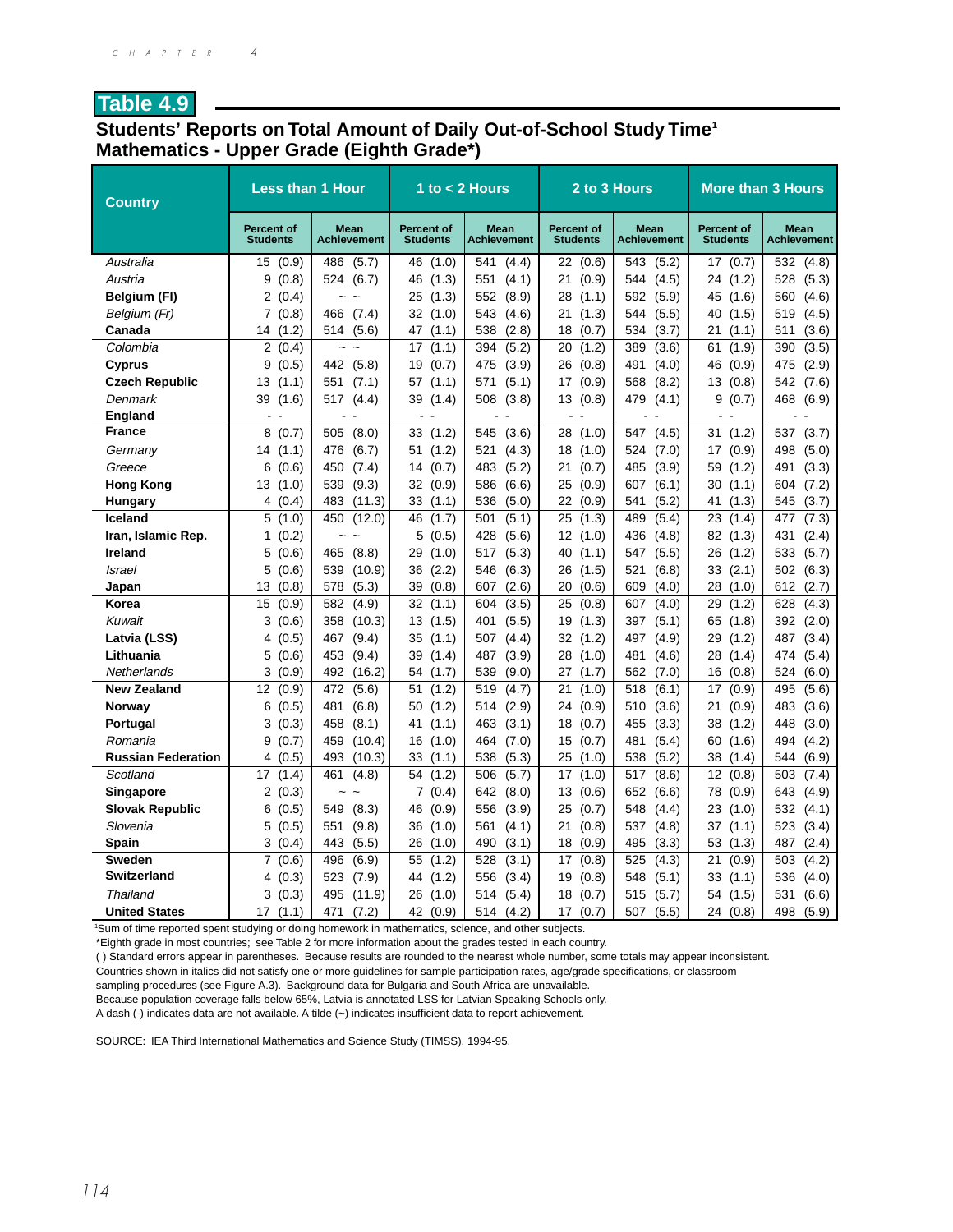#### **Students' Reports on Total Amount of Daily Out-of-School Study Time1 Mathematics - Upper Grade (Eighth Grade\*)**

| <b>Country</b>            | <b>Less than 1 Hour</b> |                          |                               | 1 to $<$ 2 Hours             |                      | 2 to 3 Hours          |                            | <b>More than 3 Hours</b> |  |
|---------------------------|-------------------------|--------------------------|-------------------------------|------------------------------|----------------------|-----------------------|----------------------------|--------------------------|--|
|                           | Percent of              | Mean                     | Percent of                    | Mean                         | Percent of           | Mean                  | Percent of                 | Mean                     |  |
|                           | <b>Students</b>         | <b>Achievement</b>       | <b>Students</b>               | <b>Achievement</b>           | <b>Students</b>      | <b>Achievement</b>    | <b>Students</b>            | Achievement              |  |
| Australia                 | 15                      | 486                      | 46                            | 541                          | 22                   | 543                   | 17                         | 532                      |  |
|                           | (0.9)                   | (5.7)                    | (1.0)                         | (4.4)                        | (0.6)                | (5.2)                 | (0.7)                      | (4.8)                    |  |
| Austria                   | 9<br>(0.8)              | 524 (6.7)                | 46<br>(1.3)                   | 551<br>(4.1)                 | 21<br>(0.9)          | 544<br>(4.5)          | (1.2)<br>24                | 528<br>(5.3)             |  |
| Belgium (FI)              | 2<br>(0.4)              | $\overline{ }$           | 25<br>(1.3)                   | 552<br>(8.9)                 | 28<br>(1.1)          | 592<br>(5.9)          | 45<br>(1.6)                | 560<br>(4.6)             |  |
| Belgium (Fr)              | (0.8)<br>7              | 466 (7.4)                | 32<br>(1.0)                   | 543<br>(4.6)                 | 21<br>(1.3)          | (5.5)<br>544          | (1.5)<br>40                | 519<br>(4.5)             |  |
| Canada                    | 14<br>(1.2)             | 514 (5.6)                | 47<br>(1.1)                   | (2.8)<br>538                 | 18<br>(0.7)          | 534<br>(3.7)          | 21<br>(1.1)                | 511<br>(3.6)             |  |
| Colombia                  | 2                       | $\sim$                   | (1.1)                         | (5.2)                        | 20                   | 389                   | 61                         | 390                      |  |
|                           | (0.4)                   | $\sim$                   | 17                            | 394                          | (1.2)                | (3.6)                 | (1.9)                      | (3.5)                    |  |
| Cyprus                    | 9<br>(0.5)              | 442 (5.8)                | 19<br>(0.7)                   | 475<br>(3.9)                 | 26<br>(0.8)          | 491<br>(4.0)          | 46<br>(0.9)                | 475<br>(2.9)             |  |
| <b>Czech Republic</b>     | 13                      | 551                      | 57                            | (5.1)                        | 17                   | (8.2)                 | 13                         | 542                      |  |
|                           | (1.1)                   | (7.1)                    | (1.1)                         | 571                          | (0.9)                | 568                   | (0.8)                      | (7.6)                    |  |
| Denmark                   | 39<br>(1.6)             | 517 (4.4)                | 39<br>(1.4)                   | 508<br>(3.8)                 | (0.8)<br>13          | 479<br>(4.1)          | 9<br>(0.7)                 | 468 (6.9)                |  |
| <b>England</b>            | $\mathbf{r}$            |                          | ٠<br>$\overline{\phantom{a}}$ |                              | $\sim$               |                       |                            |                          |  |
| <b>France</b>             | 8                       | (8.0)                    | 33                            | 545                          | 28                   | 547                   | 31                         | 537                      |  |
|                           | (0.7)                   | 505                      | (1.2)                         | (3.6)                        | (1.0)                | (4.5)                 | (1.2)                      | (3.7)                    |  |
| Germany                   | 14                      | (6.7)                    | 51                            | 521                          | 18                   | 524                   | 17                         | 498                      |  |
|                           | (1.1)                   | 476                      | (1.2)                         | (4.3)                        | (1.0)                | (7.0)                 | (0.9)                      | (5.0)                    |  |
| Greece                    | 6                       | 450                      | (0.7)                         | 483                          | 21                   | 485                   | 59                         | (3.3)                    |  |
|                           | (0.6)                   | (7.4)                    | 14                            | (5.2)                        | (0.7)                | (3.9)                 | (1.2)                      | 491                      |  |
| <b>Hong Kong</b>          | 13                      | (9.3)                    | 32                            | 586                          | (0.9)                | (6.1)                 | 30                         | 604                      |  |
|                           | (1.0)                   | 539                      | (0.9)                         | (6.6)                        | 25                   | 607                   | (1.1)                      | (7.2)                    |  |
| <b>Hungary</b>            | 4                       | 483                      | 33                            | 536                          | 22                   | 541                   | 41                         | (3.7)                    |  |
|                           | (0.4)                   | (11.3)                   | (1.1)                         | (5.0)                        | (0.9)                | (5.2)                 | (1.3)                      | 545                      |  |
| <b>Iceland</b>            | 5                       | (12.0)                   | (1.7)                         | (5.1)                        | 25                   | 489                   | 23                         | (7.3)                    |  |
|                           | (1.0)                   | 450                      | 46                            | 501                          | (1.3)                | (5.4)                 | (1.4)                      | 477                      |  |
| Iran, Islamic Rep.        | 1<br>(0.2)              | $\overline{\phantom{0}}$ | 5<br>(0.5)                    | 428<br>(5.6)                 | 12<br>(1.0)          | 436<br>(4.8)          | 82<br>(1.3)                | 431<br>(2.4)             |  |
| <b>Ireland</b>            | 5                       | 465                      | 29                            | 517                          | 40                   | 547                   | 26                         | 533                      |  |
|                           | (0.6)                   | (8.8)                    | (1.0)                         | (5.3)                        | (1.1)                | (5.5)                 | (1.2)                      | (5.7)                    |  |
| Israel                    | 5                       | 539                      | 36                            | (6.3)                        | 26                   | (6.8)                 | 33                         | 502                      |  |
|                           | (0.6)                   | (10.9)                   | (2.2)                         | 546                          | (1.5)                | 521                   | (2.1)                      | (6.3)                    |  |
| Japan                     | 13                      | 578                      | 39                            | (2.6)                        | 20                   | 609                   | 28                         | 612                      |  |
|                           | (0.8)                   | (5.3)                    | (0.8)                         | 607                          | (0.6)                | (4.0)                 | (1.0)                      | (2.7)                    |  |
| Korea                     | 15                      | 582                      | 32                            | (3.5)                        | 25                   | 607                   | 29                         | 628                      |  |
|                           | (0.9)                   | (4.9)                    | (1.1)                         | 604                          | (0.8)                | (4.0)                 | (1.2)                      | (4.3)                    |  |
| Kuwait                    | 3<br>(0.6)              | (10.3)<br>358            | (1.5)<br>13                   | (5.5)<br>401                 | (1.3)<br>19          | 397<br>(5.1)          | 65<br>(1.8)                | 392 (2.0)                |  |
| Latvia (LSS)              | 4                       | 467                      | 35                            | 507                          | 32                   | (4.9)                 | 29                         | (3.4)                    |  |
|                           | (0.5)                   | (9.4)                    | (1.1)                         | (4.4)                        | (1.2)                | 497                   | (1.2)                      | 487                      |  |
| Lithuania<br>Netherlands  | 5<br>(0.6)<br>3         | (9.4)<br>453<br>492      | 39<br>(1.4)                   | 487<br>(3.9)<br>539<br>(9.0) | 28<br>(1.0)          | (4.6)<br>481<br>562   | 28<br>(1.4)                | (5.4)<br>474             |  |
| <b>New Zealand</b>        | (0.9)<br>12<br>(0.9)    | (16.2)<br>472            | (1.7)<br>54<br>51<br>(1.2)    | 519<br>(4.7)                 | 27<br>(1.7)<br>21    | (7.0)<br>518<br>(6.1) | (0.8)<br>16<br>(0.9)<br>17 | 524<br>(6.0)<br>495      |  |
| Norway                    | 6<br>(0.5)              | (5.6)<br>481<br>(6.8)    | 50<br>(1.2)                   | 514<br>(2.9)                 | (1.0)<br>24<br>(0.9) | 510<br>(3.6)          | 21<br>(0.9)                | (5.6)<br>483             |  |
| <b>Portugal</b>           | 3<br>(0.3)              | (8.1)<br>458             | 41<br>(1.1)                   | 463<br>(3.1)                 | 18<br>(0.7)          | 455<br>(3.3)          | 38<br>(1.2)                | (3.6)<br>(3.0)<br>448    |  |
| Romania                   | 9                       | 459                      | 16                            | 464                          | 15                   | 481                   | 60                         | 494                      |  |
|                           | (0.7)                   | (10.4)                   | (1.0)                         | (7.0)                        | (0.7)                | (5.4)                 | (1.6)                      | (4.2)                    |  |
| <b>Russian Federation</b> | 4                       | 493                      | 33                            | (5.3)                        | 25                   | 538                   | 38                         | 544                      |  |
|                           | (0.5)                   | (10.3)                   | (1.1)                         | 538                          | (1.0)                | (5.2)                 | (1.4)                      | (6.9)                    |  |
| Scotland                  | 17                      | 461                      | (1.2)                         | (5.7)                        | 17                   | (8.6)                 | 12                         | 503                      |  |
|                           | (1.4)                   | (4.8)                    | 54                            | 506                          | (1.0)                | 517                   | (0.8)                      | (7.4)                    |  |
| Singapore                 | 2<br>(0.3)              | $\overline{ }$           | 7<br>(0.4)                    | 642<br>(8.0)                 | 13<br>(0.6)          | 652<br>(6.6)          | 78<br>(0.9)                | 643<br>(4.9)             |  |
| <b>Slovak Republic</b>    | 6                       | 549                      | 46                            | 556                          | 25                   | 548                   | 23                         | 532                      |  |
|                           | (0.5)                   | (8.3)                    | (0.9)                         | (3.9)                        | (0.7)                | (4.4)                 | (1.0)                      | (4.1)                    |  |
| Slovenia                  | 5                       | 551                      | 36                            | 561                          | 21                   | 537                   | 37                         | 523                      |  |
|                           | (0.5)                   | (9.8)                    | (1.0)                         | (4.1)                        | (0.8)                | (4.8)                 | (1.1)                      | (3.4)                    |  |
| Spain                     | 3                       | (5.5)                    | 26                            | (3.1)                        | 18                   | (3.3)                 | 53                         | (2.4)                    |  |
|                           | (0.4)                   | 443                      | (1.0)                         | 490                          | (0.9)                | 495                   | (1.3)                      | 487                      |  |
| <b>Sweden</b>             | 7                       | 496                      | (1.2)                         | 528                          | 17                   | 525                   | (0.9)                      | 503                      |  |
|                           | (0.6)                   | (6.9)                    | 55                            | (3.1)                        | (0.8)                | (4.3)                 | 21                         | (4.2)                    |  |
| <b>Switzerland</b>        | 4                       | 523                      | 44                            | (3.4)                        | 19                   | 548                   | 33                         | 536                      |  |
|                           | (0.3)                   | (7.9)                    | (1.2)                         | 556                          | (0.8)                | (5.1)                 | (1.1)                      | (4.0)                    |  |
| Thailand                  | 3                       | 495                      | 26                            | (5.4)                        | 18                   | 515                   | 54                         | (6.6)                    |  |
|                           | (0.3)                   | (11.9)                   | (1.0)                         | 514                          | (0.7)                | (5.7)                 | (1.5)                      | 531                      |  |
| <b>United States</b>      | 17<br>(1.1)             | (7.2)<br>471             | 42 (0.9)                      | 514<br>(4.2)                 | (0.7)<br>17          | 507<br>(5.5)          | 24<br>(0.8)                | (5.9)<br>498             |  |

1 Sum of time reported spent studying or doing homework in mathematics, science, and other subjects.

\*Eighth grade in most countries; see Table 2 for more information about the grades tested in each country.

( ) Standard errors appear in parentheses. Because results are rounded to the nearest whole number, some totals may appear inconsistent.

Countries shown in italics did not satisfy one or more guidelines for sample participation rates, age/grade specifications, or classroom

sampling procedures (see Figure A.3). Background data for Bulgaria and South Africa are unavailable.

Because population coverage falls below 65%, Latvia is annotated LSS for Latvian Speaking Schools only.

A dash (-) indicates data are not available. A tilde (~) indicates insufficient data to report achievement.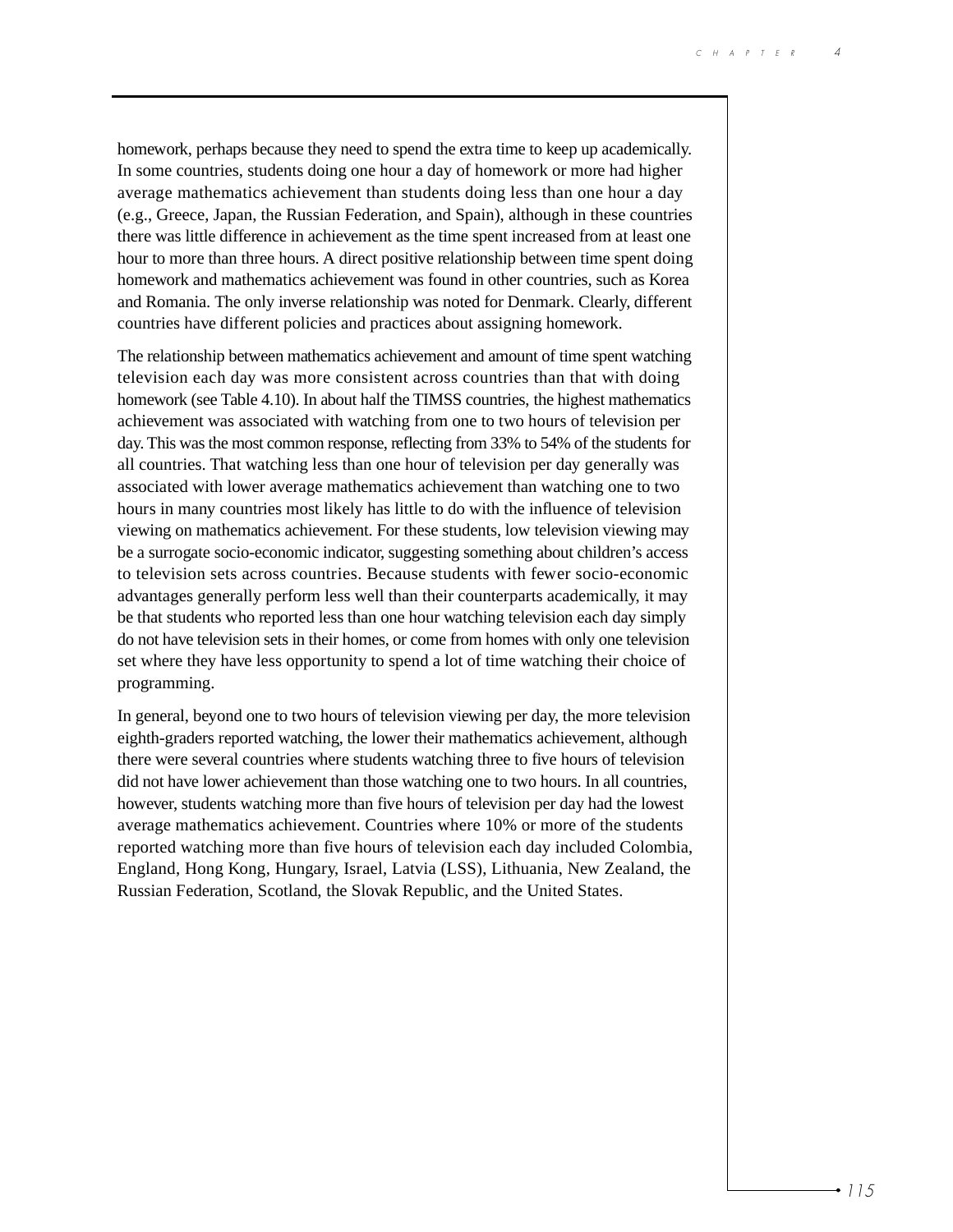homework, perhaps because they need to spend the extra time to keep up academically. In some countries, students doing one hour a day of homework or more had higher average mathematics achievement than students doing less than one hour a day (e.g., Greece, Japan, the Russian Federation, and Spain), although in these countries there was little difference in achievement as the time spent increased from at least one hour to more than three hours. A direct positive relationship between time spent doing homework and mathematics achievement was found in other countries, such as Korea and Romania. The only inverse relationship was noted for Denmark. Clearly, different countries have different policies and practices about assigning homework.

The relationship between mathematics achievement and amount of time spent watching television each day was more consistent across countries than that with doing homework (see Table 4.10). In about half the TIMSS countries, the highest mathematics achievement was associated with watching from one to two hours of television per day. This was the most common response, reflecting from 33% to 54% of the students for all countries. That watching less than one hour of television per day generally was associated with lower average mathematics achievement than watching one to two hours in many countries most likely has little to do with the influence of television viewing on mathematics achievement. For these students, low television viewing may be a surrogate socio-economic indicator, suggesting something about children's access to television sets across countries. Because students with fewer socio-economic advantages generally perform less well than their counterparts academically, it may be that students who reported less than one hour watching television each day simply do not have television sets in their homes, or come from homes with only one television set where they have less opportunity to spend a lot of time watching their choice of programming.

In general, beyond one to two hours of television viewing per day, the more television eighth-graders reported watching, the lower their mathematics achievement, although there were several countries where students watching three to five hours of television did not have lower achievement than those watching one to two hours. In all countries, however, students watching more than five hours of television per day had the lowest average mathematics achievement. Countries where 10% or more of the students reported watching more than five hours of television each day included Colombia, England, Hong Kong, Hungary, Israel, Latvia (LSS), Lithuania, New Zealand, the Russian Federation, Scotland, the Slovak Republic, and the United States.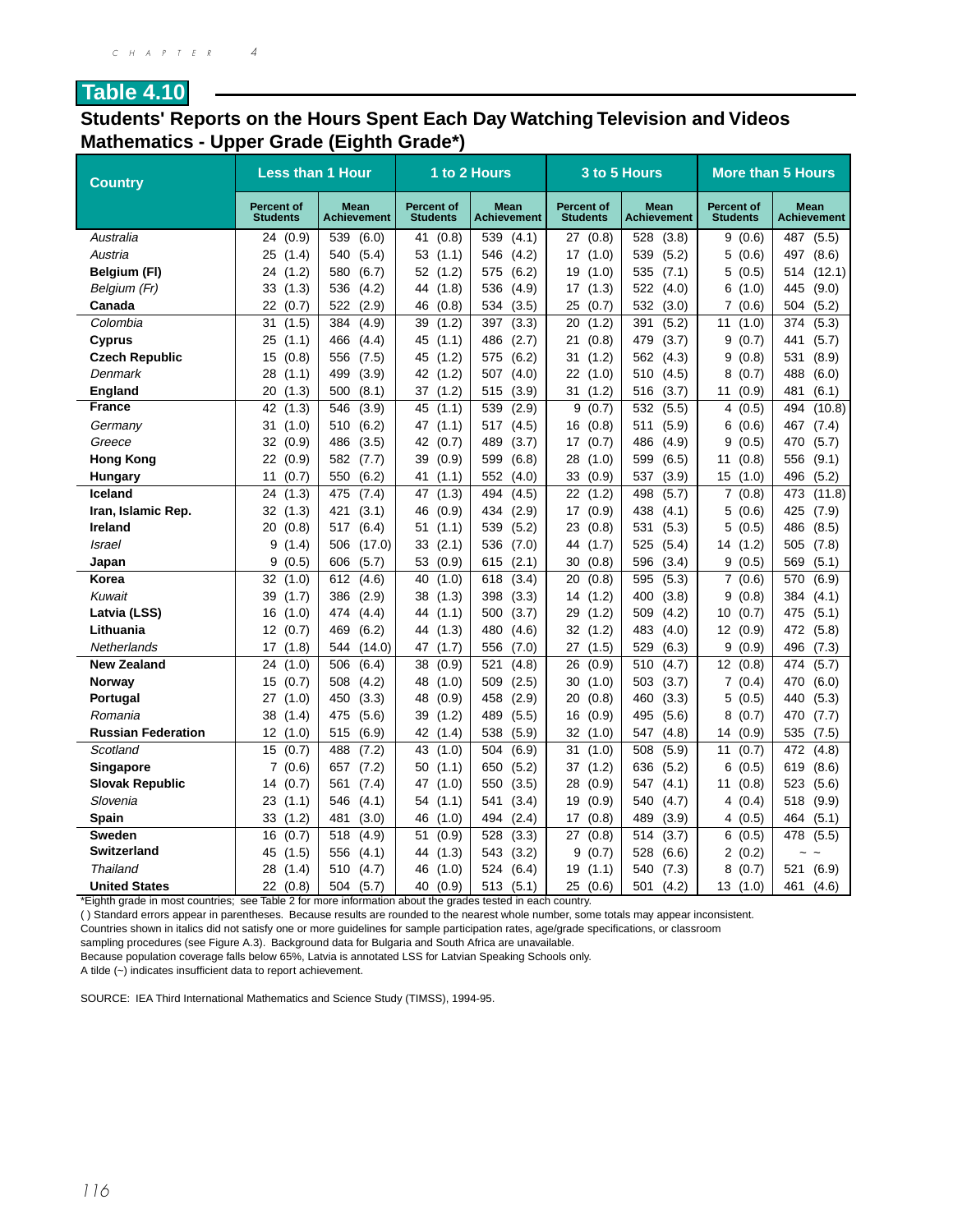## **Students' Reports on the Hours Spent Each Day Watching Television and Videos Mathematics - Upper Grade (Eighth Grade\*)**

| <b>Country</b>            | <b>Less than 1 Hour</b> |                    |                   | 1 to 2 Hours       |                   | 3 to 5 Hours       |                 | <b>More than 5 Hours</b> |
|---------------------------|-------------------------|--------------------|-------------------|--------------------|-------------------|--------------------|-----------------|--------------------------|
|                           | <b>Percent of</b>       | Mean               | <b>Percent of</b> | Mean               | <b>Percent of</b> | Mean               | Percent of      | Mean                     |
|                           | <b>Students</b>         | <b>Achievement</b> | <b>Students</b>   | <b>Achievement</b> | <b>Students</b>   | <b>Achievement</b> | <b>Students</b> | <b>Achievement</b>       |
| Australia                 | 24                      | 539                | 41                | 539                | 27                | (3.8)              | 9               | 487                      |
|                           | (0.9)                   | (6.0)              | (0.8)             | (4.1)              | (0.8)             | 528                | (0.6)           | (5.5)                    |
| Austria                   | 25                      | 540                | 53                | 546                | 17                | 539                | 5               | 497                      |
|                           | (1.4)                   | (5.4)              | (1.1)             | (4.2)              | (1.0)             | (5.2)              | (0.6)           | (8.6)                    |
| Belgium (FI)              | 24                      | (6.7)              | 52                | (6.2)              | 19                | 535                | 5               | (12.1)                   |
|                           | (1.2)                   | 580                | (1.2)             | 575                | (1.0)             | (7.1)              | (0.5)           | 514                      |
| Belgium (Fr)              | 33                      | 536                | (1.8)             | 536                | (1.3)             | 522                | (1.0)           | (9.0)                    |
|                           | (1.3)                   | (4.2)              | 44                | (4.9)              | 17                | (4.0)              | 6               | 445                      |
| Canada                    | 22                      | 522                | 46                | 534                | 25                | 532                | 7               | (5.2)                    |
|                           | (0.7)                   | (2.9)              | (0.8)             | (3.5)              | (0.7)             | (3.0)              | (0.6)           | 504                      |
| Colombia                  | 31                      | (4.9)              | (1.2)             | 397                | 20                | 391                | 11              | 374                      |
|                           | (1.5)                   | 384                | 39                | (3.3)              | (1.2)             | (5.2)              | (1.0)           | (5.3)                    |
| <b>Cyprus</b>             | 25                      | 466                | 45                | (2.7)              | 21                | 479                | 9               | 441                      |
|                           | (1.1)                   | (4.4)              | (1.1)             | 486                | (0.8)             | (3.7)              | (0.7)           | (5.7)                    |
| <b>Czech Republic</b>     | 15                      | 556                | 45                | (6.2)              | 31                | 562                | (0.8)           | (8.9)                    |
|                           | (0.8)                   | (7.5)              | (1.2)             | 575                | (1.2)             | (4.3)              | 9               | 531                      |
| Denmark                   | 28                      | 499                | 42                | (4.0)              | 22                | 510                | 8               | 488                      |
|                           | (1.1)                   | (3.9)              | (1.2)             | 507                | (1.0)             | (4.5)              | (0.7)           | (6.0)                    |
| England                   | 20                      | 500                | 37                | (3.9)              | 31                | 516                | (0.9)           | (6.1)                    |
|                           | (1.3)                   | (8.1)              | (1.2)             | 515                | (1.2)             | (3.7)              | 11              | 481                      |
| <b>France</b>             | 42                      | 546                | 45                | 539                | 9                 | 532                | 4               | 494                      |
|                           | (1.3)                   | (3.9)              | (1.1)             | (2.9)              | (0.7)             | (5.5)              | (0.5)           | (10.8)                   |
| Germany                   | 31                      | (6.2)              | 47                | 517                | 16                | (5.9)              | 6               | 467                      |
|                           | (1.0)                   | 510                | (1.1)             | (4.5)              | (0.8)             | 511                | (0.6)           | (7.4)                    |
| Greece                    | 32                      | 486                | 42                | 489                | 17                | 486                | 9               | (5.7)                    |
|                           | (0.9)                   | (3.5)              | (0.7)             | (3.7)              | (0.7)             | (4.9)              | (0.5)           | 470                      |
| <b>Hong Kong</b>          | 22                      | 582                | (0.9)             | (6.8)              | 28                | 599                | (0.8)           | (9.1)                    |
|                           | (0.9)                   | (7.7)              | 39                | 599                | (1.0)             | (6.5)              | 11              | 556                      |
| <b>Hungary</b>            | 11                      | (6.2)              | 41                | 552                | 33                | (3.9)              | 15              | (5.2)                    |
|                           | (0.7)                   | 550                | (1.1)             | (4.0)              | (0.9)             | 537                | (1.0)           | 496                      |
| <b>Iceland</b>            | 24                      | 475                | 47                | 494                | 22                | 498                | 7               | 473                      |
|                           | (1.3)                   | (7.4)              | (1.3)             | (4.5)              | (1.2)             | (5.7)              | (0.8)           | (11.8)                   |
| Iran, Islamic Rep.        | 32                      | 421                | 46                | (2.9)              | 17                | 438                | 5               | 425                      |
|                           | (1.3)                   | (3.1)              | (0.9)             | 434                | (0.9)             | (4.1)              | (0.6)           | (7.9)                    |
| Ireland                   | 20                      | (6.4)              | 51                | 539                | 23                | 531                | 5               | 486                      |
|                           | (0.8)                   | 517                | (1.1)             | (5.2)              | (0.8)             | (5.3)              | (0.5)           | (8.5)                    |
| Israel                    | 9                       | 506                | (2.1)             | 536                | 44                | (5.4)              | (1.2)           | 505                      |
|                           | (1.4)                   | (17.0)             | 33                | (7.0)              | (1.7)             | 525                | 14              | (7.8)                    |
| Japan                     | 9                       | (5.7)              | (0.9)             | (2.1)              | 30                | 596                | 9               | 569                      |
|                           | (0.5)                   | 606                | 53                | 615                | (0.8)             | (3.4)              | (0.5)           | (5.1)                    |
| Korea                     | 32                      | 612                | 40                | 618                | 20                | 595                | 7               | (6.9)                    |
|                           | (1.0)                   | (4.6)              | (1.0)             | (3.4)              | (0.8)             | (5.3)              | (0.6)           | 570                      |
| Kuwait                    | 39                      | 386                | 38                | 398                | (1.2)             | (3.8)              | (0.8)           | 384                      |
|                           | (1.7)                   | (2.9)              | (1.3)             | (3.3)              | 14                | 400                | 9               | (4.1)                    |
| Latvia (LSS)              | 16                      | 474                | 44                | (3.7)              | 29                | (4.2)              | (0.7)           | 475                      |
|                           | (1.0)                   | (4.4)              | (1.1)             | 500                | (1.2)             | 509                | 10              | (5.1)                    |
| Lithuania                 | 12                      | (6.2)              | (1.3)             | 480                | 32                | 483                | 12 <sup>°</sup> | (5.8)                    |
|                           | (0.7)                   | 469                | 44                | (4.6)              | (1.2)             | (4.0)              | (0.9)           | 472                      |
| Netherlands               | 17                      | 544                | 47                | (7.0)              | 27                | 529                | 9               | 496                      |
|                           | (1.8)                   | (14.0)             | (1.7)             | 556                | (1.5)             | (6.3)              | (0.9)           | (7.3)                    |
| <b>New Zealand</b>        | 24                      | 506                | 38                | 521                | 26                | 510                | 12              | (5.7)                    |
|                           | (1.0)                   | (6.4)              | (0.9)             | (4.8)              | (0.9)             | (4.7)              | (0.8)           | 474                      |
| <b>Norway</b>             | 15                      | 508                | 48                | 509                | 30                | (3.7)              | 7               | 470                      |
|                           | (0.7)                   | (4.2)              | (1.0)             | (2.5)              | (1.0)             | 503                | (0.4)           | (6.0)                    |
| Portugal                  | 27                      | (3.3)              | 48                | 458                | 20                | 460                | 5               | (5.3)                    |
|                           | (1.0)                   | 450                | (0.9)             | (2.9)              | (0.8)             | (3.3)              | (0.5)           | 440                      |
| Romania                   | 38                      | (5.6)              | 39                | (5.5)              | 16                | 495                | (0.7)           | 470                      |
|                           | (1.4)                   | 475                | (1.2)             | 489                | (0.9)             | (5.6)              | 8               | (7.7)                    |
| <b>Russian Federation</b> | 12                      | 515                | 42                | 538                | 32                | (4.8)              | (0.9)           | 535                      |
|                           | (1.0)                   | (6.9)              | (1.4)             | (5.9)              | (1.0)             | 547                | 14              | (7.5)                    |
| Scotland                  | 15                      | (7.2)              | 43                | 504                | 31                | 508                | 11              | 472                      |
|                           | (0.7)                   | 488                | (1.0)             | (6.9)              | (1.0)             | (5.9)              | (0.7)           | (4.8)                    |
| <b>Singapore</b>          | 7                       | (7.2)              | 50                | (5.2)              | 37                | 636                | (0.5)           | 619                      |
|                           | (0.6)                   | 657                | (1.1)             | 650                | (1.2)             | (5.2)              | 6               | (8.6)                    |
| <b>Slovak Republic</b>    | (0.7)                   | (7.4)              | 47                | 550                | 28                | 547                | (0.8)           | 523                      |
|                           | 14                      | 561                | (1.0)             | (3.5)              | (0.9)             | (4.1)              | 11              | (5.6)                    |
| Slovenia                  | 23<br>(1.1)             | 546<br>(4.1)       | 54<br>(1.1)       | (3.4)<br>541       | 19<br>(0.9)       | 540<br>(4.7)       | (0.4)<br>4      | 518 (9.9)                |
| <b>Spain</b>              | 33                      | 481                | 46                | (2.4)              | 17                | 489                | (0.5)           | (5.1)                    |
|                           | (1.2)                   | (3.0)              | (1.0)             | 494                | (0.8)             | (3.9)              | 4               | 464                      |
| <b>Sweden</b>             | 16                      | (4.9)              | (0.9)             | 528                | 27                | (3.7)              | (0.5)           | 478                      |
|                           | (0.7)                   | 518                | 51                | (3.3)              | (0.8)             | 514                | 6               | (5.5)                    |
| <b>Switzerland</b>        | 45<br>(1.5)             | 556<br>(4.1)       | (1.3)<br>44       | 543<br>(3.2)       | 9<br>(0.7)        | 528<br>(6.6)       | 2<br>(0.2)      |                          |
| Thailand                  | 28                      | (4.7)              | 46                | 524                | 19                | 540                | 8               | 521                      |
|                           | (1.4)                   | 510                | (1.0)             | (6.4)              | (1.1)             | (7.3)              | (0.7)           | (6.9)                    |
| <b>United States</b>      | 22(0.8)                 | 504<br>(5.7)       | (0.9)<br>40       | (5.1)<br>513       | (0.6)<br>25       | 501<br>(4.2)       | (1.0)<br>13     | 461<br>(4.6)             |

\*Eighth grade in most countries; see Table 2 for more information about the grades tested in each country.

( ) Standard errors appear in parentheses. Because results are rounded to the nearest whole number, some totals may appear inconsistent.

Countries shown in italics did not satisfy one or more guidelines for sample participation rates, age/grade specifications, or classroom

sampling procedures (see Figure A.3). Background data for Bulgaria and South Africa are unavailable.

Because population coverage falls below 65%, Latvia is annotated LSS for Latvian Speaking Schools only.

A tilde (~) indicates insufficient data to report achievement.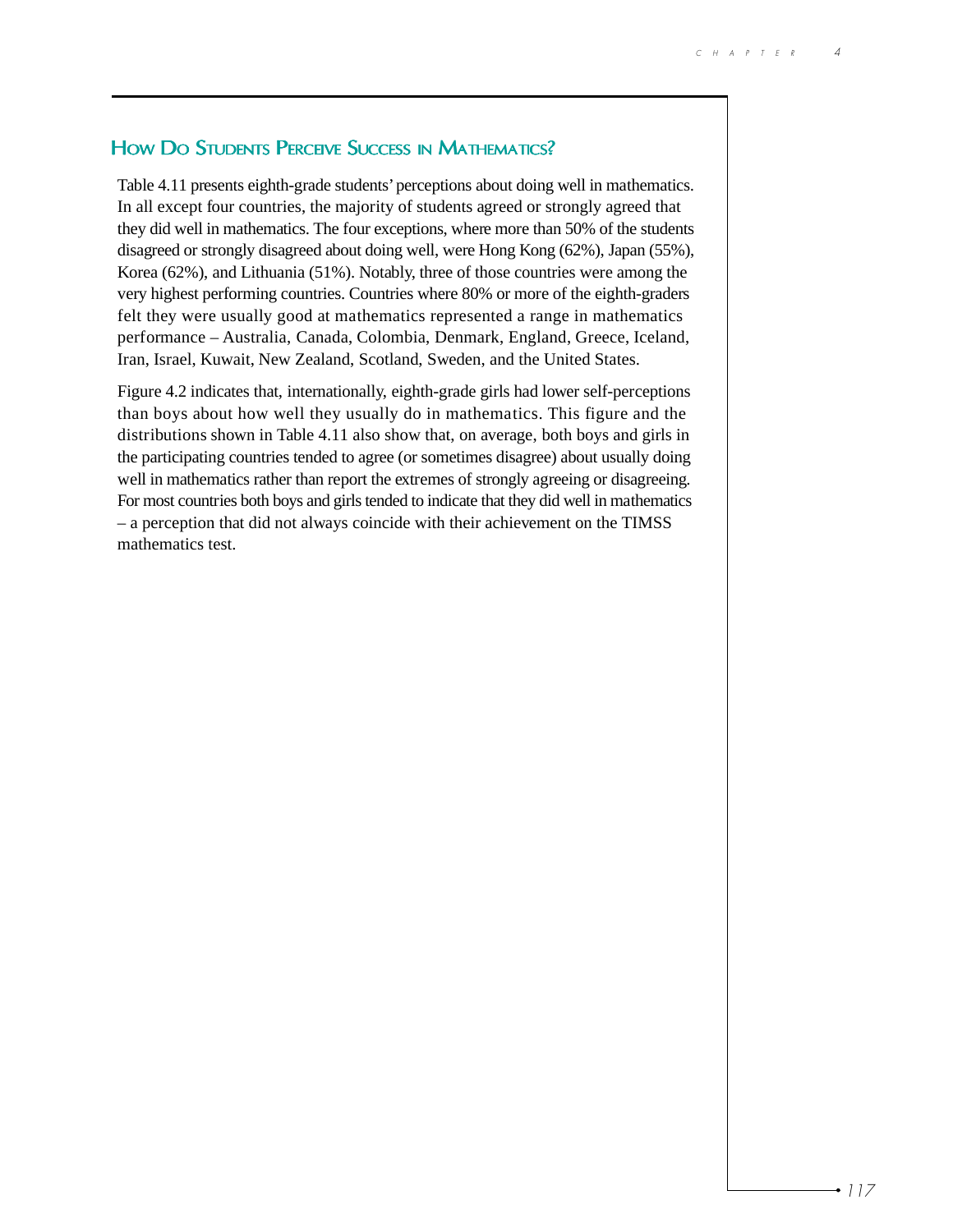#### HOW DO STUDENTS PERCEIVE SUCCESS IN MATHEMATICS?

Table 4.11 presents eighth-grade students' perceptions about doing well in mathematics. In all except four countries, the majority of students agreed or strongly agreed that they did well in mathematics. The four exceptions, where more than 50% of the students disagreed or strongly disagreed about doing well, were Hong Kong (62%), Japan (55%), Korea (62%), and Lithuania (51%). Notably, three of those countries were among the very highest performing countries. Countries where 80% or more of the eighth-graders felt they were usually good at mathematics represented a range in mathematics performance – Australia, Canada, Colombia, Denmark, England, Greece, Iceland, Iran, Israel, Kuwait, New Zealand, Scotland, Sweden, and the United States.

Figure 4.2 indicates that, internationally, eighth-grade girls had lower self-perceptions than boys about how well they usually do in mathematics. This figure and the distributions shown in Table 4.11 also show that, on average, both boys and girls in the participating countries tended to agree (or sometimes disagree) about usually doing well in mathematics rather than report the extremes of strongly agreeing or disagreeing. For most countries both boys and girls tended to indicate that they did well in mathematics – a perception that did not always coincide with their achievement on the TIMSS mathematics test.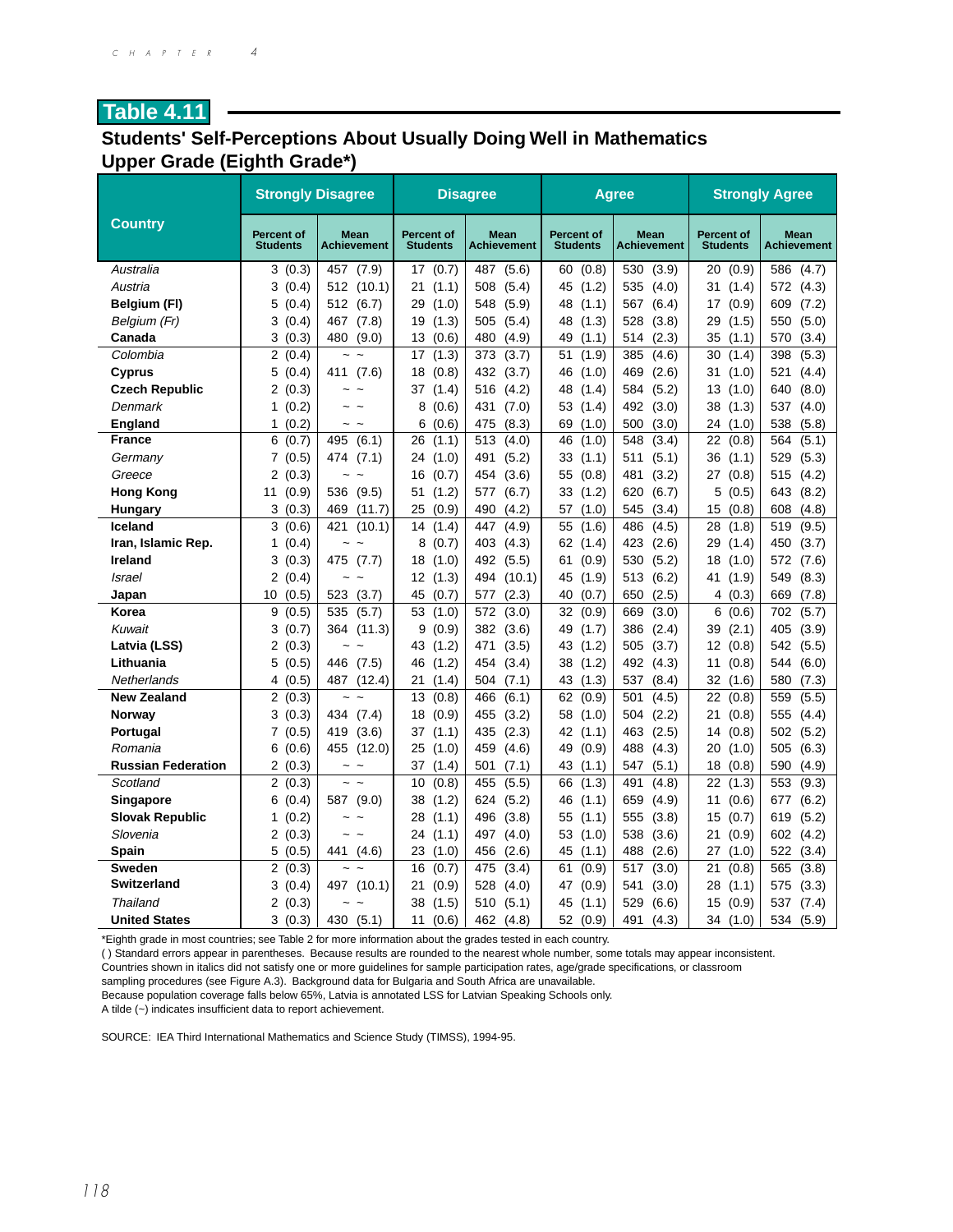### **Students' Self-Perceptions About Usually Doing Well in Mathematics Upper Grade (Eighth Grade\*)**

|                           | <b>Strongly Disagree</b>             |                                            |                                      | <b>Disagree</b>            |                                      | Agree                      |                               | <b>Strongly Agree</b>      |
|---------------------------|--------------------------------------|--------------------------------------------|--------------------------------------|----------------------------|--------------------------------------|----------------------------|-------------------------------|----------------------------|
| <b>Country</b>            | <b>Percent of</b><br><b>Students</b> | Mean<br><b>Achievement</b>                 | <b>Percent of</b><br><b>Students</b> | Mean<br><b>Achievement</b> | <b>Percent of</b><br><b>Students</b> | Mean<br><b>Achievement</b> | Percent of<br><b>Students</b> | Mean<br><b>Achievement</b> |
| Australia                 | 3<br>(0.3)                           | 457<br>(7.9)                               | 17<br>(0.7)                          | 487<br>(5.6)               | 60<br>(0.8)                          | 530<br>(3.9)               | 20<br>(0.9)                   | 586<br>(4.7)               |
| Austria                   | 3<br>(0.4)                           | 512<br>(10.1)                              | 21<br>(1.1)                          | 508<br>(5.4)               | 45<br>(1.2)                          | 535<br>(4.0)               | 31<br>(1.4)                   | (4.3)<br>572               |
| Belgium (FI)              | 5<br>(0.4)                           | 512<br>(6.7)                               | 29<br>(1.0)                          | (5.9)<br>548               | 48<br>(1.1)                          | 567<br>(6.4)               | 17<br>(0.9)                   | 609<br>(7.2)               |
| Belgium (Fr)              | 3<br>(0.4)                           | (7.8)<br>467                               | (1.3)<br>19                          | (5.4)<br>505               | (1.3)<br>48                          | (3.8)<br>528               | (1.5)<br>29                   | (5.0)<br>550               |
| Canada                    | 3<br>(0.3)                           | (9.0)<br>480                               | 13<br>(0.6)                          | (4.9)<br>480               | (1.1)<br>49                          | (2.3)<br>514               | 35<br>(1.1)                   | (3.4)<br>570               |
| Colombia                  | 2<br>(0.4)                           |                                            | (1.3)<br>17                          | 373<br>(3.7)               | 51<br>(1.9)                          | 385<br>(4.6)               | 30<br>(1.4)                   | 398<br>(5.3)               |
| <b>Cyprus</b>             | 5<br>(0.4)                           | 411<br>(7.6)                               | 18<br>(0.8)                          | 432<br>(3.7)               | 46<br>(1.0)                          | 469<br>(2.6)               | 31<br>(1.0)                   | 521<br>(4.4)               |
| <b>Czech Republic</b>     | 2<br>(0.3)                           | $\sim$                                     | 37 (1.4)                             | 516<br>(4.2)               | 48<br>(1.4)                          | 584<br>(5.2)               | 13<br>(1.0)                   | 640<br>(8.0)               |
| Denmark                   | (0.2)<br>1                           | $\sim$                                     | 8<br>(0.6)                           | 431<br>(7.0)               | 53<br>(1.4)                          | 492<br>(3.0)               | 38<br>(1.3)                   | 537<br>(4.0)               |
| England                   | (0.2)<br>1                           | $\overline{\phantom{0}}$<br>$\overline{ }$ | 6<br>(0.6)                           | (8.3)<br>475               | 69<br>(1.0)                          | (3.0)<br>500               | 24<br>(1.0)                   | (5.8)<br>538               |
| <b>France</b>             | 6<br>(0.7)                           | (6.1)<br>495                               | 26<br>(1.1)                          | 513<br>(4.0)               | 46<br>(1.0)                          | (3.4)<br>548               | 22<br>(0.8)                   | (5.1)<br>564               |
| Germany                   | (0.5)<br>7                           | 474 (7.1)                                  | 24<br>(1.0)                          | 491<br>(5.2)               | 33<br>(1.1)                          | 511<br>(5.1)               | 36<br>(1.1)                   | (5.3)<br>529               |
| Greece                    | 2<br>(0.3)                           | $\sim$                                     | 16<br>(0.7)                          | 454<br>(3.6)               | 55<br>(0.8)                          | 481<br>(3.2)               | 27<br>(0.8)                   | 515<br>(4.2)               |
| <b>Hong Kong</b>          | 11<br>(0.9)                          | 536 (9.5)                                  | 51<br>(1.2)                          | 577<br>(6.7)               | 33<br>(1.2)                          | 620<br>(6.7)               | 5 (0.5)                       | 643<br>(8.2)               |
| <b>Hungary</b>            | 3<br>(0.3)                           | (11.7)<br>469                              | 25<br>(0.9)                          | 490<br>(4.2)               | 57<br>(1.0)                          | 545<br>(3.4)               | 15<br>(0.8)                   | 608<br>(4.8)               |
| <b>Iceland</b>            | 3<br>(0.6)                           | 421<br>(10.1)                              | 14<br>(1.4)                          | 447<br>(4.9)               | 55<br>(1.6)                          | 486<br>(4.5)               | (1.8)<br>28                   | 519<br>(9.5)               |
| Iran, Islamic Rep.        | (0.4)<br>1                           | $\tilde{}$                                 | 8<br>(0.7)                           | 403<br>(4.3)               | 62<br>(1.4)                          | 423<br>(2.6)               | 29<br>(1.4)                   | 450<br>(3.7)               |
| <b>Ireland</b>            | 3<br>(0.3)                           | 475 (7.7)                                  | 18<br>(1.0)                          | 492<br>(5.5)               | 61<br>(0.9)                          | (5.2)<br>530               | 18<br>(1.0)                   | 572<br>(7.6)               |
| <b>Israel</b>             | 2<br>(0.4)                           | L.                                         | 12<br>(1.3)                          | 494<br>(10.1)              | 45<br>(1.9)                          | 513<br>(6.2)               | 41<br>(1.9)                   | 549<br>(8.3)               |
| Japan                     | (0.5)<br>10                          | 523<br>(3.7)                               | 45<br>(0.7)                          | (2.3)<br>577               | 40<br>(0.7)                          | (2.5)<br>650               | 4<br>(0.3)                    | 669<br>(7.8)               |
| Korea                     | 9<br>(0.5)                           | 535<br>(5.7)                               | 53<br>(1.0)                          | 572<br>(3.0)               | 32<br>(0.9)                          | 669<br>(3.0)               | 6<br>(0.6)                    | (5.7)<br>702               |
| Kuwait                    | 3<br>(0.7)                           | 364 (11.3)                                 | 9<br>(0.9)                           | 382<br>(3.6)               | 49<br>(1.7)                          | 386<br>(2.4)               | 39<br>(2.1)                   | 405<br>(3.9)               |
| Latvia (LSS)              | 2<br>(0.3)                           | $\ddot{ }$<br>$\sim$                       | 43<br>(1.2)                          | (3.5)<br>471               | (1.2)<br>43                          | (3.7)<br>505               | 12<br>(0.8)                   | 542<br>(5.5)               |
| Lithuania                 | 5<br>(0.5)                           | 446 (7.5)                                  | (1.2)<br>46                          | 454<br>(3.4)               | (1.2)<br>38                          | 492<br>(4.3)               | 11<br>(0.8)                   | (6.0)<br>544               |
| Netherlands               | 4<br>(0.5)                           | 487 (12.4)                                 | 21<br>(1.4)                          | 504<br>(7.1)               | 43<br>(1.3)                          | 537<br>(8.4)               | 32<br>(1.6)                   | 580<br>(7.3)               |
| <b>New Zealand</b>        | 2<br>(0.3)                           |                                            | (0.8)<br>13                          | 466<br>(6.1)               | 62<br>(0.9)                          | 501<br>(4.5)               | 22<br>(0.8)                   | 559<br>(5.5)               |
| Norway                    | 3<br>(0.3)                           | 434<br>(7.4)                               | 18<br>(0.9)                          | 455<br>(3.2)               | 58<br>(1.0)                          | 504<br>(2.2)               | 21<br>(0.8)                   | 555<br>(4.4)               |
| Portugal                  | 7<br>(0.5)                           | 419<br>(3.6)                               | 37<br>(1.1)                          | 435<br>(2.3)               | 42<br>(1.1)                          | 463<br>(2.5)               | 14<br>(0.8)                   | (5.2)<br>502               |
| Romania                   | (0.6)<br>6                           | 455<br>(12.0)                              | 25<br>(1.0)                          | 459<br>(4.6)               | (0.9)<br>49                          | 488<br>(4.3)               | 20<br>(1.0)                   | 505<br>(6.3)               |
| <b>Russian Federation</b> | 2<br>(0.3)                           | $\widetilde{\phantom{m}}$<br>$\tilde{}$    | 37<br>(1.4)                          | 501<br>(7.1)               | 43<br>(1.1)                          | (5.1)<br>547               | 18<br>(0.8)                   | 590<br>(4.9)               |
| Scotland                  | $\overline{2}$<br>(0.3)              | $\tilde{}$                                 | 10<br>(0.8)                          | 455<br>(5.5)               | (1.3)<br>66                          | 491<br>(4.8)               | 22<br>(1.3)                   | 553<br>(9.3)               |
| <b>Singapore</b>          | 6<br>(0.4)                           | 587 (9.0)                                  | 38<br>(1.2)                          | 624<br>(5.2)               | 46<br>(1.1)                          | 659<br>(4.9)               | 11<br>(0.6)                   | (6.2)<br>677               |
| <b>Slovak Republic</b>    | (0.2)<br>1                           | $\overline{\phantom{0}}$                   | 28<br>(1.1)                          | 496<br>(3.8)               | 55<br>(1.1)                          | (3.8)<br>555               | 15<br>(0.7)                   | 619<br>(5.2)               |
| Slovenia                  | 2<br>(0.3)                           | $\overline{ }$                             | 24<br>(1.1)                          | 497<br>(4.0)               | 53<br>(1.0)                          | (3.6)<br>538               | 21<br>(0.9)                   | 602<br>(4.2)               |
| Spain                     | 5<br>(0.5)                           | 441<br>(4.6)                               | 23<br>(1.0)                          | (2.6)<br>456               | 45<br>(1.1)                          | 488<br>(2.6)               | 27<br>(1.0)                   | 522<br>(3.4)               |
| <b>Sweden</b>             | 2<br>(0.3)                           |                                            | 16<br>(0.7)                          | 475<br>(3.4)               | (0.9)<br>61                          | 517<br>(3.0)               | 21<br>(0.8)                   | 565<br>(3.8)               |
| <b>Switzerland</b>        | 3<br>(0.4)                           | 497 (10.1)                                 | 21<br>(0.9)                          | 528<br>(4.0)               | 47<br>(0.9)                          | 541<br>(3.0)               | 28<br>(1.1)                   | 575<br>(3.3)               |
| Thailand                  | (0.3)<br>2                           |                                            | (1.5)<br>38                          | 510<br>(5.1)               | 45<br>(1.1)                          | (6.6)<br>529               | 15<br>(0.9)                   | 537<br>(7.4)               |
| <b>United States</b>      | 3<br>(0.3)                           | 430<br>(5.1)                               | 11<br>(0.6)                          | 462<br>(4.8)               | 52<br>(0.9)                          | 491<br>(4.3)               | 34<br>(1.0)                   | (5.9)<br>534               |

\*Eighth grade in most countries; see Table 2 for more information about the grades tested in each country.

( ) Standard errors appear in parentheses. Because results are rounded to the nearest whole number, some totals may appear inconsistent.

Countries shown in italics did not satisfy one or more guidelines for sample participation rates, age/grade specifications, or classroom

sampling procedures (see Figure A.3). Background data for Bulgaria and South Africa are unavailable.

Because population coverage falls below 65%, Latvia is annotated LSS for Latvian Speaking Schools only.

A tilde (~) indicates insufficient data to report achievement.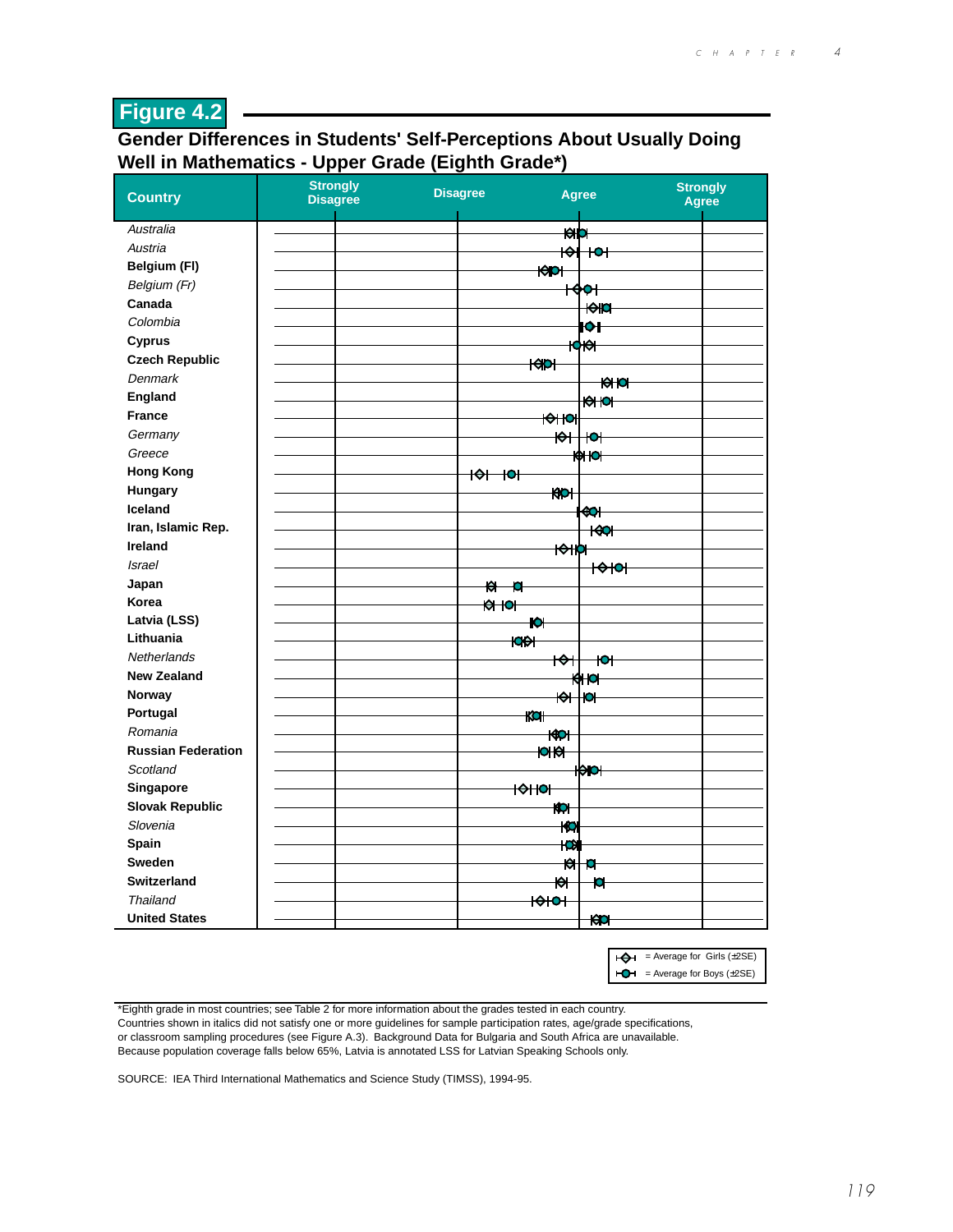## **Figure 4.2**

## **Gender Differences in Students' Self-Perceptions About Usually Doing Well in Mathematics - Upper Grade (Eighth Grade\*)**

| Australia<br>₩þ⊦<br>Austria<br><del>। । । । ।</del><br>Belgium (FI)<br>$\blackleftrightarrow$<br>Belgium (Fr)<br>₩0+<br>Canada<br>$\biguplus$<br>Colombia<br>Юł<br>Cyprus<br>ЮЮ<br><b>Czech Republic</b><br>H<br><b>Denmark</b><br>$\bigotimes$<br>England<br>$\bigotimes$<br><b>France</b><br>₩М<br>Germany<br><del>ю⊩∣ю</del><br>Greece<br>₩₩<br><b>Hong Kong</b><br><del>। । ।</del><br>Hungary<br>$\Theta$<br>Iceland<br>₩<br>Iran, Islamic Rep.<br>$\overline{\text{R}}$<br><b>Ireland</b><br>юн≽н<br><b>Israel</b><br>$\overline{R}$<br>Japan<br>$\theta$ $\theta$<br>Korea<br><del>101</del><br>Latvia (LSS)<br>ю⊦<br>Lithuania<br>$\overline{R}$<br><b>Netherlands</b><br>$\overline{\mathsf{H}}$<br>$\dashv$<br><b>New Zealand</b><br>ΘНΘ<br>Norway<br><del>к≯</del> ∣ю⊦<br>Portugal<br>$K$ $\blacksquare$<br>Romania<br>ΚΦ<br><b>Russian Federation</b><br><b>PIA</b><br>Scotland<br><del>l</del> o<br>Singapore<br>10H<br><b>Slovak Republic</b><br>Ю<br>Slovenia<br>Ю<br>Spain<br>$\overline{\mathbf{z}}$<br>Sweden<br><del>⊠∣¤</del><br><b>Switzerland</b><br>$\blacklozenge$<br>Ю<br><b>Thailand</b><br>H<br><b>United States</b><br><b>RO</b> | <b>Country</b> | <b>Strongly</b><br><b>Disagree</b> | <b>Disagree</b> | Agree | <b>Strongly</b><br><b>Agree</b> |
|--------------------------------------------------------------------------------------------------------------------------------------------------------------------------------------------------------------------------------------------------------------------------------------------------------------------------------------------------------------------------------------------------------------------------------------------------------------------------------------------------------------------------------------------------------------------------------------------------------------------------------------------------------------------------------------------------------------------------------------------------------------------------------------------------------------------------------------------------------------------------------------------------------------------------------------------------------------------------------------------------------------------------------------------------------------------------------------------------------------------------------------------------------------|----------------|------------------------------------|-----------------|-------|---------------------------------|
|                                                                                                                                                                                                                                                                                                                                                                                                                                                                                                                                                                                                                                                                                                                                                                                                                                                                                                                                                                                                                                                                                                                                                              |                |                                    |                 |       |                                 |
|                                                                                                                                                                                                                                                                                                                                                                                                                                                                                                                                                                                                                                                                                                                                                                                                                                                                                                                                                                                                                                                                                                                                                              |                |                                    |                 |       |                                 |
|                                                                                                                                                                                                                                                                                                                                                                                                                                                                                                                                                                                                                                                                                                                                                                                                                                                                                                                                                                                                                                                                                                                                                              |                |                                    |                 |       |                                 |
|                                                                                                                                                                                                                                                                                                                                                                                                                                                                                                                                                                                                                                                                                                                                                                                                                                                                                                                                                                                                                                                                                                                                                              |                |                                    |                 |       |                                 |
|                                                                                                                                                                                                                                                                                                                                                                                                                                                                                                                                                                                                                                                                                                                                                                                                                                                                                                                                                                                                                                                                                                                                                              |                |                                    |                 |       |                                 |
|                                                                                                                                                                                                                                                                                                                                                                                                                                                                                                                                                                                                                                                                                                                                                                                                                                                                                                                                                                                                                                                                                                                                                              |                |                                    |                 |       |                                 |
|                                                                                                                                                                                                                                                                                                                                                                                                                                                                                                                                                                                                                                                                                                                                                                                                                                                                                                                                                                                                                                                                                                                                                              |                |                                    |                 |       |                                 |
|                                                                                                                                                                                                                                                                                                                                                                                                                                                                                                                                                                                                                                                                                                                                                                                                                                                                                                                                                                                                                                                                                                                                                              |                |                                    |                 |       |                                 |
|                                                                                                                                                                                                                                                                                                                                                                                                                                                                                                                                                                                                                                                                                                                                                                                                                                                                                                                                                                                                                                                                                                                                                              |                |                                    |                 |       |                                 |
|                                                                                                                                                                                                                                                                                                                                                                                                                                                                                                                                                                                                                                                                                                                                                                                                                                                                                                                                                                                                                                                                                                                                                              |                |                                    |                 |       |                                 |
|                                                                                                                                                                                                                                                                                                                                                                                                                                                                                                                                                                                                                                                                                                                                                                                                                                                                                                                                                                                                                                                                                                                                                              |                |                                    |                 |       |                                 |
|                                                                                                                                                                                                                                                                                                                                                                                                                                                                                                                                                                                                                                                                                                                                                                                                                                                                                                                                                                                                                                                                                                                                                              |                |                                    |                 |       |                                 |
|                                                                                                                                                                                                                                                                                                                                                                                                                                                                                                                                                                                                                                                                                                                                                                                                                                                                                                                                                                                                                                                                                                                                                              |                |                                    |                 |       |                                 |
|                                                                                                                                                                                                                                                                                                                                                                                                                                                                                                                                                                                                                                                                                                                                                                                                                                                                                                                                                                                                                                                                                                                                                              |                |                                    |                 |       |                                 |
|                                                                                                                                                                                                                                                                                                                                                                                                                                                                                                                                                                                                                                                                                                                                                                                                                                                                                                                                                                                                                                                                                                                                                              |                |                                    |                 |       |                                 |
|                                                                                                                                                                                                                                                                                                                                                                                                                                                                                                                                                                                                                                                                                                                                                                                                                                                                                                                                                                                                                                                                                                                                                              |                |                                    |                 |       |                                 |
|                                                                                                                                                                                                                                                                                                                                                                                                                                                                                                                                                                                                                                                                                                                                                                                                                                                                                                                                                                                                                                                                                                                                                              |                |                                    |                 |       |                                 |
|                                                                                                                                                                                                                                                                                                                                                                                                                                                                                                                                                                                                                                                                                                                                                                                                                                                                                                                                                                                                                                                                                                                                                              |                |                                    |                 |       |                                 |
|                                                                                                                                                                                                                                                                                                                                                                                                                                                                                                                                                                                                                                                                                                                                                                                                                                                                                                                                                                                                                                                                                                                                                              |                |                                    |                 |       |                                 |
|                                                                                                                                                                                                                                                                                                                                                                                                                                                                                                                                                                                                                                                                                                                                                                                                                                                                                                                                                                                                                                                                                                                                                              |                |                                    |                 |       |                                 |
|                                                                                                                                                                                                                                                                                                                                                                                                                                                                                                                                                                                                                                                                                                                                                                                                                                                                                                                                                                                                                                                                                                                                                              |                |                                    |                 |       |                                 |
|                                                                                                                                                                                                                                                                                                                                                                                                                                                                                                                                                                                                                                                                                                                                                                                                                                                                                                                                                                                                                                                                                                                                                              |                |                                    |                 |       |                                 |
|                                                                                                                                                                                                                                                                                                                                                                                                                                                                                                                                                                                                                                                                                                                                                                                                                                                                                                                                                                                                                                                                                                                                                              |                |                                    |                 |       |                                 |
|                                                                                                                                                                                                                                                                                                                                                                                                                                                                                                                                                                                                                                                                                                                                                                                                                                                                                                                                                                                                                                                                                                                                                              |                |                                    |                 |       |                                 |
|                                                                                                                                                                                                                                                                                                                                                                                                                                                                                                                                                                                                                                                                                                                                                                                                                                                                                                                                                                                                                                                                                                                                                              |                |                                    |                 |       |                                 |
|                                                                                                                                                                                                                                                                                                                                                                                                                                                                                                                                                                                                                                                                                                                                                                                                                                                                                                                                                                                                                                                                                                                                                              |                |                                    |                 |       |                                 |
|                                                                                                                                                                                                                                                                                                                                                                                                                                                                                                                                                                                                                                                                                                                                                                                                                                                                                                                                                                                                                                                                                                                                                              |                |                                    |                 |       |                                 |
|                                                                                                                                                                                                                                                                                                                                                                                                                                                                                                                                                                                                                                                                                                                                                                                                                                                                                                                                                                                                                                                                                                                                                              |                |                                    |                 |       |                                 |
|                                                                                                                                                                                                                                                                                                                                                                                                                                                                                                                                                                                                                                                                                                                                                                                                                                                                                                                                                                                                                                                                                                                                                              |                |                                    |                 |       |                                 |
|                                                                                                                                                                                                                                                                                                                                                                                                                                                                                                                                                                                                                                                                                                                                                                                                                                                                                                                                                                                                                                                                                                                                                              |                |                                    |                 |       |                                 |
|                                                                                                                                                                                                                                                                                                                                                                                                                                                                                                                                                                                                                                                                                                                                                                                                                                                                                                                                                                                                                                                                                                                                                              |                |                                    |                 |       |                                 |
|                                                                                                                                                                                                                                                                                                                                                                                                                                                                                                                                                                                                                                                                                                                                                                                                                                                                                                                                                                                                                                                                                                                                                              |                |                                    |                 |       |                                 |
|                                                                                                                                                                                                                                                                                                                                                                                                                                                                                                                                                                                                                                                                                                                                                                                                                                                                                                                                                                                                                                                                                                                                                              |                |                                    |                 |       |                                 |
|                                                                                                                                                                                                                                                                                                                                                                                                                                                                                                                                                                                                                                                                                                                                                                                                                                                                                                                                                                                                                                                                                                                                                              |                |                                    |                 |       |                                 |
|                                                                                                                                                                                                                                                                                                                                                                                                                                                                                                                                                                                                                                                                                                                                                                                                                                                                                                                                                                                                                                                                                                                                                              |                |                                    |                 |       |                                 |
|                                                                                                                                                                                                                                                                                                                                                                                                                                                                                                                                                                                                                                                                                                                                                                                                                                                                                                                                                                                                                                                                                                                                                              |                |                                    |                 |       |                                 |
|                                                                                                                                                                                                                                                                                                                                                                                                                                                                                                                                                                                                                                                                                                                                                                                                                                                                                                                                                                                                                                                                                                                                                              |                |                                    |                 |       |                                 |
|                                                                                                                                                                                                                                                                                                                                                                                                                                                                                                                                                                                                                                                                                                                                                                                                                                                                                                                                                                                                                                                                                                                                                              |                |                                    |                 |       |                                 |

 $\overrightarrow{H}$  = Average for Girls ( $\pm$ 2SE)  $\text{H}\text{O}$  = Average for Boys ( $\pm 2SE$ )

<sup>\*</sup>Eighth grade in most countries; see Table 2 for more information about the grades tested in each country. Countries shown in italics did not satisfy one or more guidelines for sample participation rates, age/grade specifications, or classroom sampling procedures (see Figure A.3). Background Data for Bulgaria and South Africa are unavailable. Because population coverage falls below 65%, Latvia is annotated LSS for Latvian Speaking Schools only.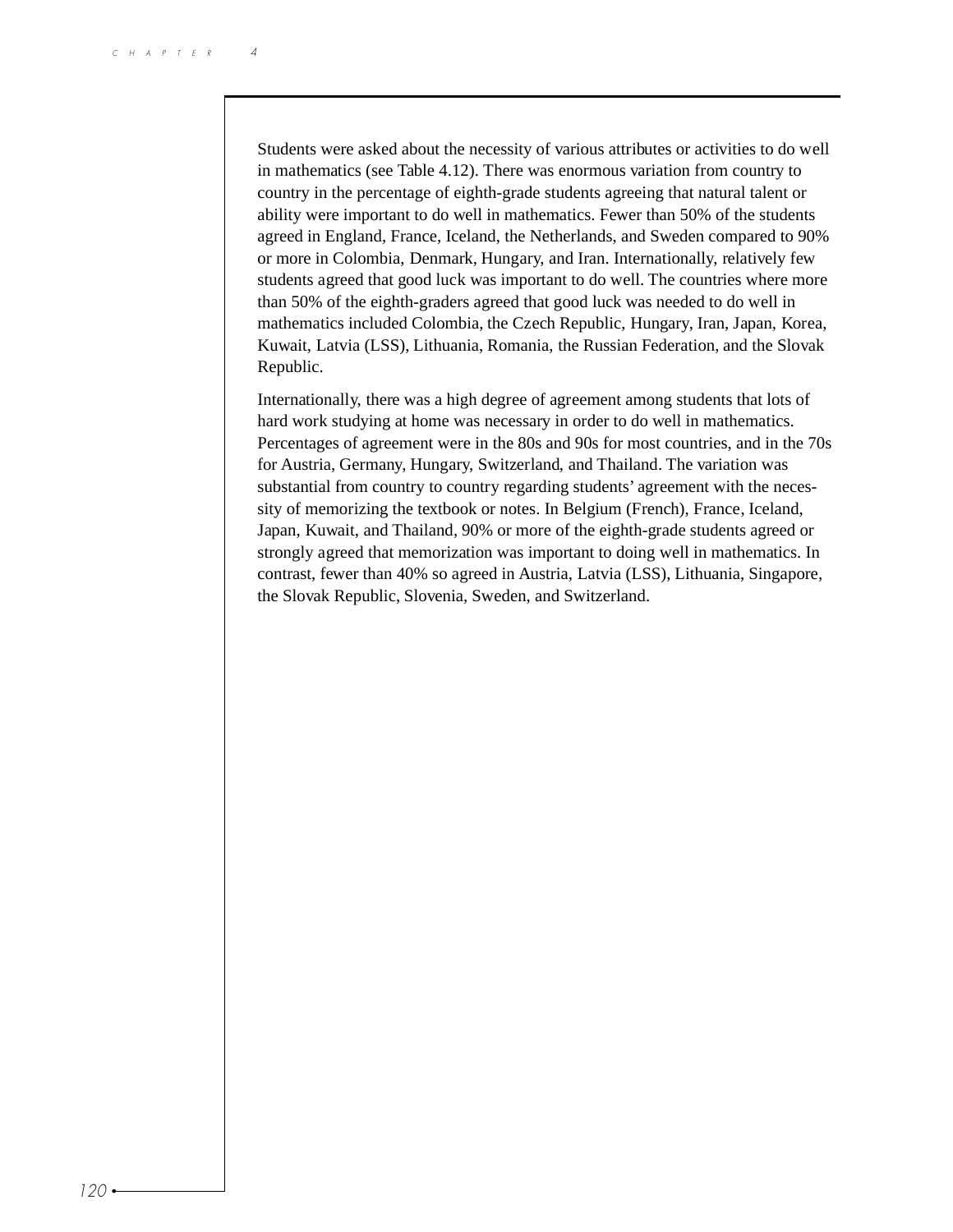Students were asked about the necessity of various attributes or activities to do well in mathematics (see Table 4.12). There was enormous variation from country to country in the percentage of eighth-grade students agreeing that natural talent or ability were important to do well in mathematics. Fewer than 50% of the students agreed in England, France, Iceland, the Netherlands, and Sweden compared to 90% or more in Colombia, Denmark, Hungary, and Iran. Internationally, relatively few students agreed that good luck was important to do well. The countries where more than 50% of the eighth-graders agreed that good luck was needed to do well in mathematics included Colombia, the Czech Republic, Hungary, Iran, Japan, Korea, Kuwait, Latvia (LSS), Lithuania, Romania, the Russian Federation, and the Slovak Republic.

Internationally, there was a high degree of agreement among students that lots of hard work studying at home was necessary in order to do well in mathematics. Percentages of agreement were in the 80s and 90s for most countries, and in the 70s for Austria, Germany, Hungary, Switzerland, and Thailand. The variation was substantial from country to country regarding students' agreement with the necessity of memorizing the textbook or notes. In Belgium (French), France, Iceland, Japan, Kuwait, and Thailand, 90% or more of the eighth-grade students agreed or strongly agreed that memorization was important to doing well in mathematics. In contrast, fewer than 40% so agreed in Austria, Latvia (LSS), Lithuania, Singapore, the Slovak Republic, Slovenia, Sweden, and Switzerland.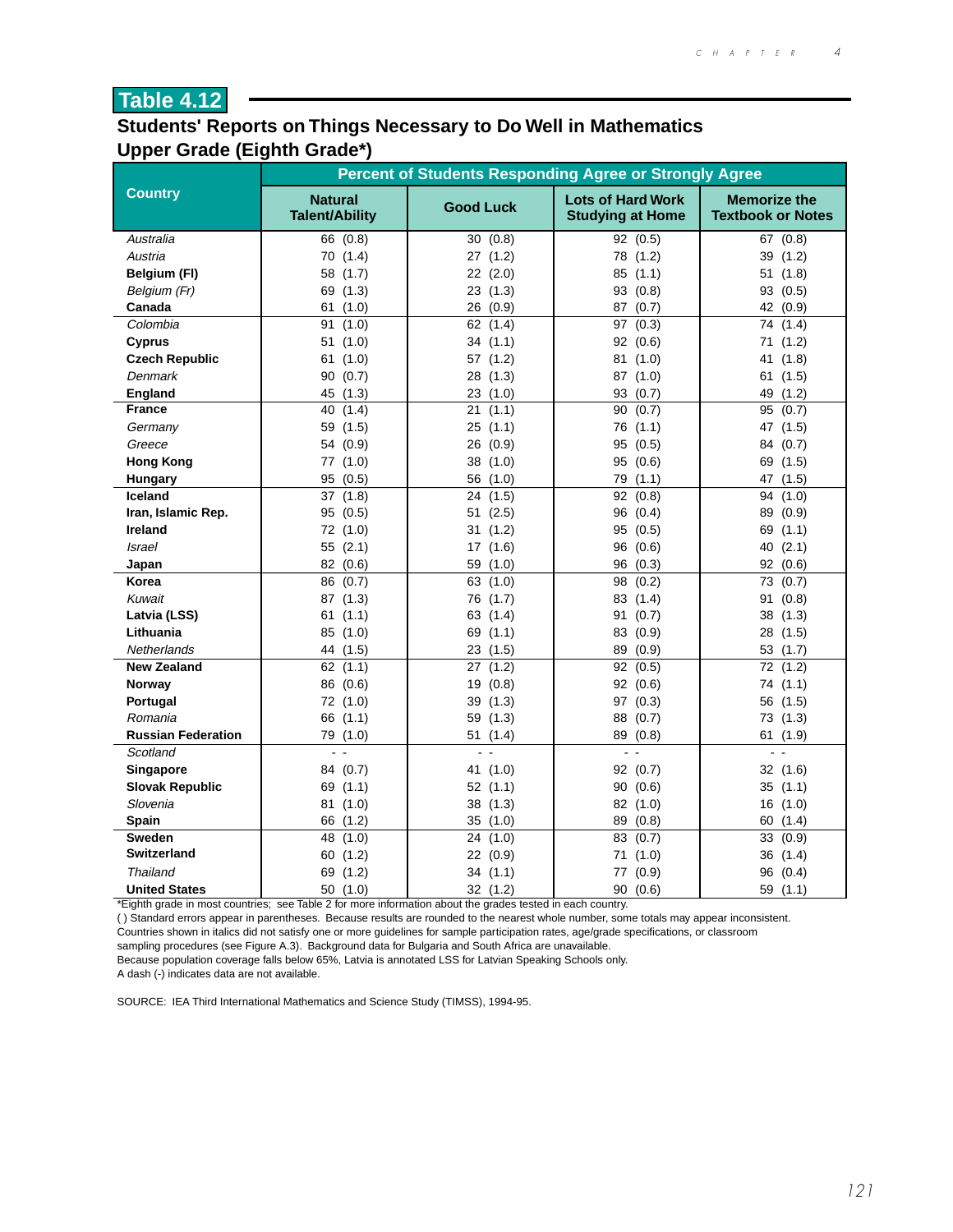#### **Students' Reports on Things Necessary to Do Well in Mathematics Upper Grade (Eighth Grade\*)**

|                           | Percent of Students Responding Agree or Strongly Agree |                                                                                                                       |                                                     |                                                 |  |  |  |  |
|---------------------------|--------------------------------------------------------|-----------------------------------------------------------------------------------------------------------------------|-----------------------------------------------------|-------------------------------------------------|--|--|--|--|
| <b>Country</b>            | <b>Natural</b><br><b>Talent/Ability</b>                | <b>Good Luck</b>                                                                                                      | <b>Lots of Hard Work</b><br><b>Studying at Home</b> | <b>Memorize the</b><br><b>Textbook or Notes</b> |  |  |  |  |
| Australia                 | 66 (0.8)                                               | 30(0.8)                                                                                                               | 92(0.5)                                             | 67(0.8)                                         |  |  |  |  |
| Austria                   | 70 (1.4)                                               | 27 (1.2)                                                                                                              | 78 (1.2)                                            | 39 (1.2)                                        |  |  |  |  |
| Belgium (FI)              | 58<br>(1.7)                                            | 22(2.0)                                                                                                               | 85 (1.1)                                            | 51(1.8)                                         |  |  |  |  |
| Belgium (Fr)              | 69 (1.3)                                               | 23 (1.3)                                                                                                              | 93 (0.8)                                            | 93 (0.5)                                        |  |  |  |  |
| Canada                    | 61(1.0)                                                | 26<br>(0.9)                                                                                                           | 87 (0.7)                                            | 42 (0.9)                                        |  |  |  |  |
| Colombia                  | (1.0)<br>91                                            | 62 (1.4)                                                                                                              | 97<br>(0.3)                                         | $\overline{7}4(1.4)$                            |  |  |  |  |
| <b>Cyprus</b>             | 51(1.0)                                                | 34 (1.1)                                                                                                              | 92 (0.6)                                            | 71(1.2)                                         |  |  |  |  |
| <b>Czech Republic</b>     | 61<br>(1.0)                                            | 57 (1.2)                                                                                                              | 81 (1.0)                                            | 41<br>(1.8)                                     |  |  |  |  |
| <b>Denmark</b>            | $90\,$<br>(0.7)                                        | 28<br>(1.3)                                                                                                           | 87 (1.0)                                            | (1.5)<br>61                                     |  |  |  |  |
| <b>England</b>            | 45<br>(1.3)                                            | 23(1.0)                                                                                                               | 93 (0.7)                                            | 49<br>(1.2)                                     |  |  |  |  |
| <b>France</b>             | 40<br>(1.4)                                            | 21<br>(1.1)                                                                                                           | 90<br>(0.7)                                         | 95<br>(0.7)                                     |  |  |  |  |
| Germany                   | 59<br>(1.5)                                            | 25 (1.1)                                                                                                              | 76 (1.1)                                            | 47 (1.5)                                        |  |  |  |  |
| Greece                    | 54<br>(0.9)                                            | 26<br>(0.9)                                                                                                           | 95<br>(0.5)                                         | (0.7)<br>84                                     |  |  |  |  |
| <b>Hong Kong</b>          | 77 (1.0)                                               | 38 (1.0)                                                                                                              | 95 (0.6)                                            | 69 (1.5)                                        |  |  |  |  |
| <b>Hungary</b>            | 95<br>(0.5)                                            | 56 (1.0)                                                                                                              | 79 (1.1)                                            | (1.5)<br>47                                     |  |  |  |  |
| Iceland                   | 37<br>(1.8)                                            | 24<br>(1.5)                                                                                                           | 92<br>(0.8)                                         | 94<br>(1.0)                                     |  |  |  |  |
| Iran, Islamic Rep.        | 95(0.5)                                                | 51 (2.5)                                                                                                              | 96 (0.4)                                            | 89 (0.9)                                        |  |  |  |  |
| <b>Ireland</b>            | 72 (1.0)                                               | 31<br>(1.2)                                                                                                           | 95 (0.5)                                            | 69 (1.1)                                        |  |  |  |  |
| <b>Israel</b>             | 55<br>(2.1)                                            | 17(1.6)                                                                                                               | 96<br>(0.6)                                         | 40 (2.1)                                        |  |  |  |  |
| Japan                     | 82 (0.6)                                               | 59<br>(1.0)                                                                                                           | 96 (0.3)                                            | 92(0.6)                                         |  |  |  |  |
| Korea                     | 86 (0.7)                                               | 63 (1.0)                                                                                                              | 98<br>(0.2)                                         | 73 (0.7)                                        |  |  |  |  |
| Kuwait                    | 87 (1.3)                                               | 76 (1.7)                                                                                                              | 83 (1.4)                                            | 91<br>(0.8)                                     |  |  |  |  |
| Latvia (LSS)              | 61<br>(1.1)                                            | 63<br>(1.4)                                                                                                           | 91<br>(0.7)                                         | 38 (1.3)                                        |  |  |  |  |
| Lithuania                 | 85 (1.0)                                               | (1.1)<br>69                                                                                                           | 83 (0.9)                                            | 28 (1.5)                                        |  |  |  |  |
| Netherlands               | 44 (1.5)                                               | 23(1.5)                                                                                                               | 89<br>(0.9)                                         | 53(1.7)                                         |  |  |  |  |
| <b>New Zealand</b>        | 62(1.1)                                                | 27 (1.2)                                                                                                              | 92 (0.5)                                            | 72 (1.2)                                        |  |  |  |  |
| Norway                    | 86<br>(0.6)                                            | 19(0.8)                                                                                                               | 92 (0.6)                                            | 74(1.1)                                         |  |  |  |  |
| Portugal                  | 72 (1.0)                                               | 39 (1.3)                                                                                                              | 97 (0.3)                                            | 56 (1.5)                                        |  |  |  |  |
| Romania                   | 66 (1.1)                                               | 59 (1.3)                                                                                                              | 88 (0.7)                                            | 73 (1.3)                                        |  |  |  |  |
| <b>Russian Federation</b> | 79 (1.0)                                               | 51<br>(1.4)                                                                                                           | 89 (0.8)                                            | 61<br>(1.9)                                     |  |  |  |  |
| Scotland                  | $\overline{a}$                                         |                                                                                                                       | $\blacksquare$                                      | $\overline{\phantom{a}}$                        |  |  |  |  |
| <b>Singapore</b>          | 84 (0.7)                                               | 41 (1.0)                                                                                                              | 92 (0.7)                                            | 32 (1.6)                                        |  |  |  |  |
| <b>Slovak Republic</b>    | 69 (1.1)                                               | 52 (1.1)                                                                                                              | 90 (0.6)                                            | 35(1.1)                                         |  |  |  |  |
| Slovenia                  | (1.0)<br>81                                            | 38<br>(1.3)                                                                                                           | 82 (1.0)                                            | 16(1.0)                                         |  |  |  |  |
| Spain                     | 66 (1.2)                                               | 35(1.0)                                                                                                               | 89 (0.8)                                            | 60 (1.4)                                        |  |  |  |  |
| <b>Sweden</b>             | 48 (1.0)                                               | 24 (1.0)                                                                                                              | 83 (0.7)                                            | 33 (0.9)                                        |  |  |  |  |
| Switzerland               | 60<br>(1.2)                                            | 22(0.9)                                                                                                               | (1.0)<br>71                                         | 36 (1.4)                                        |  |  |  |  |
| <b>Thailand</b>           | (1.2)<br>69                                            | 34(1.1)                                                                                                               | 77 (0.9)                                            | 96 (0.4)                                        |  |  |  |  |
| <b>United States</b>      | 50 (1.0)                                               | 32 (1.2)<br>*Eighth grade in most countries: see Table 2 for more information about the grades tested in each country | 90(0.6)                                             | 59 (1.1)                                        |  |  |  |  |

( ) Standard errors appear in parentheses. Because results are rounded to the nearest whole number, some totals may appear inconsistent. Countries shown in italics did not satisfy one or more guidelines for sample participation rates, age/grade specifications, or classroom

sampling procedures (see Figure A.3). Background data for Bulgaria and South Africa are unavailable.

Because population coverage falls below 65%, Latvia is annotated LSS for Latvian Speaking Schools only.

A dash (-) indicates data are not available.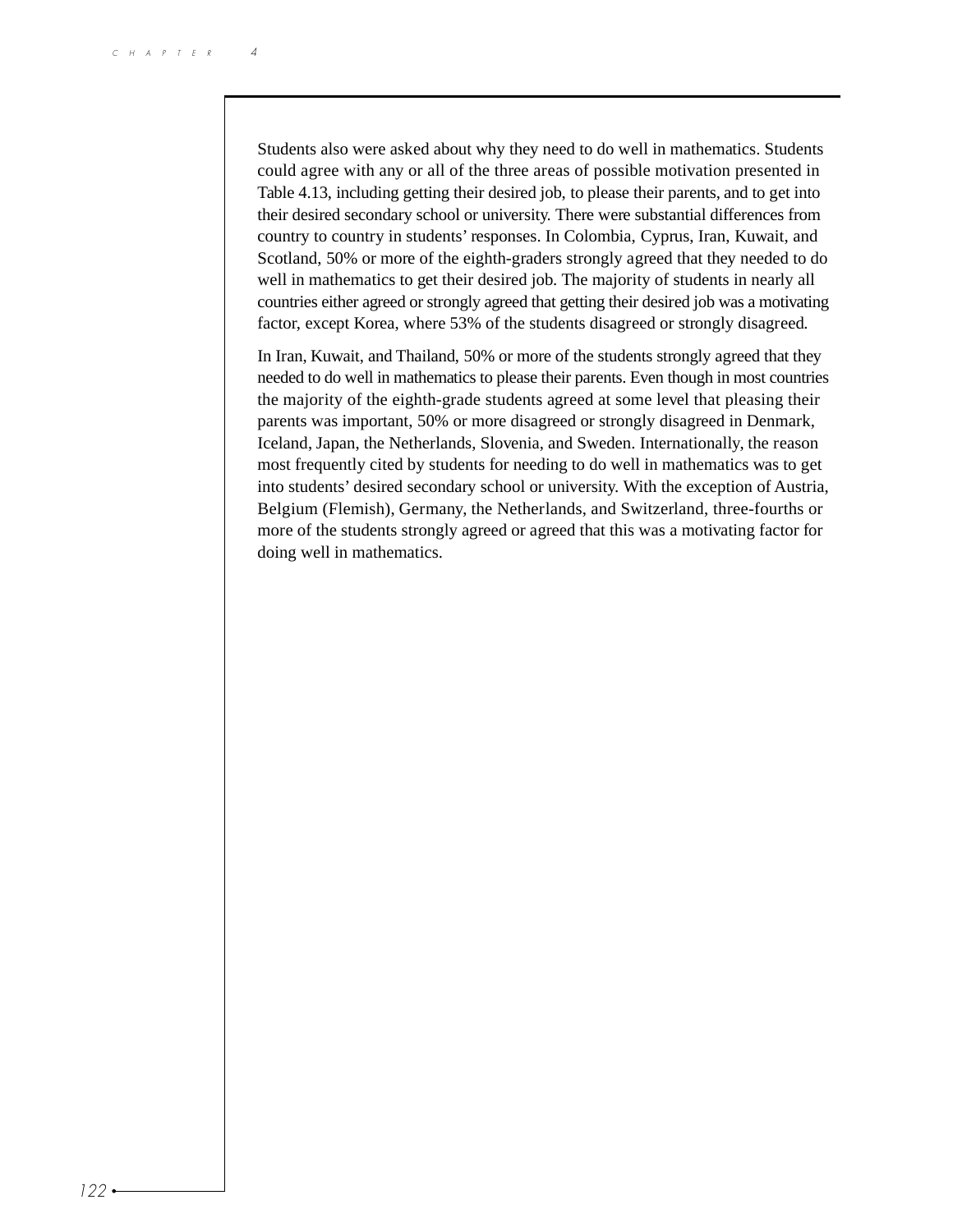Students also were asked about why they need to do well in mathematics. Students could agree with any or all of the three areas of possible motivation presented in Table 4.13, including getting their desired job, to please their parents, and to get into their desired secondary school or university. There were substantial differences from country to country in students' responses. In Colombia, Cyprus, Iran, Kuwait, and Scotland, 50% or more of the eighth-graders strongly agreed that they needed to do well in mathematics to get their desired job. The majority of students in nearly all countries either agreed or strongly agreed that getting their desired job was a motivating factor, except Korea, where 53% of the students disagreed or strongly disagreed.

In Iran, Kuwait, and Thailand, 50% or more of the students strongly agreed that they needed to do well in mathematics to please their parents. Even though in most countries the majority of the eighth-grade students agreed at some level that pleasing their parents was important, 50% or more disagreed or strongly disagreed in Denmark, Iceland, Japan, the Netherlands, Slovenia, and Sweden. Internationally, the reason most frequently cited by students for needing to do well in mathematics was to get into students' desired secondary school or university. With the exception of Austria, Belgium (Flemish), Germany, the Netherlands, and Switzerland, three-fourths or more of the students strongly agreed or agreed that this was a motivating factor for doing well in mathematics.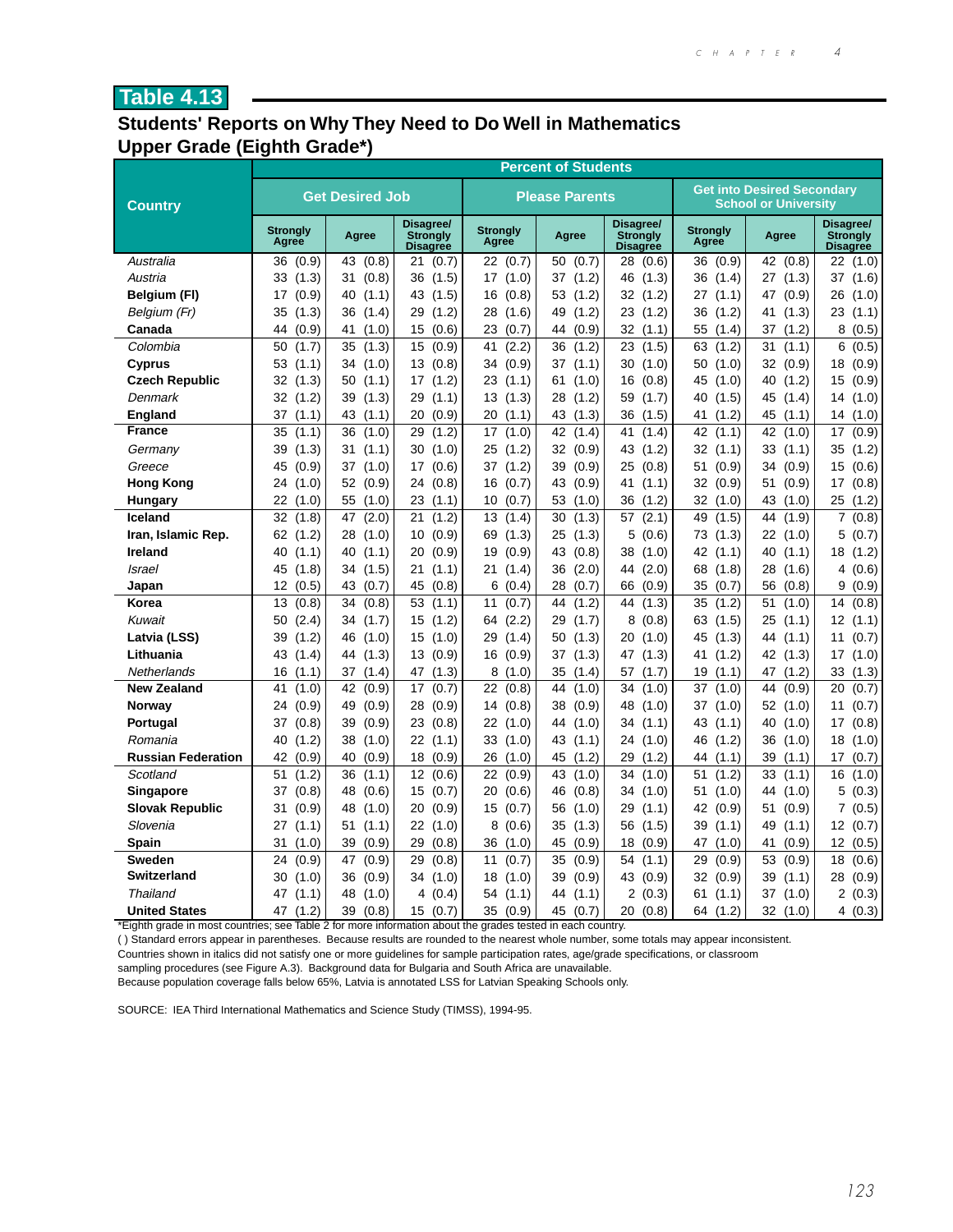## **Students' Reports on Why They Need to Do Well in Mathematics Upper Grade (Eighth Grade\*)**

|                           | <b>Percent of Students</b> |                        |                                                 |                          |                       |                                                 |                                                                  |             |                                                 |
|---------------------------|----------------------------|------------------------|-------------------------------------------------|--------------------------|-----------------------|-------------------------------------------------|------------------------------------------------------------------|-------------|-------------------------------------------------|
| <b>Country</b>            |                            | <b>Get Desired Job</b> |                                                 |                          | <b>Please Parents</b> |                                                 | <b>Get into Desired Secondary</b><br><b>School or University</b> |             |                                                 |
|                           | <b>Strongly</b><br>Agree   | Agree                  | Disagree/<br><b>Strongly</b><br><b>Disagree</b> | <b>Strongly</b><br>Agree | Agree                 | Disagree/<br><b>Strongly</b><br><b>Disagree</b> | <b>Strongly</b><br>Agree                                         | Agree       | Disagree/<br><b>Strongly</b><br><b>Disagree</b> |
| Australia                 | 36<br>(0.9)                | 43<br>(0.8)            | 21<br>(0.7)                                     | 22 (0.7)                 | 50<br>(0.7)           | 28<br>(0.6)                                     | 36<br>(0.9)                                                      | 42 (0.8)    | 22<br>(1.0)                                     |
| Austria                   | 33                         | 31                     | 36                                              | 17                       | (1.2)                 | 46                                              | 36                                                               | 27          | 37                                              |
|                           | (1.3)                      | (0.8)                  | (1.5)                                           | (1.0)                    | 37                    | (1.3)                                           | (1.4)                                                            | (1.3)       | (1.6)                                           |
| Belgium (FI)              | 17                         | 40                     | 43                                              | (0.8)                    | 53                    | 32                                              | 27                                                               | 47          | 26                                              |
|                           | (0.9)                      | (1.1)                  | (1.5)                                           | 16                       | (1.2)                 | (1.2)                                           | (1.1)                                                            | (0.9)       | (1.0)                                           |
| Belgium (Fr)              | 35                         | (1.4)                  | 29                                              | 28                       | 49                    | 23                                              | 36                                                               | (1.3)       | 23                                              |
|                           | (1.3)                      | 36                     | (1.2)                                           | (1.6)                    | (1.2)                 | (1.2)                                           | (1.2)                                                            | 41          | (1.1)                                           |
| Canada                    | (0.9)                      | 41                     | 15                                              | 23                       | 44                    | 32                                              | 55                                                               | (1.2)       | 8                                               |
|                           | 44                         | (1.0)                  | (0.6)                                           | (0.7)                    | (0.9)                 | (1.1)                                           | (1.4)                                                            | 37          | (0.5)                                           |
| Colombia                  | 50                         | 35                     | 15                                              | (2.2)                    | 36                    | 23                                              | 63                                                               | 31          | 6                                               |
|                           | (1.7)                      | (1.3)                  | (0.9)                                           | 41                       | (1.2)                 | (1.5)                                           | (1.2)                                                            | (1.1)       | (0.5)                                           |
| Cyprus                    | 53                         | 34                     | 13                                              | (0.9)                    | 37                    | 30                                              | 50                                                               | 32          | 18                                              |
|                           | (1.1)                      | (1.0)                  | (0.8)                                           | 34                       | (1.1)                 | (1.0)                                           | (1.0)                                                            | (0.9)       | (0.9)                                           |
| <b>Czech Republic</b>     | 32                         | 50                     | (1.2)                                           | 23                       | 61                    | 16                                              | 45                                                               | (1.2)       | 15                                              |
|                           | (1.3)                      | (1.1)                  | 17                                              | (1.1)                    | (1.0)                 | (0.8)                                           | (1.0)                                                            | 40          | (0.9)                                           |
| Denmark                   | 32<br>(1.2)                | 39<br>(1.3)            | 29<br>(1.1)                                     | 13(1.3)                  | 28<br>(1.2)           | 59<br>(1.7)                                     | (1.5)<br>40                                                      | 45<br>(1.4) | (1.0)<br>14                                     |
| England                   | 37                         | 43                     | 20                                              | 20                       | 43                    | 36                                              | (1.2)                                                            | 45          | (1.0)                                           |
|                           | (1.1)                      | (1.1)                  | (0.9)                                           | (1.1)                    | (1.3)                 | (1.5)                                           | 41                                                               | (1.1)       | 14                                              |
| <b>France</b>             | 35                         | 36                     | 29                                              | (1.0)                    | 42                    | 41                                              | 42                                                               | 42          | 17                                              |
|                           | (1.1)                      | (1.0)                  | (1.2)                                           | 17                       | (1.4)                 | (1.4)                                           | (1.1)                                                            | (1.0)       | (0.9)                                           |
| Germany                   | (1.3)                      | 31                     | (1.0)                                           | (1.2)                    | 32                    | 43                                              | 32                                                               | 33          | 35                                              |
|                           | 39                         | (1.1)                  | 30                                              | 25                       | (0.9)                 | (1.2)                                           | (1.1)                                                            | (1.1)       | (1.2)                                           |
| Greece                    | (0.9)                      | 37                     | 17                                              | (1.2)                    | 39                    | 25                                              | 51                                                               | 34          | 15                                              |
|                           | 45                         | (1.0)                  | (0.6)                                           | 37                       | (0.9)                 | (0.8)                                           | (0.9)                                                            | (0.9)       | (0.6)                                           |
| Hong Kong                 | 24                         | 52                     | 24                                              | 16                       | 43                    | 41                                              | 32                                                               | 51          | 17                                              |
|                           | (1.0)                      | (0.9)                  | (0.8)                                           | (0.7)                    | (0.9)                 | (1.1)                                           | (0.9)                                                            | (0.9)       | (0.8)                                           |
| <b>Hungary</b>            | 22                         | 55                     | 23                                              | 10                       | 53                    | 36                                              | 32                                                               | (1.0)       | 25                                              |
|                           | (1.0)                      | (1.0)                  | (1.1)                                           | (0.7)                    | (1.0)                 | (1.2)                                           | (1.0)                                                            | 43          | (1.2)                                           |
| <b>Iceland</b>            | 32                         | 47                     | 21                                              | 13                       | (1.3)                 | 57                                              | 49                                                               | 44          | (0.8)                                           |
|                           | (1.8)                      | (2.0)                  | (1.2)                                           | (1.4)                    | 30                    | (2.1)                                           | (1.5)                                                            | (1.9)       | 7                                               |
| Iran, Islamic Rep.        | 62                         | 28                     | (0.9)                                           | 69                       | 25                    | 5                                               | 73                                                               | 22          | 5                                               |
|                           | (1.2)                      | (1.0)                  | 10                                              | (1.3)                    | (1.3)                 | (0.6)                                           | (1.3)                                                            | (1.0)       | (0.7)                                           |
| <b>Ireland</b>            | 40                         | 40                     | (0.9)                                           | (0.9)                    | 43                    | 38                                              | 42                                                               | 40          | 18                                              |
|                           | (1.1)                      | (1.1)                  | 20                                              | 19                       | (0.8)                 | (1.0)                                           | (1.1)                                                            | (1.1)       | (1.2)                                           |
| Israel                    | (1.8)                      | 34                     | 21                                              | (1.4)                    | (2.0)                 | 44                                              | 68                                                               | 28          | 4                                               |
|                           | 45                         | (1.5)                  | (1.1)                                           | 21                       | 36                    | (2.0)                                           | (1.8)                                                            | (1.6)       | (0.6)                                           |
| Japan                     | 12                         | 43                     | 45                                              | 6                        | 28                    | 66                                              | 35                                                               | 56          | 9                                               |
|                           | (0.5)                      | (0.7)                  | (0.8)                                           | (0.4)                    | (0.7)                 | (0.9)                                           | (0.7)                                                            | (0.8)       | (0.9)                                           |
| Korea                     | 13                         | 34                     | 53                                              | (0.7)                    | 44                    | 44                                              | 35                                                               | 51          | 14                                              |
|                           | (0.8)                      | (0.8)                  | (1.1)                                           | 11                       | (1.2)                 | (1.3)                                           | (1.2)                                                            | (1.0)       | (0.8)                                           |
| Kuwait                    | 50                         | 34                     | 15                                              | (2.2)                    | (1.7)                 | 8                                               | (1.5)                                                            | 25          | 12                                              |
|                           | (2.4)                      | (1.7)                  | (1.2)                                           | 64                       | 29                    | (0.8)                                           | 63                                                               | (1.1)       | (1.1)                                           |
| Latvia (LSS)              | (1.2)                      | 46                     | 15                                              | 29                       | (1.3)                 | 20                                              | 45                                                               | 44          | 11                                              |
|                           | 39                         | (1.0)                  | (1.0)                                           | (1.4)                    | 50                    | (1.0)                                           | (1.3)                                                            | (1.1)       | (0.7)                                           |
| Lithuania                 | 43                         | 44                     | (0.9)                                           | (0.9)                    | (1.3)                 | (1.3)                                           | 41                                                               | 42          | 17                                              |
|                           | (1.4)                      | (1.3)                  | 13                                              | 16                       | 37                    | 47                                              | (1.2)                                                            | (1.3)       | (1.0)                                           |
| Netherlands               | 16                         | 37                     | 47                                              | 8                        | 35                    | 57                                              | 19                                                               | 47          | 33                                              |
|                           | (1.1)                      | (1.4)                  | (1.3)                                           | (1.0)                    | (1.4)                 | (1.7)                                           | (1.1)                                                            | (1.2)       | (1.3)                                           |
| <b>New Zealand</b>        | 41                         | 42                     | 17                                              | (0.8)                    | (1.0)                 | 34                                              | 37                                                               | 44          | 20                                              |
|                           | (1.0)                      | (0.9)                  | (0.7)                                           | 22                       | 44                    | (1.0)                                           | (1.0)                                                            | (0.9)       | (0.7)                                           |
| Norway                    | (0.9)                      | 49                     | 28                                              | (0.8)                    | 38                    | 48                                              | 37                                                               | 52          | 11                                              |
|                           | 24                         | (0.9)                  | (0.9)                                           | 14                       | (0.9)                 | (1.0)                                           | (1.0)                                                            | (1.0)       | (0.7)                                           |
| Portugal                  | 37                         | 39                     | 23                                              | 22                       | 44                    | 34                                              | 43                                                               | 40          | 17                                              |
|                           | (0.8)                      | (0.9)                  | (0.8)                                           | (1.0)                    | (1.0)                 | (1.1)                                           | (1.1)                                                            | (1.0)       | (0.8)                                           |
| Romania                   | (1.2)                      | 38                     | 22                                              | 33                       | 43                    | 24                                              | 46                                                               | 36          | 18                                              |
|                           | 40                         | (1.0)                  | (1.1)                                           | (1.0)                    | (1.1)                 | (1.0)                                           | (1.2)                                                            | (1.0)       | (1.0)                                           |
| <b>Russian Federation</b> | 42                         | 40                     | 18                                              | 26                       | 45                    | 29                                              | (1.1)                                                            | 39          | 17                                              |
|                           | (0.9)                      | (0.9)                  | (0.9)                                           | (1.0)                    | (1.2)                 | (1.2)                                           | 44                                                               | (1.1)       | (0.7)                                           |
| Scotland                  | 51                         | 36                     | 12                                              | 22                       | 43                    | 34                                              | 51                                                               | 33          | 16                                              |
|                           | (1.2)                      | (1.1)                  | (0.6)                                           | (0.9)                    | (1.0)                 | (1.0)                                           | (1.2)                                                            | (1.1)       | (1.0)                                           |
| Singapore                 | 37                         | 48                     | 15                                              | 20                       | 46                    | 34                                              | 51                                                               | 44          | 5                                               |
|                           | (0.8)                      | (0.6)                  | (0.7)                                           | (0.6)                    | (0.8)                 | (1.0)                                           | (1.0)                                                            | (1.0)       | (0.3)                                           |
| <b>Slovak Republic</b>    | 31                         | 48                     | 20                                              | 15                       | 56                    | 29                                              | 42                                                               | 51          | $\overline{7}$                                  |
|                           | (0.9)                      | (1.0)                  | (0.9)                                           | (0.7)                    | (1.0)                 | (1.1)                                           | (0.9)                                                            | (0.9)       | (0.5)                                           |
| Slovenia                  | 27                         | 51                     | 22                                              | 8                        | 35                    | 56                                              | 39                                                               | 49          | 12                                              |
|                           | (1.1)                      | (1.1)                  | (1.0)                                           | (0.6)                    | (1.3)                 | (1.5)                                           | (1.1)                                                            | (1.1)       | (0.7)                                           |
| <b>Spain</b>              | 31                         | 39                     | 29                                              | 36                       | 45                    | 18                                              | 47                                                               | 41          | 12                                              |
|                           | (1.0)                      | (0.9)                  | (0.8)                                           | (1.0)                    | (0.9)                 | (0.9)                                           | (1.0)                                                            | (0.9)       | (0.5)                                           |
| <b>Sweden</b>             | (0.9)                      | 47                     | 29                                              | 11                       | (0.9)                 | 54                                              | 29                                                               | 53          | 18                                              |
|                           | 24                         | (0.9)                  | (0.8)                                           | (0.7)                    | 35                    | (1.1)                                           | (0.9)                                                            | (0.9)       | (0.6)                                           |
| <b>Switzerland</b>        | (1.0)                      | (0.9)                  | (1.0)                                           | 18                       | 39                    | 43                                              | 32                                                               | 39          | 28                                              |
|                           | 30                         | 36                     | 34                                              | (1.0)                    | (0.9)                 | (0.9)                                           | (0.9)                                                            | (1.1)       | (0.9)                                           |
| Thailand                  | 47                         | 48                     | 4                                               | 54                       | 44                    | 2                                               | 61                                                               | 37          | 2                                               |
|                           | (1.1)                      | (1.0)                  | (0.4)                                           | (1.1)                    | (1.1)                 | (0.3)                                           | (1.1)                                                            | (1.0)       | (0.3)                                           |
| <b>United States</b>      | (1.2)<br>47                | 39<br>(0.8)            | 15<br>(0.7)                                     | 35<br>(0.9)              | 45<br>(0.7)           | 20<br>(0.8)                                     | 64<br>(1.2)                                                      | 32<br>(1.0) | 4(0.3)                                          |

\*Eighth grade in most countries; see Table 2 for more information about the grades tested in each country.

( ) Standard errors appear in parentheses. Because results are rounded to the nearest whole number, some totals may appear inconsistent.

Countries shown in italics did not satisfy one or more guidelines for sample participation rates, age/grade specifications, or classroom

sampling procedures (see Figure A.3). Background data for Bulgaria and South Africa are unavailable.

Because population coverage falls below 65%, Latvia is annotated LSS for Latvian Speaking Schools only.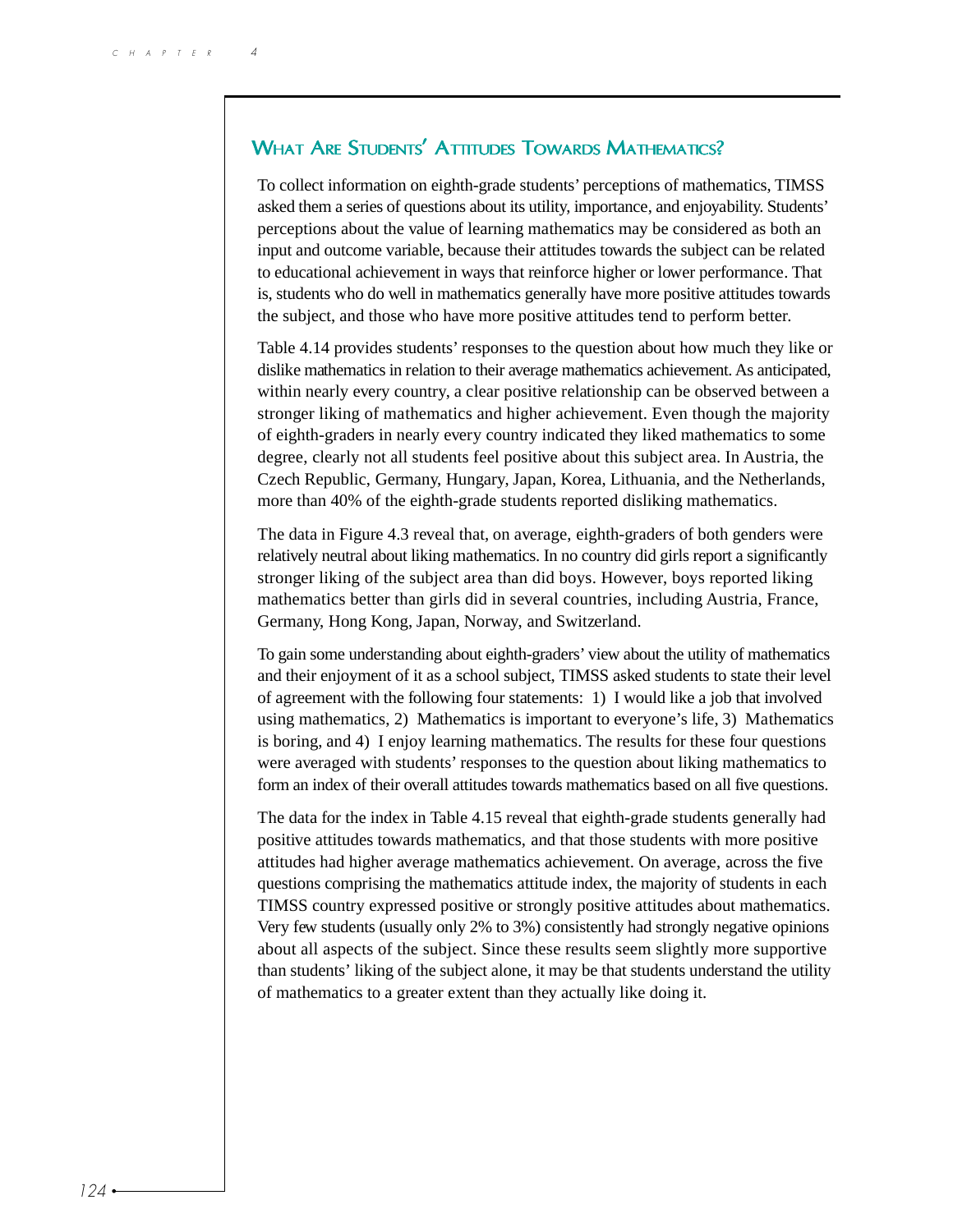### WHAT ARE STUDENTS' ATTITUDES TOWARDS MATHEMATICS?

To collect information on eighth-grade students' perceptions of mathematics, TIMSS asked them a series of questions about its utility, importance, and enjoyability. Students' perceptions about the value of learning mathematics may be considered as both an input and outcome variable, because their attitudes towards the subject can be related to educational achievement in ways that reinforce higher or lower performance. That is, students who do well in mathematics generally have more positive attitudes towards the subject, and those who have more positive attitudes tend to perform better.

Table 4.14 provides students' responses to the question about how much they like or dislike mathematics in relation to their average mathematics achievement. As anticipated, within nearly every country, a clear positive relationship can be observed between a stronger liking of mathematics and higher achievement. Even though the majority of eighth-graders in nearly every country indicated they liked mathematics to some degree, clearly not all students feel positive about this subject area. In Austria, the Czech Republic, Germany, Hungary, Japan, Korea, Lithuania, and the Netherlands, more than 40% of the eighth-grade students reported disliking mathematics.

The data in Figure 4.3 reveal that, on average, eighth-graders of both genders were relatively neutral about liking mathematics. In no country did girls report a significantly stronger liking of the subject area than did boys. However, boys reported liking mathematics better than girls did in several countries, including Austria, France, Germany, Hong Kong, Japan, Norway, and Switzerland.

To gain some understanding about eighth-graders' view about the utility of mathematics and their enjoyment of it as a school subject, TIMSS asked students to state their level of agreement with the following four statements: 1) I would like a job that involved using mathematics, 2) Mathematics is important to everyone's life, 3) Mathematics is boring, and 4) I enjoy learning mathematics. The results for these four questions were averaged with students' responses to the question about liking mathematics to form an index of their overall attitudes towards mathematics based on all five questions.

The data for the index in Table 4.15 reveal that eighth-grade students generally had positive attitudes towards mathematics, and that those students with more positive attitudes had higher average mathematics achievement. On average, across the five questions comprising the mathematics attitude index, the majority of students in each TIMSS country expressed positive or strongly positive attitudes about mathematics. Very few students (usually only 2% to 3%) consistently had strongly negative opinions about all aspects of the subject. Since these results seem slightly more supportive than students' liking of the subject alone, it may be that students understand the utility of mathematics to a greater extent than they actually like doing it.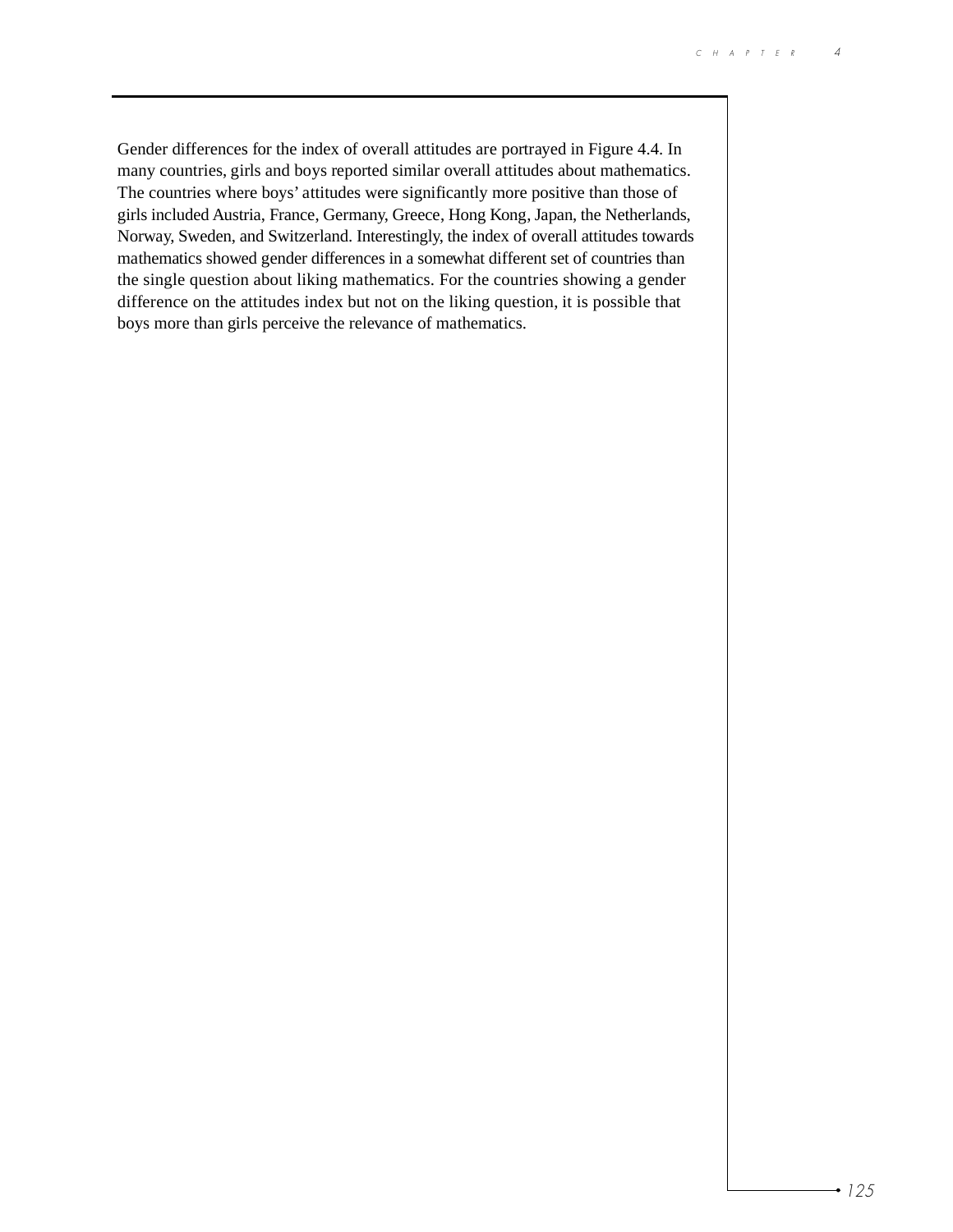Gender differences for the index of overall attitudes are portrayed in Figure 4.4. In many countries, girls and boys reported similar overall attitudes about mathematics. The countries where boys' attitudes were significantly more positive than those of girls included Austria, France, Germany, Greece, Hong Kong, Japan, the Netherlands, Norway, Sweden, and Switzerland. Interestingly, the index of overall attitudes towards mathematics showed gender differences in a somewhat different set of countries than the single question about liking mathematics. For the countries showing a gender difference on the attitudes index but not on the liking question, it is possible that boys more than girls perceive the relevance of mathematics.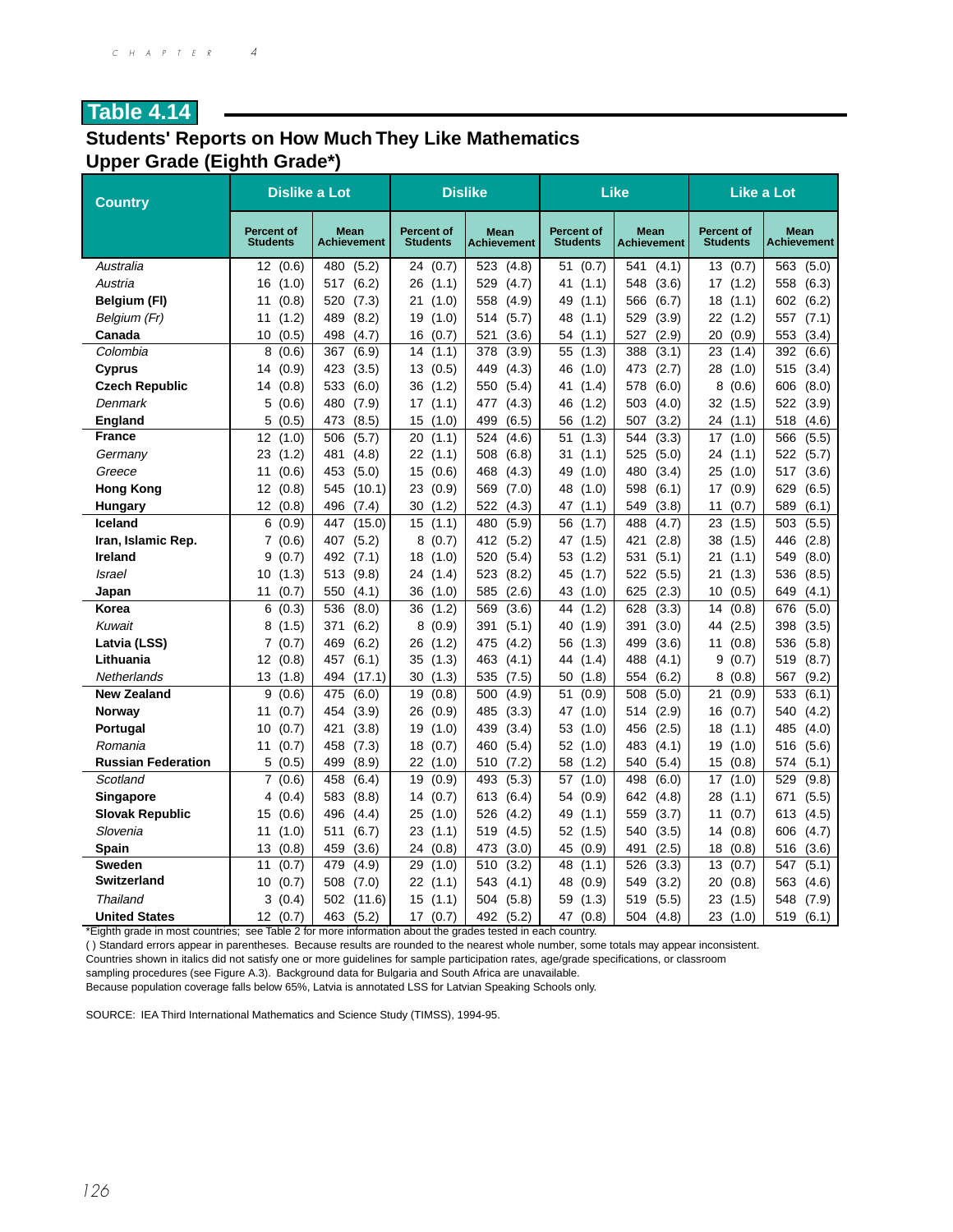## **Students' Reports on How Much They Like Mathematics Upper Grade (Eighth Grade\*)**

| <b>Country</b>            | <b>Dislike a Lot</b> |                    | <b>Dislike</b>    |                    | Like            |                    | <b>Like a Lot</b> |                    |
|---------------------------|----------------------|--------------------|-------------------|--------------------|-----------------|--------------------|-------------------|--------------------|
|                           | Percent of           | <b>Mean</b>        | <b>Percent of</b> | <b>Mean</b>        | Percent of      | <b>Mean</b>        | Percent of        | <b>Mean</b>        |
|                           | <b>Students</b>      | <b>Achievement</b> | <b>Students</b>   | <b>Achievement</b> | <b>Students</b> | <b>Achievement</b> | <b>Students</b>   | <b>Achievement</b> |
| Australia                 | 12(0.6)              | 480<br>(5.2)       | 24<br>(0.7)       | 523<br>(4.8)       | 51<br>(0.7)     | 541<br>(4.1)       | 13<br>(0.7)       | 563<br>(5.0)       |
| Austria                   | (1.0)                | 517                | 26                | 529                | (1.1)           | 548                | 17                | 558                |
|                           | 16                   | (6.2)              | (1.1)             | (4.7)              | 41              | (3.6)              | (1.2)             | (6.3)              |
| Belgium (FI)              | 11                   | 520                | 21                | 558                | (1.1)           | 566                | (1.1)             | 602                |
|                           | (0.8)                | (7.3)              | (1.0)             | (4.9)              | 49              | (6.7)              | 18                | (6.2)              |
| Belgium (Fr)              | (1.2)                | 489                | 19                | 514                | 48              | 529                | (1.2)             | 557                |
|                           | 11                   | (8.2)              | (1.0)             | (5.7)              | (1.1)           | (3.9)              | 22                | (7.1)              |
| Canada                    | 10                   | 498                | 16                | 521                | 54              | 527                | 20                | 553                |
|                           | (0.5)                | (4.7)              | (0.7)             | (3.6)              | (1.1)           | (2.9)              | (0.9)             | (3.4)              |
| Colombia                  | 8                    | 367                | 14                | 378                | 55              | 388                | (1.4)             | 392                |
|                           | (0.6)                | (6.9)              | (1.1)             | (3.9)              | (1.3)           | (3.1)              | 23                | (6.6)              |
| Cyprus                    | 14<br>(0.9)          | 423<br>(3.5)       | 13<br>(0.5)       | 449<br>(4.3)       | 46 (1.0)        | (2.7)<br>473       | 28<br>(1.0)       | 515<br>(3.4)       |
| <b>Czech Republic</b>     | 14                   | (6.0)              | (1.2)             | (5.4)              | (1.4)           | (6.0)              | 8                 | (8.0)              |
|                           | (0.8)                | 533                | 36                | 550                | 41              | 578                | (0.6)             | 606                |
| Denmark                   | 5                    | 480                | (1.1)             | (4.3)              | (1.2)           | 503                | 32                | 522                |
|                           | (0.6)                | (7.9)              | 17                | 477                | 46              | (4.0)              | (1.5)             | (3.9)              |
| England                   | 5                    | (8.5)              | 15                | 499                | 56              | (3.2)              | 24                | 518                |
|                           | (0.5)                | 473                | (1.0)             | (6.5)              | (1.2)           | 507                | (1.1)             | (4.6)              |
| <b>France</b>             | 12                   | 506                | (1.1)             | 524                | 51              | (3.3)              | 17                | (5.5)              |
|                           | (1.0)                | (5.7)              | 20                | (4.6)              | (1.3)           | 544                | (1.0)             | 566                |
| Germany                   | 23                   | 481                | 22                | 508                | 31              | 525                | 24                | 522                |
|                           | (1.2)                | (4.8)              | (1.1)             | (6.8)              | (1.1)           | (5.0)              | (1.1)             | (5.7)              |
| Greece                    | 11                   | (5.0)              | 15                | 468                | 49              | (3.4)              | 25                | (3.6)              |
|                           | (0.6)                | 453                | (0.6)             | (4.3)              | (1.0)           | 480                | (1.0)             | 517                |
| <b>Hong Kong</b>          | 12                   | 545                | 23                | 569                | 48              | 598                | (0.9)             | 629                |
|                           | (0.8)                | (10.1)             | (0.9)             | (7.0)              | (1.0)           | (6.1)              | 17                | (6.5)              |
| <b>Hungary</b>            | 12                   | 496                | 30                | 522                | 47              | 549                | 11                | 589                |
|                           | (0.8)                | (7.4)              | (1.2)             | (4.3)              | (1.1)           | (3.8)              | (0.7)             | (6.1)              |
| <b>Iceland</b>            | 6                    | 447                | 15                | 480                | 56              | 488                | 23                | 503                |
|                           | (0.9)                | (15.0)             | (1.1)             | (5.9)              | (1.7)           | (4.7)              | (1.5)             | (5.5)              |
| Iran, Islamic Rep.        | 7 (0.6)              | 407<br>(5.2)       | 8<br>(0.7)        | 412<br>(5.2)       | 47<br>(1.5)     | 421<br>(2.8)       | (1.5)<br>38       | 446<br>(2.8)       |
| <b>Ireland</b>            | (0.7)                | 492                | 18                | 520                | 53              | 531                | 21                | (8.0)              |
|                           | 9                    | (7.1)              | (1.0)             | (5.4)              | (1.2)           | (5.1)              | (1.1)             | 549                |
| <b>Israel</b>             | (1.3)                | (9.8)              | 24                | (8.2)              | 45              | 522                | 21                | 536                |
|                           | 10                   | 513                | (1.4)             | 523                | (1.7)           | (5.5)              | (1.3)             | (8.5)              |
| Japan                     | 11                   | 550                | 36                | 585                | 43              | (2.3)              | (0.5)             | 649                |
|                           | (0.7)                | (4.1)              | (1.0)             | (2.6)              | (1.0)           | 625                | 10                | (4.1)              |
| Korea                     | (0.3)                | (8.0)              | (1.2)             | (3.6)              | (1.2)           | (3.3)              | (0.8)             | (5.0)              |
|                           | 6                    | 536                | 36                | 569                | 44              | 628                | 14                | 676                |
| Kuwait                    | (1.5)                | (6.2)              | (0.9)             | (5.1)              | 40              | 391                | (2.5)             | 398                |
|                           | 8                    | 371                | 8                 | 391                | (1.9)           | (3.0)              | 44                | (3.5)              |
| Latvia (LSS)              | 7                    | (6.2)              | (1.2)             | (4.2)              | 56              | (3.6)              | 11                | (5.8)              |
|                           | (0.7)                | 469                | 26                | 475                | (1.3)           | 499                | (0.8)             | 536                |
| Lithuania                 | 12                   | 457                | 35                | 463                | 44              | 488                | 9                 | 519                |
|                           | (0.8)                | (6.1)              | (1.3)             | (4.1)              | (1.4)           | (4.1)              | (0.7)             | (8.7)              |
| Netherlands               | 13                   | 494                | 30                | 535                | 50              | 554                | 8                 | (9.2)              |
|                           | (1.8)                | (17.1)             | (1.3)             | (7.5)              | (1.8)           | (6.2)              | (0.8)             | 567                |
| <b>New Zealand</b>        | 9                    | (6.0)              | 19                | (4.9)              | 51              | (5.0)              | 21                | 533                |
|                           | (0.6)                | 475                | (0.8)             | 500                | (0.9)           | 508                | (0.9)             | (6.1)              |
| Norway                    | 11                   | 454                | 26                | 485                | 47              | 514                | 16                | 540                |
|                           | (0.7)                | (3.9)              | (0.9)             | (3.3)              | (1.0)           | (2.9)              | (0.7)             | (4.2)              |
| Portugal                  | 10                   | (3.8)              | 19                | 439                | 53              | (2.5)              | 18                | 485                |
|                           | (0.7)                | 421                | (1.0)             | (3.4)              | (1.0)           | 456                | (1.1)             | (4.0)              |
| Romania                   | 11                   | 458                | 18                | (5.4)              | 52              | 483                | 19                | 516                |
|                           | (0.7)                | (7.3)              | (0.7)             | 460                | (1.0)           | (4.1)              | (1.0)             | (5.6)              |
| <b>Russian Federation</b> | 5                    | 499                | 22                | 510                | 58              | 540                | 15                | 574                |
|                           | (0.5)                | (8.9)              | (1.0)             | (7.2)              | (1.2)           | (5.4)              | (0.8)             | (5.1)              |
| Scotland                  | 7                    | 458                | 19                | 493                | (1.0)           | 498                | (1.0)             | 529                |
|                           | (0.6)                | (6.4)              | (0.9)             | (5.3)              | 57              | (6.0)              | 17                | (9.8)              |
| Singapore                 | 4                    | 583                | 14                | 613                | (0.9)           | 642                | 28                | (5.5)              |
|                           | (0.4)                | (8.8)              | (0.7)             | (6.4)              | 54              | (4.8)              | (1.1)             | 671                |
| <b>Slovak Republic</b>    | 15                   | 496                | 25                | (4.2)              | 49              | 559                | (0.7)             | 613                |
|                           | (0.6)                | (4.4)              | (1.0)             | 526                | (1.1)           | (3.7)              | 11                | (4.5)              |
| Slovenia                  | 11<br>(1.0)          | 511<br>(6.7)       | 23<br>(1.1)       | 519<br>(4.5)       | 52 (1.5)        | (3.5)<br>540       | (0.8)<br>14       | 606<br>(4.7)       |
| Spain                     | 13                   | 459                | 24                | 473                | 45              | 491                | 18                | (3.6)              |
|                           | (0.8)                | (3.6)              | (0.8)             | (3.0)              | (0.9)           | (2.5)              | (0.8)             | 516                |
| <b>Sweden</b>             | 11                   | 479                | 29                | (3.2)              | (1.1)           | 526                | (0.7)             | 547                |
|                           | (0.7)                | (4.9)              | (1.0)             | 510                | 48              | (3.3)              | 13                | (5.1)              |
| <b>Switzerland</b>        | 10                   | 508                | 22                | 543                | 48              | 549                | 20                | 563                |
|                           | (0.7)                | (7.0)              | (1.1)             | (4.1)              | (0.9)           | (3.2)              | (0.8)             | (4.6)              |
| Thailand                  | 3                    | 502                | 15                | (5.8)              | 59              | (5.5)              | 23                | 548                |
|                           | (0.4)                | (11.6)             | (1.1)             | 504                | (1.3)           | 519                | (1.5)             | (7.9)              |
| <b>United States</b>      | 12(0.7)              | 463<br>(5.2)       | 17<br>(0.7)       | 492<br>(5.2)       | 47<br>(0.8)     | 504<br>(4.8)       | 23<br>(1.0)       | 519<br>(6.1)       |

\*Eighth grade in most countries; see Table 2 for more information about the grades tested in each country.

( ) Standard errors appear in parentheses. Because results are rounded to the nearest whole number, some totals may appear inconsistent.

Countries shown in italics did not satisfy one or more guidelines for sample participation rates, age/grade specifications, or classroom

sampling procedures (see Figure A.3). Background data for Bulgaria and South Africa are unavailable.

Because population coverage falls below 65%, Latvia is annotated LSS for Latvian Speaking Schools only.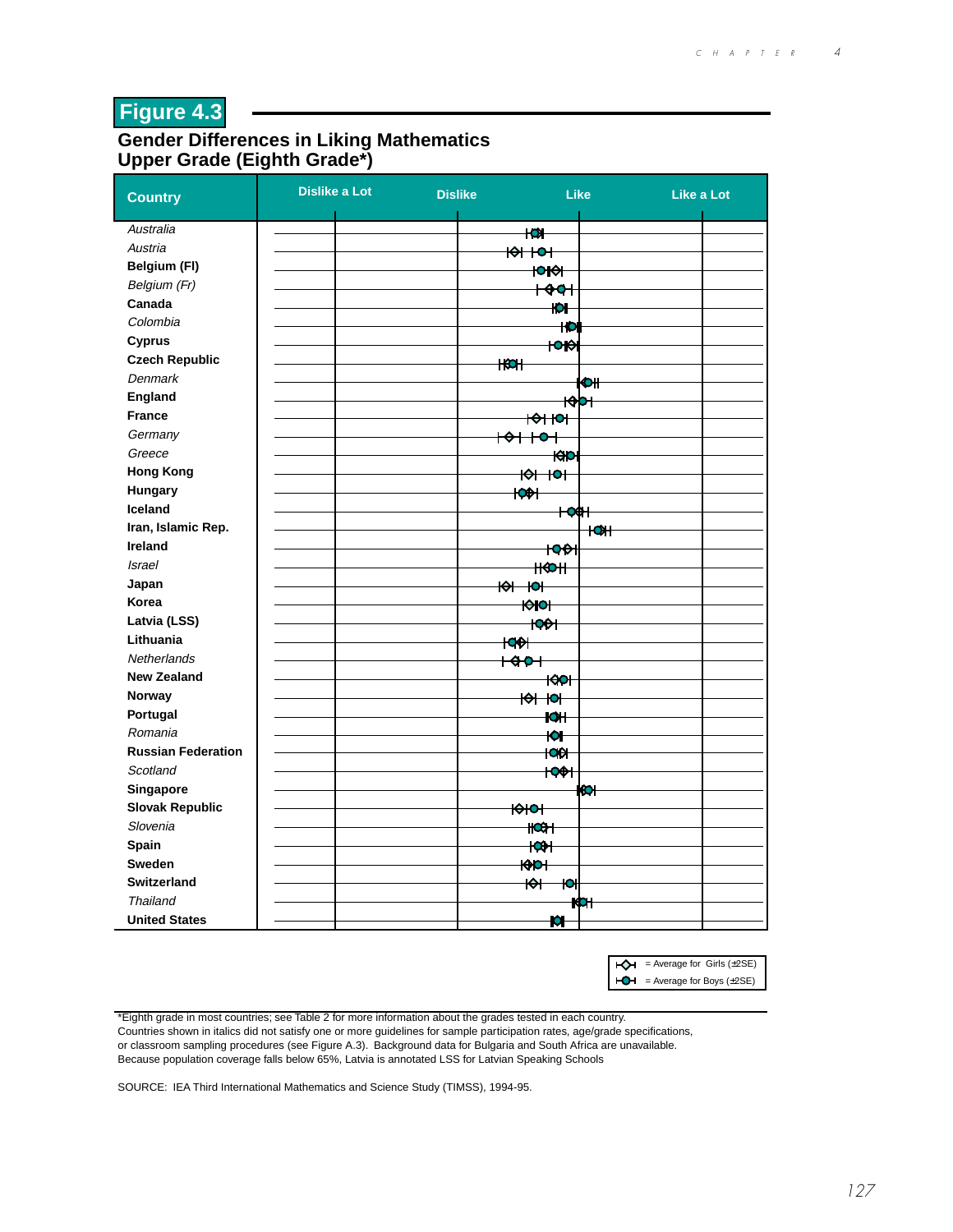## **Figure 4.3**

#### **Gender Differences in Liking Mathematics Upper Grade (Eighth Grade\*)**

| <b>Country</b>            | <b>Dislike a Lot</b> | <b>Dislike</b>       | <b>Like</b>                                                    | <b>Like a Lot</b> |
|---------------------------|----------------------|----------------------|----------------------------------------------------------------|-------------------|
| Australia                 |                      |                      | H                                                              |                   |
| Austria                   |                      |                      | <del>I⊘I I⊘I</del>                                             |                   |
| Belgium (FI)              |                      |                      | H                                                              |                   |
| Belgium (Fr)              |                      |                      | $\overline{+}\overline{+}\overline{+}$                         |                   |
| Canada                    |                      |                      | ₩Н                                                             |                   |
| Colombia                  |                      |                      | Ю                                                              |                   |
| <b>Cyprus</b>             |                      |                      | ЮЮ                                                             |                   |
| <b>Czech Republic</b>     |                      | $H$ OH               |                                                                |                   |
| <b>Denmark</b>            |                      |                      | <b>io</b> ll                                                   |                   |
| England                   |                      |                      | $\overline{100}$                                               |                   |
| <b>France</b>             |                      |                      | $\overline{1}$ $\Theta$ $\overline{1}$ $\Theta$ $\overline{1}$ |                   |
| Germany                   |                      |                      | $\overline{\phantom{a}}$                                       |                   |
| Greece                    |                      |                      | $\bigotimes$                                                   |                   |
| <b>Hong Kong</b>          |                      |                      | 101 101                                                        |                   |
| Hungary                   |                      |                      | $\blacktriangleright$                                          |                   |
| Iceland                   |                      |                      | +ОФН                                                           |                   |
| Iran, Islamic Rep.        |                      |                      | $\overline{\text{L}}$                                          |                   |
| Ireland                   |                      |                      | Ю⇔Н                                                            |                   |
| <b>Israel</b>             |                      |                      | H                                                              |                   |
| Japan                     |                      | $\frac{1}{\sqrt{2}}$ |                                                                |                   |
| Korea                     |                      |                      | 10101                                                          |                   |
| Latvia (LSS)              |                      |                      | H                                                              |                   |
| Lithuania                 |                      | H                    |                                                                |                   |
| <b>Netherlands</b>        |                      | $H^4H$               |                                                                |                   |
| <b>New Zealand</b>        |                      |                      | H                                                              |                   |
| Norway                    |                      |                      | 121121                                                         |                   |
| Portugal                  |                      |                      | M                                                              |                   |
| Romania                   |                      |                      | Ю⊦                                                             |                   |
| <b>Russian Federation</b> |                      |                      | H                                                              |                   |
| Scotland                  |                      |                      | H                                                              |                   |
| Singapore                 |                      |                      | KA                                                             |                   |
| <b>Slovak Republic</b>    |                      |                      | <del>। । ।</del>                                               |                   |
| Slovenia                  |                      |                      | $H$ $\bullet$ $H$                                              |                   |
| Spain                     |                      |                      | H                                                              |                   |
| <b>Sweden</b>             |                      |                      | <b>KAD+</b>                                                    |                   |
| <b>Switzerland</b>        |                      |                      | $\overline{\Theta}$<br>Ю                                       |                   |
| <b>Thailand</b>           |                      |                      | KCH.                                                           |                   |
| <b>United States</b>      |                      |                      | Ń                                                              |                   |
|                           |                      |                      |                                                                |                   |

 $\overrightarrow{H}$  = Average for Girls ( $\pm$ 2SE)  $\blacktriangleleft$  = Average for Boys ( $\pm$ 2SE)

\*Eighth grade in most countries; see Table 2 for more information about the grades tested in each country. Countries shown in italics did not satisfy one or more guidelines for sample participation rates, age/grade specifications, or classroom sampling procedures (see Figure A.3). Background data for Bulgaria and South Africa are unavailable. Because population coverage falls below 65%, Latvia is annotated LSS for Latvian Speaking Schools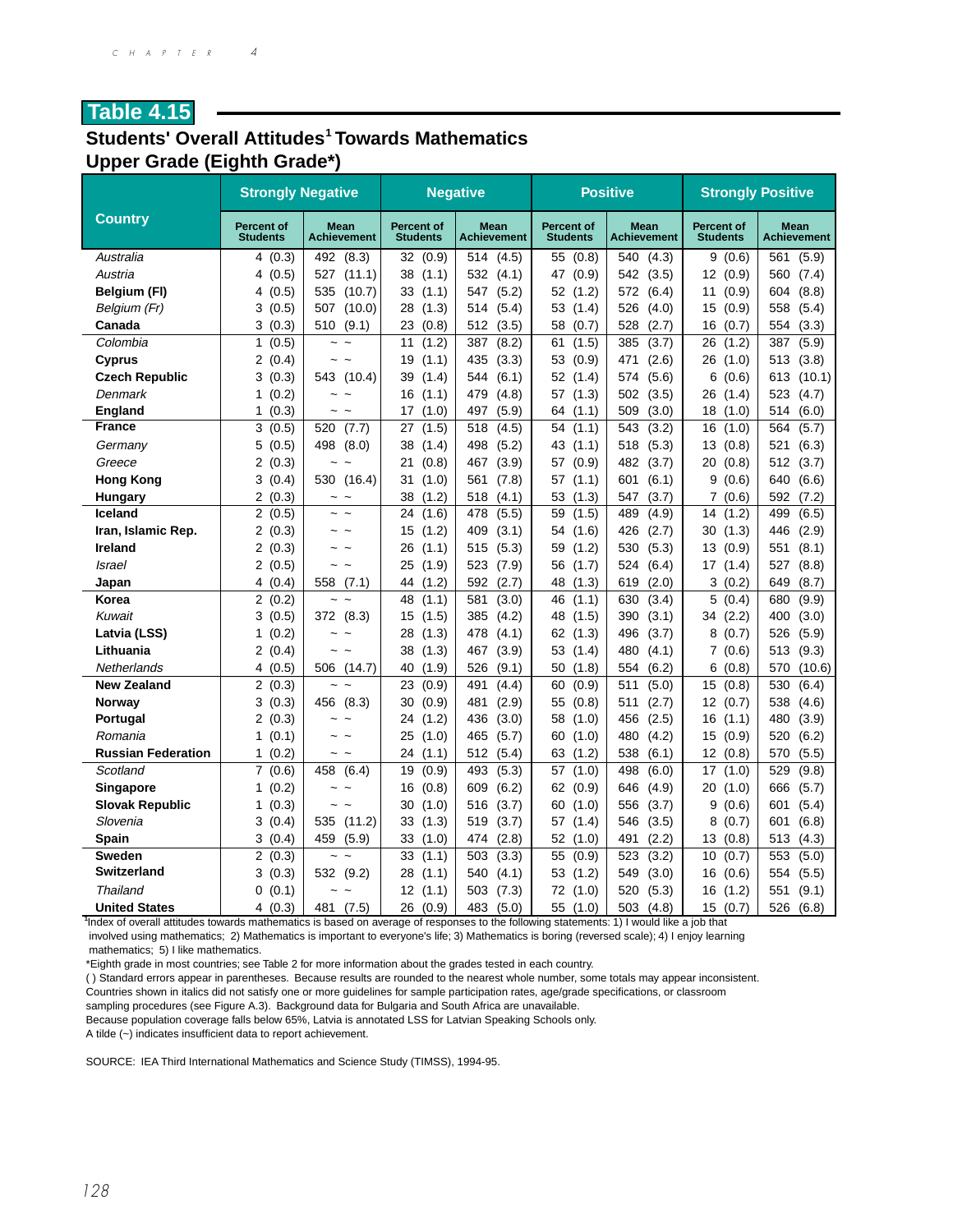#### Students' Overall Attitudes<sup>1</sup> Towards Mathematics **Upper Grade (Eighth Grade\*)**

|                                    | <b>Strongly Negative</b>             |                                 | <b>Negative</b>               |                                   |                               | <b>Positive</b>              | <b>Strongly Positive</b>      |                                   |
|------------------------------------|--------------------------------------|---------------------------------|-------------------------------|-----------------------------------|-------------------------------|------------------------------|-------------------------------|-----------------------------------|
| <b>Country</b>                     | <b>Percent of</b><br><b>Students</b> | Mean<br><b>Achievement</b>      | Percent of<br><b>Students</b> | <b>Mean</b><br><b>Achievement</b> | Percent of<br><b>Students</b> | <b>Mean</b><br>Achievement   | Percent of<br><b>Students</b> | <b>Mean</b><br><b>Achievement</b> |
| Australia                          | 4<br>(0.3)                           | 492<br>(8.3)                    | 32<br>(0.9)                   | 514<br>(4.5)                      | (0.8)<br>55                   | 540<br>(4.3)                 | 9(0.6)                        | 561<br>(5.9)                      |
| Austria                            | 4<br>(0.5)                           | (11.1)<br>527                   | 38<br>(1.1)                   | 532<br>(4.1)                      | 47<br>(0.9)                   | 542<br>(3.5)                 | 12 <sup>12</sup><br>(0.9)     | (7.4)<br>560                      |
| Belgium (FI)                       | 4<br>(0.5)                           | 535<br>(10.7)                   | 33 (1.1)                      | (5.2)<br>547                      | 52<br>(1.2)                   | 572<br>(6.4)                 | 11<br>(0.9)                   | (8.8)<br>604                      |
| Belgium (Fr)                       | 3<br>(0.5)                           | 507<br>(10.0)                   | 28<br>(1.3)                   | (5.4)<br>514                      | 53<br>(1.4)                   | 526<br>(4.0)                 | 15<br>(0.9)                   | (5.4)<br>558                      |
| Canada                             | 3<br>(0.3)                           | (9.1)<br>510                    | 23<br>(0.8)                   | 512<br>(3.5)                      | 58<br>(0.7)                   | (2.7)<br>528                 | 16<br>(0.7)                   | (3.3)<br>554                      |
| Colombia                           | 1<br>(0.5)                           | $\overline{\phantom{a}}$        | (1.2)<br>11                   | (8.2)<br>387                      | (1.5)<br>61                   | (3.7)<br>385                 | (1.2)<br>26                   | 387<br>(5.9)                      |
| Cyprus                             | 2<br>(0.4)                           | $\tilde{\phantom{a}}$           | 19<br>(1.1)                   | 435<br>(3.3)                      | 53<br>(0.9)                   | (2.6)<br>471                 | 26<br>(1.0)                   | (3.8)<br>513                      |
| <b>Czech Republic</b>              | 3<br>(0.3)                           | 543 (10.4)                      | 39<br>(1.4)                   | (6.1)<br>544                      | 52<br>(1.4)                   | 574<br>(5.6)                 | 6 (0.6)                       | 613<br>(10.1)                     |
| Denmark                            | (0.2)<br>1                           | $\sim$                          | 16<br>(1.1)                   | (4.8)<br>479                      | (1.3)<br>57                   | 502<br>(3.5)                 | 26<br>(1.4)                   | 523<br>(4.7)                      |
| England                            | 1<br>(0.3)                           | $\tilde{\phantom{a}}$<br>$\sim$ | 17<br>(1.0)                   | (5.9)<br>497                      | (1.1)<br>64                   | (3.0)<br>509                 | 18<br>(1.0)                   | (6.0)<br>514                      |
| <b>France</b>                      | (0.5)<br>3                           | 520<br>(7.7)                    | 27<br>(1.5)                   | 518<br>(4.5)                      | (1.1)<br>54                   | (3.2)<br>543                 | 16<br>(1.0)                   | 564<br>(5.7)                      |
| Germany                            | 5<br>(0.5)                           | 498 (8.0)                       | 38<br>(1.4)                   | 498<br>(5.2)                      | 43<br>(1.1)                   | 518<br>(5.3)                 | 13<br>(0.8)                   | 521<br>(6.3)                      |
| Greece                             | 2<br>(0.3)                           |                                 | 21<br>(0.8)                   | 467<br>(3.9)                      | 57<br>(0.9)                   | (3.7)<br>482                 | 20<br>(0.8)                   | 512<br>(3.7)                      |
| <b>Hong Kong</b>                   | 3<br>(0.4)                           | 530<br>(16.4)                   | 31<br>(1.0)                   | 561<br>(7.8)                      | (1.1)<br>57                   | (6.1)<br>601                 | 9<br>(0.6)                    | (6.6)<br>640                      |
| <b>Hungary</b>                     | 2<br>(0.3)                           | $\sim$ $\sim$                   | (1.2)<br>38                   | 518<br>(4.1)                      | (1.3)<br>53                   | (3.7)<br>547                 | 7<br>(0.6)                    | (7.2)<br>592                      |
| Iceland                            | $\overline{2}$<br>(0.5)              |                                 | 24<br>(1.6)                   | (5.5)<br>478                      | 59<br>(1.5)                   | 489<br>(4.9)                 | (1.2)<br>14                   | 499<br>(6.5)                      |
| Iran, Islamic Rep.                 | 2<br>(0.3)                           | $\sim$ $\sim$                   | 15<br>(1.2)                   | (3.1)<br>409                      | (1.6)<br>54                   | (2.7)<br>426                 | 30<br>(1.3)                   | (2.9)<br>446                      |
| <b>Ireland</b>                     | 2<br>(0.3)                           | ~ ~                             | 26<br>(1.1)                   | (5.3)<br>515                      | 59<br>(1.2)                   | 530<br>(5.3)                 | 13<br>(0.9)                   | (8.1)<br>551                      |
| <b>Israel</b>                      | 2(0.5)                               | $\sim$                          | (1.9)<br>25                   | 523<br>(7.9)                      | 56<br>(1.7)                   | 524<br>(6.4)                 | 17(1.4)                       | 527<br>(8.8)                      |
| Japan                              | 4<br>(0.4)                           | 558<br>(7.1)                    | 44<br>(1.2)                   | 592<br>(2.7)                      | 48<br>(1.3)                   | 619<br>(2.0)                 | 3(0.2)                        | 649<br>(8.7)                      |
| Korea                              | $\overline{2}$<br>(0.2)              |                                 | 48<br>(1.1)                   | 581<br>(3.0)                      | 46<br>(1.1)                   | (3.4)<br>630                 | 5<br>(0.4)                    | 680<br>(9.9)                      |
| Kuwait                             | 3<br>(0.5)                           | 372 (8.3)                       | 15<br>(1.5)                   | 385<br>(4.2)                      | 48<br>(1.5)                   | 390<br>(3.1)                 | 34<br>(2.2)                   | 400<br>(3.0)                      |
| Latvia (LSS)                       | 1<br>(0.2)                           | $\sim$                          | (1.3)<br>28                   | 478<br>(4.1)                      | 62<br>(1.3)                   | 496<br>(3.7)                 | 8<br>(0.7)                    | (5.9)<br>526                      |
| Lithuania                          | 2<br>(0.4)                           |                                 | (1.3)<br>38                   | (3.9)<br>467                      | 53<br>(1.4)                   | 480<br>(4.1)                 | $\overline{7}$<br>(0.6)       | (9.3)<br>513                      |
| Netherlands                        | (0.5)<br>4                           | 506 (14.7)                      | 40<br>(1.9)                   | (9.1)<br>526                      | (1.8)<br>50                   | (6.2)<br>554                 | 6<br>(0.8)                    | 570<br>(10.6)                     |
| <b>New Zealand</b>                 | 2<br>(0.3)                           |                                 | 23<br>(0.9)                   | 491<br>(4.4)                      | (0.9)<br>60                   | 511<br>(5.0)                 | 15<br>(0.8)                   | 530<br>(6.4)                      |
| <b>Norway</b>                      | 3<br>(0.3)                           | 456 (8.3)                       | 30<br>(0.9)                   | 481<br>(2.9)                      | (0.8)<br>55                   | 511<br>(2.7)                 | 12<br>(0.7)                   | 538<br>(4.6)                      |
| Portugal                           | 2<br>(0.3)                           |                                 | (1.2)<br>24                   | (3.0)<br>436                      | 58<br>(1.0)                   | (2.5)<br>456                 | 16(1.1)                       | (3.9)<br>480                      |
| Romania                            | 1<br>(0.1)                           |                                 | 25<br>(1.0)                   | (5.7)<br>465                      | 60<br>(1.0)                   | 480<br>(4.2)                 | 15<br>(0.9)                   | (6.2)<br>520                      |
| <b>Russian Federation</b>          | 1<br>(0.2)                           | $\tilde{\phantom{a}}$           | (1.1)<br>24                   | 512<br>(5.4)                      | (1.2)<br>63                   | 538<br>(6.1)                 | 12<br>(0.8)                   | (5.5)<br>570                      |
| Scotland                           | 7<br>(0.6)                           | (6.4)<br>458                    | (0.9)<br>19                   | 493<br>(5.3)                      | (1.0)<br>57                   | 498<br>(6.0)                 | (1.0)<br>17                   | 529<br>(9.8)                      |
| Singapore                          | 1<br>(0.2)                           | $\sim$                          | 16<br>(0.8)                   | (6.2)<br>609                      | 62<br>(0.9)                   | (4.9)<br>646                 | 20<br>(1.0)                   | (5.7)<br>666                      |
| <b>Slovak Republic</b><br>Slovenia | (0.3)<br>1<br>3                      |                                 | 30<br>(1.0)<br>33 (1.3)       | (3.7)<br>516                      | 60<br>(1.0)<br>57             | (3.7)<br>556                 | 9(0.6)                        | 601<br>(5.4)                      |
|                                    | (0.4)<br>3                           | 535 (11.2)                      |                               | (3.7)<br>519                      | (1.4)                         | (3.5)<br>546                 | 8(0.7)                        | (6.8)<br>601                      |
| <b>Spain</b><br>Sweden             | (0.4)<br>2<br>(0.3)                  | 459 (5.9)                       | (1.0)<br>33<br>33             | (2.8)<br>474<br>503<br>(3.3)      | 52<br>(1.0)<br>55             | (2.2)<br>491<br>523<br>(3.2) | 13(0.8)<br>10<br>(0.7)        | 513<br>(4.3)<br>553<br>(5.0)      |
| <b>Switzerland</b>                 | 3<br>(0.3)                           | 532 (9.2)                       | (1.1)<br>28                   | 540                               | (0.9)<br>(1.2)<br>53          | (3.0)<br>549                 | 16                            | (5.5)<br>554                      |
| <b>Thailand</b>                    | 0<br>(0.1)                           |                                 | (1.1)<br>12<br>(1.1)          | (4.1)<br>(7.3)<br>503             | 72<br>(1.0)                   | (5.3)<br>520                 | (0.6)<br>(1.2)<br>16          | (9.1)<br>551                      |
| <b>United States</b>               | (0.3)<br>4                           | 481<br>(7.5)                    | 26<br>(0.9)                   | 483<br>(5.0)                      | 55<br>(1.0)                   | 503<br>(4.8)                 | 15<br>(0.7)                   | 526<br>(6.8)                      |
|                                    |                                      |                                 |                               |                                   |                               |                              |                               |                                   |

**1** Index of overall attitudes towards mathematics is based on average of responses to the following statements: 1) I would like a job that involved using mathematics; 2) Mathematics is important to everyone's life; 3) Mathematics is boring (reversed scale); 4) I enjoy learning mathematics; 5) I like mathematics.

\*Eighth grade in most countries; see Table 2 for more information about the grades tested in each country.

( ) Standard errors appear in parentheses. Because results are rounded to the nearest whole number, some totals may appear inconsistent.

Countries shown in italics did not satisfy one or more guidelines for sample participation rates, age/grade specifications, or classroom

sampling procedures (see Figure A.3). Background data for Bulgaria and South Africa are unavailable.

Because population coverage falls below 65%, Latvia is annotated LSS for Latvian Speaking Schools only.

A tilde (~) indicates insufficient data to report achievement.